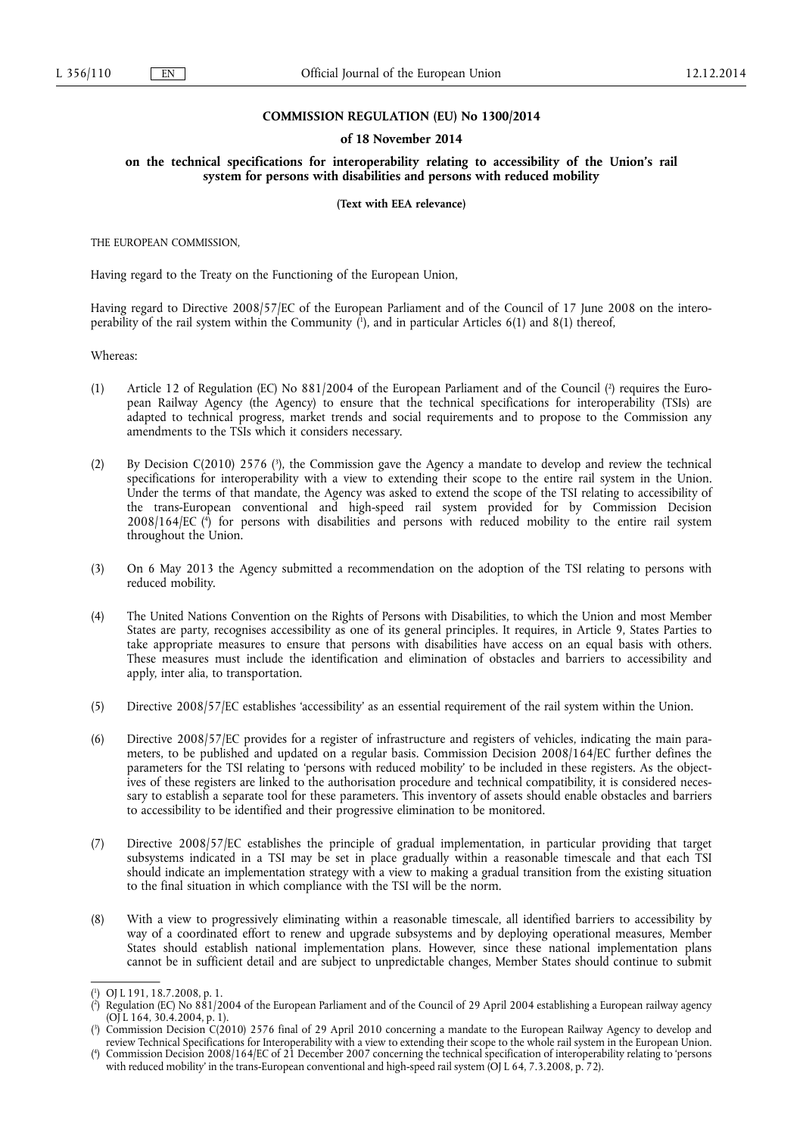### **COMMISSION REGULATION (EU) No 1300/2014**

#### **of 18 November 2014**

#### **on the technical specifications for interoperability relating to accessibility of the Union's rail system for persons with disabilities and persons with reduced mobility**

#### **(Text with EEA relevance)**

THE EUROPEAN COMMISSION,

Having regard to the Treaty on the Functioning of the European Union,

Having regard to Directive 2008/57/EC of the European Parliament and of the Council of 17 June 2008 on the interoperability of the rail system within the Community ( 1 ), and in particular Articles 6(1) and 8(1) thereof,

Whereas:

- (1) Article 12 of Regulation (EC) No 881/2004 of the European Parliament and of the Council (<sup>2</sup>) requires the European Railway Agency (the Agency) to ensure that the technical specifications for interoperability (TSIs) are adapted to technical progress, market trends and social requirements and to propose to the Commission any amendments to the TSIs which it considers necessary.
- (2) By Decision C(2010) 2576 (<sup>3</sup>), the Commission gave the Agency a mandate to develop and review the technical specifications for interoperability with a view to extending their scope to the entire rail system in the Union. Under the terms of that mandate, the Agency was asked to extend the scope of the TSI relating to accessibility of the trans-European conventional and high-speed rail system provided for by Commission Decision 2008/164/EC ( 4 ) for persons with disabilities and persons with reduced mobility to the entire rail system throughout the Union.
- (3) On 6 May 2013 the Agency submitted a recommendation on the adoption of the TSI relating to persons with reduced mobility.
- (4) The United Nations Convention on the Rights of Persons with Disabilities, to which the Union and most Member States are party, recognises accessibility as one of its general principles. It requires, in Article 9, States Parties to take appropriate measures to ensure that persons with disabilities have access on an equal basis with others. These measures must include the identification and elimination of obstacles and barriers to accessibility and apply, inter alia, to transportation.
- (5) Directive 2008/57/EC establishes 'accessibility' as an essential requirement of the rail system within the Union.
- (6) Directive 2008/57/EC provides for a register of infrastructure and registers of vehicles, indicating the main parameters, to be published and updated on a regular basis. Commission Decision 2008/164/EC further defines the parameters for the TSI relating to 'persons with reduced mobility' to be included in these registers. As the objectives of these registers are linked to the authorisation procedure and technical compatibility, it is considered necessary to establish a separate tool for these parameters. This inventory of assets should enable obstacles and barriers to accessibility to be identified and their progressive elimination to be monitored.
- (7) Directive 2008/57/EC establishes the principle of gradual implementation, in particular providing that target subsystems indicated in a TSI may be set in place gradually within a reasonable timescale and that each TSI should indicate an implementation strategy with a view to making a gradual transition from the existing situation to the final situation in which compliance with the TSI will be the norm.
- (8) With a view to progressively eliminating within a reasonable timescale, all identified barriers to accessibility by way of a coordinated effort to renew and upgrade subsystems and by deploying operational measures, Member States should establish national implementation plans. However, since these national implementation plans cannot be in sufficient detail and are subject to unpredictable changes, Member States should continue to submit

<sup>(</sup> 1 ) OJ L 191, 18.7.2008, p. 1.

<sup>(</sup> 2 ) Regulation (EC) No 881/2004 of the European Parliament and of the Council of 29 April 2004 establishing a European railway agency (OJ L 164, 30.4.2004, p. 1).

<sup>(</sup> 3 ) Commission Decision C(2010) 2576 final of 29 April 2010 concerning a mandate to the European Railway Agency to develop and review Technical Specifications for Interoperability with a view to extending their scope to the whole rail system in the European Union.

<sup>(</sup> 4 ) Commission Decision 2008/164/EC of 21 December 2007 concerning the technical specification of interoperability relating to 'persons with reduced mobility' in the trans-European conventional and high-speed rail system (OJ L 64, 7.3.2008, p. 72).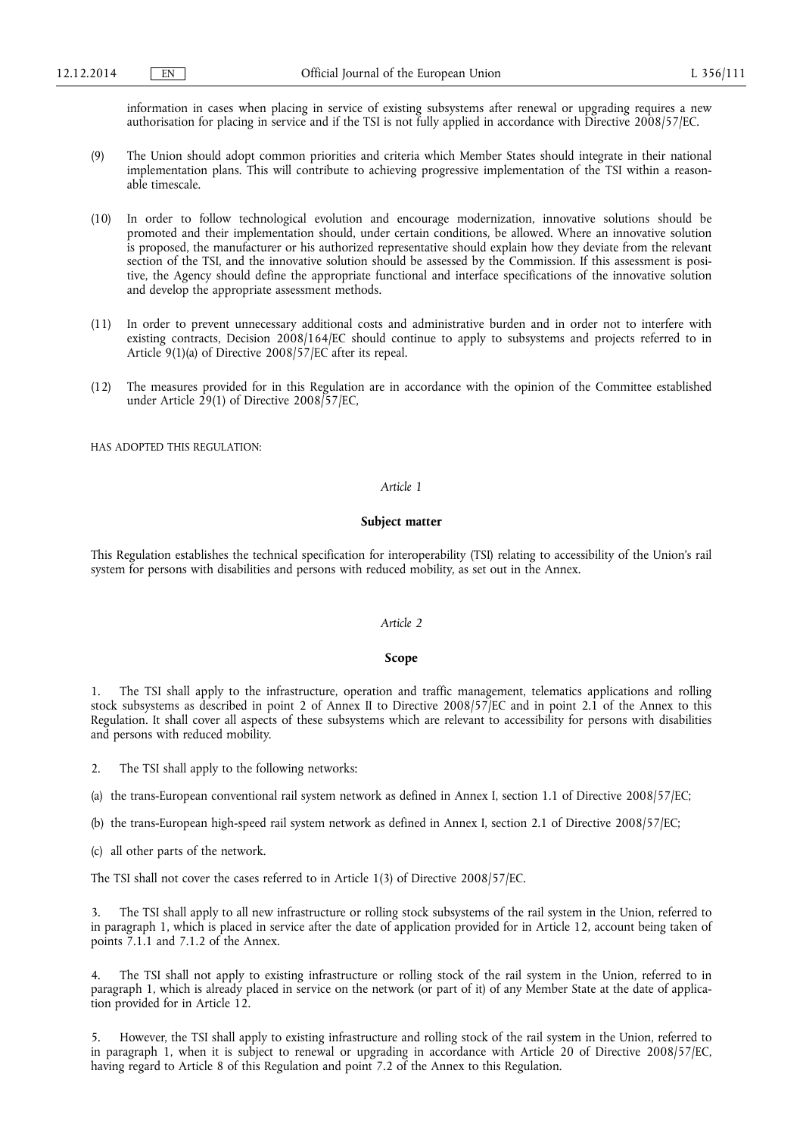information in cases when placing in service of existing subsystems after renewal or upgrading requires a new authorisation for placing in service and if the TSI is not fully applied in accordance with Directive 2008/57/EC.

- (9) The Union should adopt common priorities and criteria which Member States should integrate in their national implementation plans. This will contribute to achieving progressive implementation of the TSI within a reasonable timescale.
- (10) In order to follow technological evolution and encourage modernization, innovative solutions should be promoted and their implementation should, under certain conditions, be allowed. Where an innovative solution is proposed, the manufacturer or his authorized representative should explain how they deviate from the relevant section of the TSI, and the innovative solution should be assessed by the Commission. If this assessment is positive, the Agency should define the appropriate functional and interface specifications of the innovative solution and develop the appropriate assessment methods.
- (11) In order to prevent unnecessary additional costs and administrative burden and in order not to interfere with existing contracts, Decision 2008/164/EC should continue to apply to subsystems and projects referred to in Article 9(1)(a) of Directive 2008/57/EC after its repeal.
- (12) The measures provided for in this Regulation are in accordance with the opinion of the Committee established under Article 29(1) of Directive 2008/57/EC,

HAS ADOPTED THIS REGULATION:

#### *Article 1*

#### **Subject matter**

This Regulation establishes the technical specification for interoperability (TSI) relating to accessibility of the Union's rail system for persons with disabilities and persons with reduced mobility, as set out in the Annex.

#### *Article 2*

#### **Scope**

1. The TSI shall apply to the infrastructure, operation and traffic management, telematics applications and rolling stock subsystems as described in point 2 of Annex II to Directive 2008/57/EC and in point 2.1 of the Annex to this Regulation. It shall cover all aspects of these subsystems which are relevant to accessibility for persons with disabilities and persons with reduced mobility.

2. The TSI shall apply to the following networks:

(a) the trans-European conventional rail system network as defined in Annex I, section 1.1 of Directive 2008/57/EC;

(b) the trans-European high-speed rail system network as defined in Annex I, section 2.1 of Directive 2008/57/EC;

(c) all other parts of the network.

The TSI shall not cover the cases referred to in Article 1(3) of Directive 2008/57/EC.

3. The TSI shall apply to all new infrastructure or rolling stock subsystems of the rail system in the Union, referred to in paragraph 1, which is placed in service after the date of application provided for in Article 12, account being taken of points 7.1.1 and 7.1.2 of the Annex.

4. The TSI shall not apply to existing infrastructure or rolling stock of the rail system in the Union, referred to in paragraph 1, which is already placed in service on the network (or part of it) of any Member State at the date of application provided for in Article 12.

5. However, the TSI shall apply to existing infrastructure and rolling stock of the rail system in the Union, referred to in paragraph 1, when it is subject to renewal or upgrading in accordance with Article 20 of Directive 2008/57/EC, having regard to Article 8 of this Regulation and point 7.2 of the Annex to this Regulation.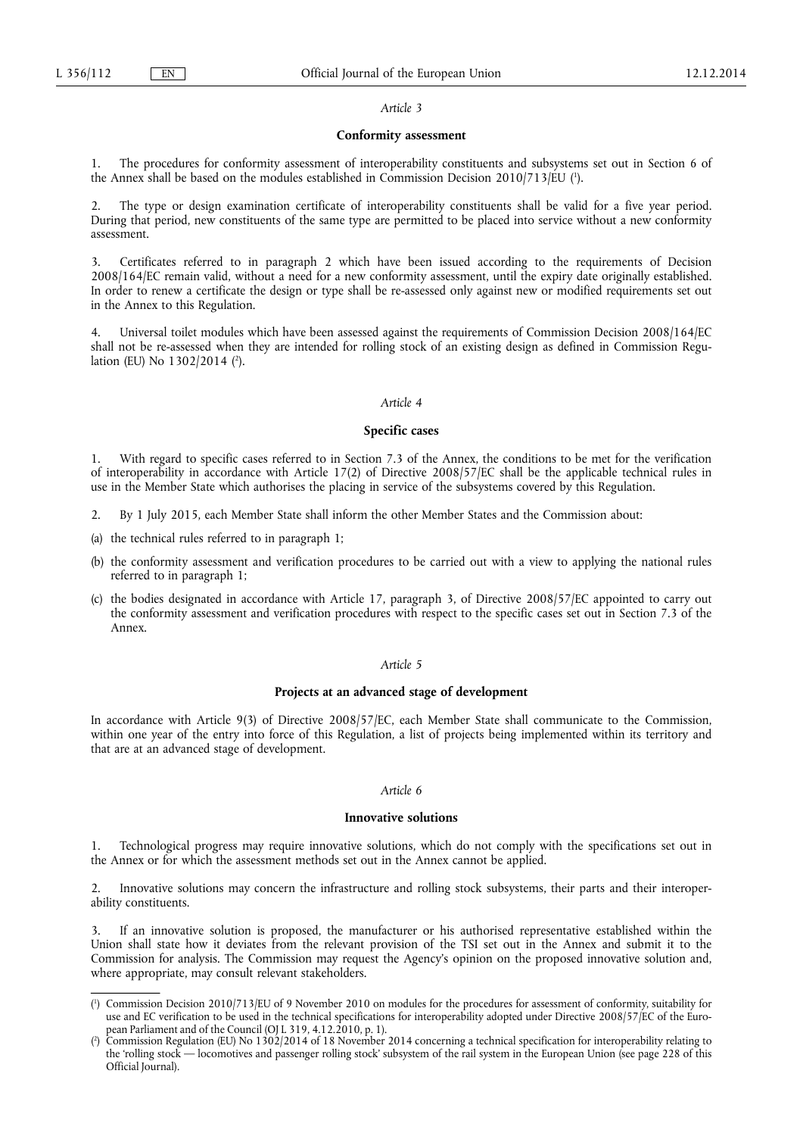#### *Article 3*

#### **Conformity assessment**

1. The procedures for conformity assessment of interoperability constituents and subsystems set out in Section 6 of the Annex shall be based on the modules established in Commission Decision 2010/713/EU ( 1 ).

2. The type or design examination certificate of interoperability constituents shall be valid for a five year period. During that period, new constituents of the same type are permitted to be placed into service without a new conformity assessment.

3. Certificates referred to in paragraph 2 which have been issued according to the requirements of Decision 2008/164/EC remain valid, without a need for a new conformity assessment, until the expiry date originally established. In order to renew a certificate the design or type shall be re-assessed only against new or modified requirements set out in the Annex to this Regulation.

Universal toilet modules which have been assessed against the requirements of Commission Decision 2008/164/EC shall not be re-assessed when they are intended for rolling stock of an existing design as defined in Commission Regulation (EU) No 1302/2014 ( 2 ).

## *Article 4*

#### **Specific cases**

With regard to specific cases referred to in Section 7.3 of the Annex, the conditions to be met for the verification of interoperability in accordance with Article 17(2) of Directive 2008/57/EC shall be the applicable technical rules in use in the Member State which authorises the placing in service of the subsystems covered by this Regulation.

- 2. By 1 July 2015, each Member State shall inform the other Member States and the Commission about:
- (a) the technical rules referred to in paragraph 1;
- (b) the conformity assessment and verification procedures to be carried out with a view to applying the national rules referred to in paragraph 1;
- (c) the bodies designated in accordance with Article 17, paragraph 3, of Directive 2008/57/EC appointed to carry out the conformity assessment and verification procedures with respect to the specific cases set out in Section 7.3 of the Annex.

## *Article 5*

#### **Projects at an advanced stage of development**

In accordance with Article 9(3) of Directive 2008/57/EC, each Member State shall communicate to the Commission, within one year of the entry into force of this Regulation, a list of projects being implemented within its territory and that are at an advanced stage of development.

## *Article 6*

#### **Innovative solutions**

1. Technological progress may require innovative solutions, which do not comply with the specifications set out in the Annex or for which the assessment methods set out in the Annex cannot be applied.

2. Innovative solutions may concern the infrastructure and rolling stock subsystems, their parts and their interoperability constituents.

If an innovative solution is proposed, the manufacturer or his authorised representative established within the Union shall state how it deviates from the relevant provision of the TSI set out in the Annex and submit it to the Commission for analysis. The Commission may request the Agency's opinion on the proposed innovative solution and, where appropriate, may consult relevant stakeholders.

<sup>(</sup> 1 ) Commission Decision 2010/713/EU of 9 November 2010 on modules for the procedures for assessment of conformity, suitability for use and EC verification to be used in the technical specifications for interoperability adopted under Directive 2008/57/EC of the European Parliament and of the Council (OJ L 319, 4.12.2010, p. 1).

<sup>(</sup> 2 ) Commission Regulation (EU) No 1302/2014 of 18 November 2014 concerning a technical specification for interoperability relating to the 'rolling stock — locomotives and passenger rolling stock' subsystem of the rail system in the European Union (see page 228 of this Official Journal).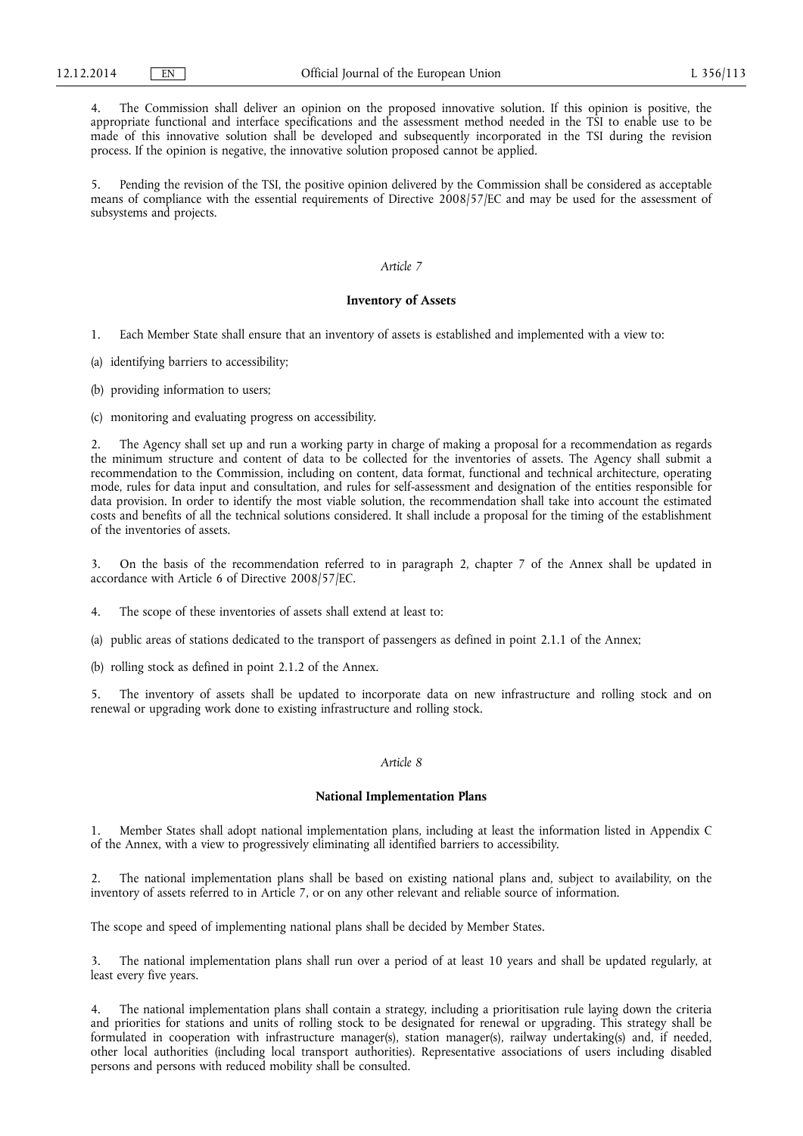4. The Commission shall deliver an opinion on the proposed innovative solution. If this opinion is positive, the appropriate functional and interface specifications and the assessment method needed in the TSI to enable use to be made of this innovative solution shall be developed and subsequently incorporated in the TSI during the revision process. If the opinion is negative, the innovative solution proposed cannot be applied.

5. Pending the revision of the TSI, the positive opinion delivered by the Commission shall be considered as acceptable means of compliance with the essential requirements of Directive 2008/57/EC and may be used for the assessment of subsystems and projects.

#### *Article 7*

## **Inventory of Assets**

1. Each Member State shall ensure that an inventory of assets is established and implemented with a view to:

(a) identifying barriers to accessibility;

(b) providing information to users;

(c) monitoring and evaluating progress on accessibility.

The Agency shall set up and run a working party in charge of making a proposal for a recommendation as regards the minimum structure and content of data to be collected for the inventories of assets. The Agency shall submit a recommendation to the Commission, including on content, data format, functional and technical architecture, operating mode, rules for data input and consultation, and rules for self-assessment and designation of the entities responsible for data provision. In order to identify the most viable solution, the recommendation shall take into account the estimated costs and benefits of all the technical solutions considered. It shall include a proposal for the timing of the establishment of the inventories of assets.

3. On the basis of the recommendation referred to in paragraph 2, chapter 7 of the Annex shall be updated in accordance with Article 6 of Directive 2008/57/EC.

4. The scope of these inventories of assets shall extend at least to:

(a) public areas of stations dedicated to the transport of passengers as defined in point 2.1.1 of the Annex;

(b) rolling stock as defined in point 2.1.2 of the Annex.

5. The inventory of assets shall be updated to incorporate data on new infrastructure and rolling stock and on renewal or upgrading work done to existing infrastructure and rolling stock.

## *Article 8*

#### **National Implementation Plans**

1. Member States shall adopt national implementation plans, including at least the information listed in Appendix C of the Annex, with a view to progressively eliminating all identified barriers to accessibility.

2. The national implementation plans shall be based on existing national plans and, subject to availability, on the inventory of assets referred to in Article 7, or on any other relevant and reliable source of information.

The scope and speed of implementing national plans shall be decided by Member States.

3. The national implementation plans shall run over a period of at least 10 years and shall be updated regularly, at least every five years.

4. The national implementation plans shall contain a strategy, including a prioritisation rule laying down the criteria and priorities for stations and units of rolling stock to be designated for renewal or upgrading. This strategy shall be formulated in cooperation with infrastructure manager(s), station manager(s), railway undertaking(s) and, if needed, other local authorities (including local transport authorities). Representative associations of users including disabled persons and persons with reduced mobility shall be consulted.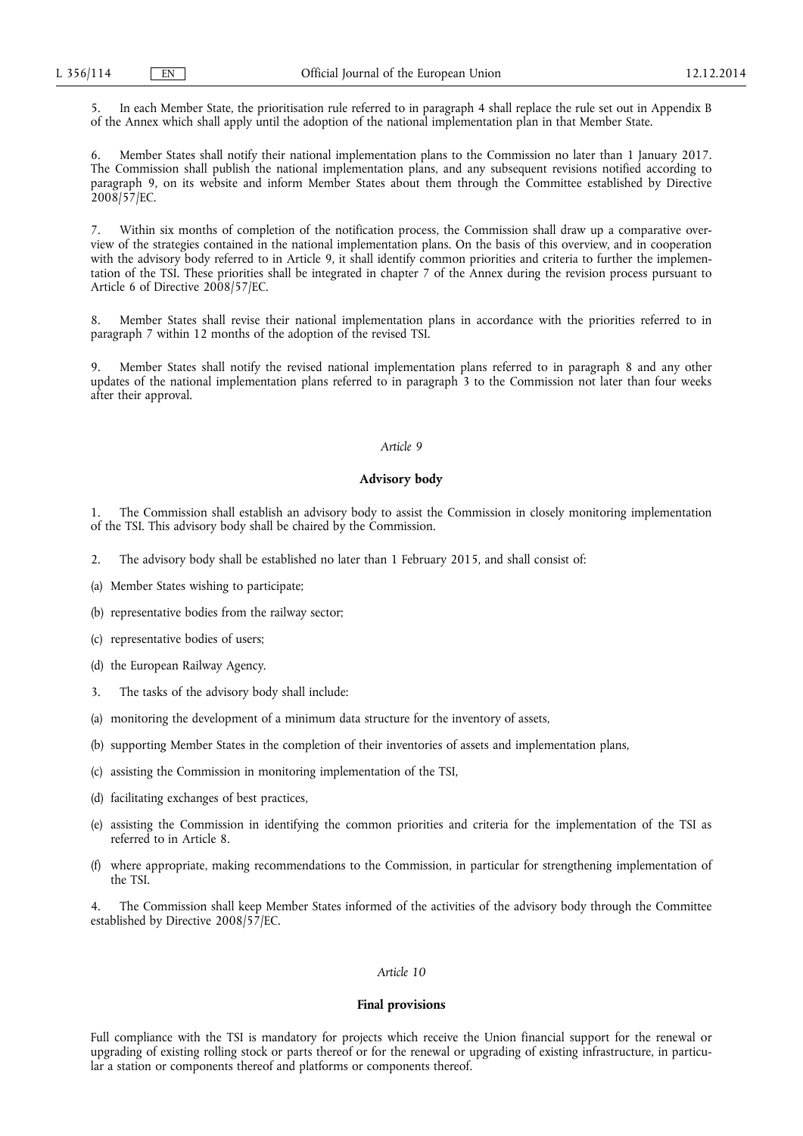5. In each Member State, the prioritisation rule referred to in paragraph 4 shall replace the rule set out in Appendix B of the Annex which shall apply until the adoption of the national implementation plan in that Member State.

6. Member States shall notify their national implementation plans to the Commission no later than 1 January 2017. The Commission shall publish the national implementation plans, and any subsequent revisions notified according to paragraph 9, on its website and inform Member States about them through the Committee established by Directive  $2008/57/EC$ .

7. Within six months of completion of the notification process, the Commission shall draw up a comparative overview of the strategies contained in the national implementation plans. On the basis of this overview, and in cooperation with the advisory body referred to in Article 9, it shall identify common priorities and criteria to further the implementation of the TSI. These priorities shall be integrated in chapter 7 of the Annex during the revision process pursuant to Article 6 of Directive 2008/57/EC.

8. Member States shall revise their national implementation plans in accordance with the priorities referred to in paragraph 7 within 12 months of the adoption of the revised TSI.

9. Member States shall notify the revised national implementation plans referred to in paragraph 8 and any other updates of the national implementation plans referred to in paragraph 3 to the Commission not later than four weeks after their approval.

#### *Article 9*

#### **Advisory body**

1. The Commission shall establish an advisory body to assist the Commission in closely monitoring implementation of the TSI. This advisory body shall be chaired by the Commission.

- 2. The advisory body shall be established no later than 1 February 2015, and shall consist of:
- (a) Member States wishing to participate;
- (b) representative bodies from the railway sector;
- (c) representative bodies of users;
- (d) the European Railway Agency.
- 3. The tasks of the advisory body shall include:
- (a) monitoring the development of a minimum data structure for the inventory of assets,
- (b) supporting Member States in the completion of their inventories of assets and implementation plans,
- (c) assisting the Commission in monitoring implementation of the TSI,
- (d) facilitating exchanges of best practices,
- (e) assisting the Commission in identifying the common priorities and criteria for the implementation of the TSI as referred to in Article 8.
- (f) where appropriate, making recommendations to the Commission, in particular for strengthening implementation of the TSI.

The Commission shall keep Member States informed of the activities of the advisory body through the Committee established by Directive 2008/57/EC.

### *Article 10*

#### **Final provisions**

Full compliance with the TSI is mandatory for projects which receive the Union financial support for the renewal or upgrading of existing rolling stock or parts thereof or for the renewal or upgrading of existing infrastructure, in particular a station or components thereof and platforms or components thereof.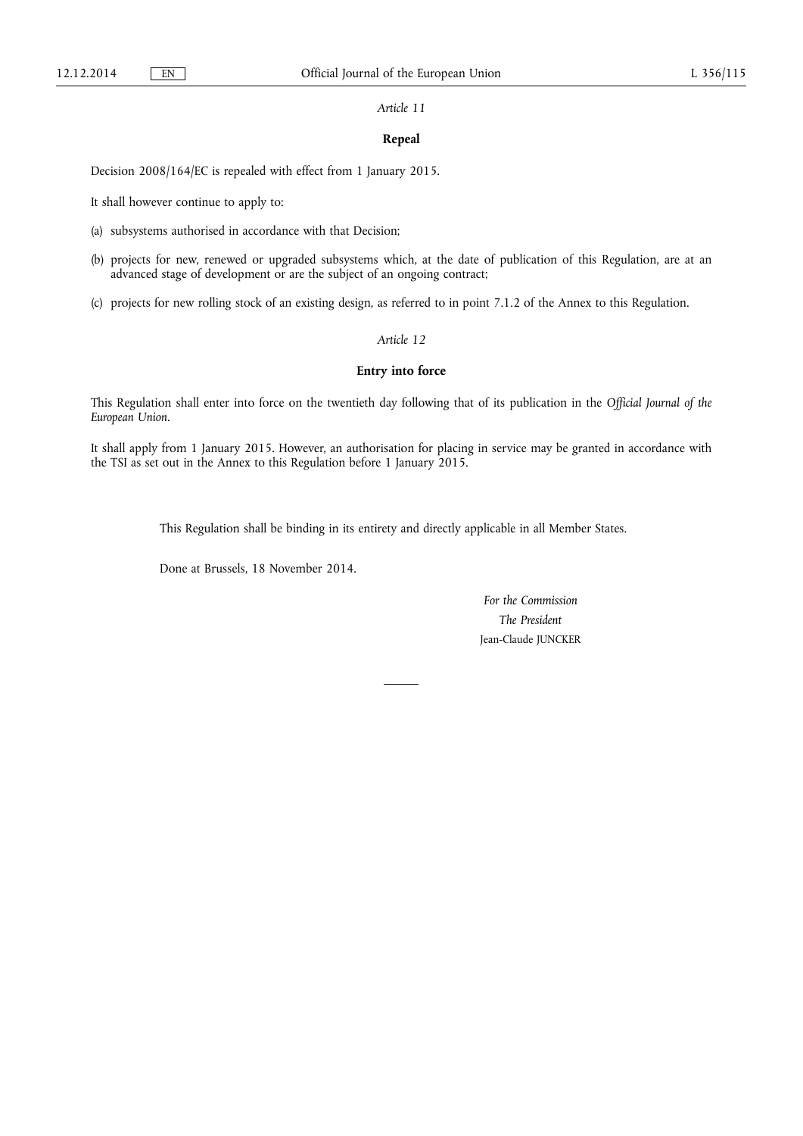## *Article 11*

## **Repeal**

Decision 2008/164/EC is repealed with effect from 1 January 2015.

It shall however continue to apply to:

- (a) subsystems authorised in accordance with that Decision;
- (b) projects for new, renewed or upgraded subsystems which, at the date of publication of this Regulation, are at an advanced stage of development or are the subject of an ongoing contract;

(c) projects for new rolling stock of an existing design, as referred to in point 7.1.2 of the Annex to this Regulation.

## *Article 12*

#### **Entry into force**

This Regulation shall enter into force on the twentieth day following that of its publication in the *Official Journal of the European Union*.

It shall apply from 1 January 2015. However, an authorisation for placing in service may be granted in accordance with the TSI as set out in the Annex to this Regulation before 1 January 2015.

This Regulation shall be binding in its entirety and directly applicable in all Member States.

Done at Brussels, 18 November 2014.

*For the Commission The President*  Jean-Claude JUNCKER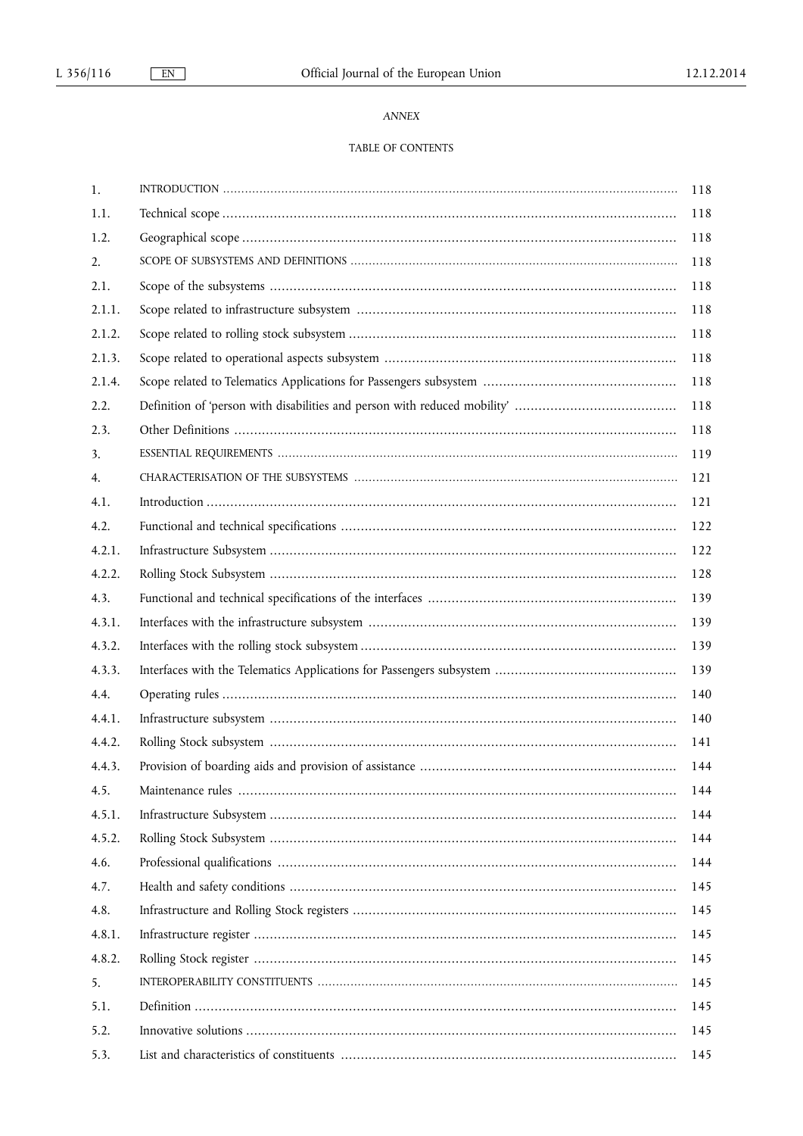## ANNEX

## TABLE OF CONTENTS

| 1.     | 118 |
|--------|-----|
| 1.1.   | 118 |
| 1.2.   | 118 |
| 2.     | 118 |
| 2.1.   | 118 |
| 2.1.1. | 118 |
| 2.1.2. | 118 |
| 2.1.3. | 118 |
| 2.1.4. | 118 |
| 2.2.   | 118 |
| 2.3.   | 118 |
| 3.     | 119 |
| 4.     | 121 |
| 4.1.   | 121 |
| 4.2.   | 122 |
| 4.2.1. | 122 |
| 4.2.2. | 128 |
| 4.3.   | 139 |
| 4.3.1. | 139 |
| 4.3.2. | 139 |
| 4.3.3. | 139 |
| 4.4.   | 140 |
| 4.4.1. | 140 |
| 4.4.2. | 141 |
| 4.4.3. | 144 |
| 4.5.   | 144 |
| 4.5.1. | 144 |
| 4.5.2. | 144 |
| 4.6.   | 144 |
| 4.7.   | 145 |
| 4.8.   | 145 |
| 4.8.1. | 145 |
| 4.8.2. | 145 |
| 5.     | 145 |
| 5.1.   | 145 |
| 5.2.   | 145 |
| 5.3.   | 145 |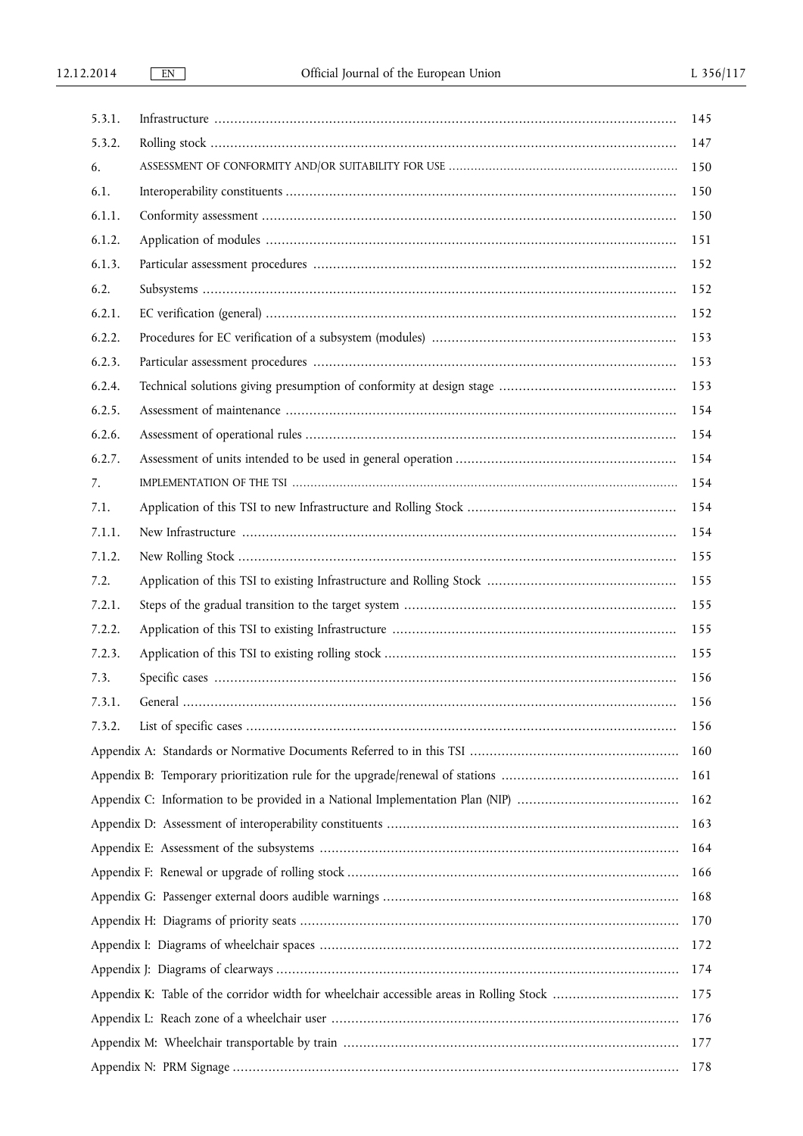| 5.3.1. | 145 |
|--------|-----|
| 5.3.2. | 147 |
| 6.     | 150 |
| 6.1.   | 150 |
| 6.1.1. | 150 |
| 6.1.2. | 151 |
| 6.1.3. | 152 |
| 6.2.   | 152 |
| 6.2.1. | 152 |
| 6.2.2. | 153 |
| 6.2.3. | 153 |
| 6.2.4. | 153 |
| 6.2.5. | 154 |
| 6.2.6. | 154 |
| 6.2.7. | 154 |
| 7.     | 154 |
| 7.1.   | 154 |
| 7.1.1. | 154 |
| 7.1.2. | 155 |
| 7.2.   | 155 |
| 7.2.1. | 155 |
| 7.2.2. | 155 |
| 7.2.3. | 155 |
| 7.3.   | 156 |
| 7.3.1. | 156 |
| 7.3.2. | 156 |
|        | 160 |
|        | 161 |
|        | 162 |
|        | 163 |
|        | 164 |
|        | 166 |
|        | 168 |
|        | 170 |
|        | 172 |
|        | 174 |
|        | 175 |
|        | 176 |
|        | 177 |
|        | 178 |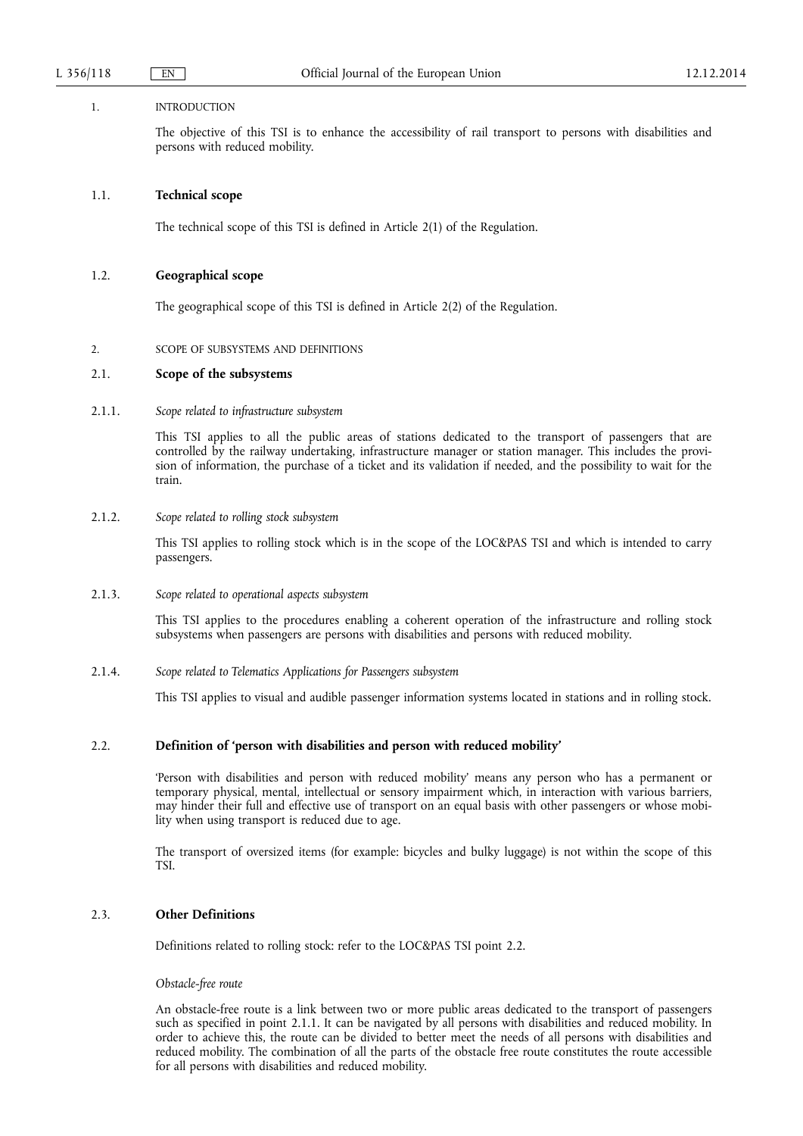#### 1. INTRODUCTION

The objective of this TSI is to enhance the accessibility of rail transport to persons with disabilities and persons with reduced mobility.

#### 1.1. **Technical scope**

The technical scope of this TSI is defined in Article 2(1) of the Regulation.

#### 1.2. **Geographical scope**

The geographical scope of this TSI is defined in Article 2(2) of the Regulation.

## 2. SCOPE OF SUBSYSTEMS AND DEFINITIONS

#### 2.1. **Scope of the subsystems**

#### 2.1.1. *Scope related to infrastructure subsystem*

This TSI applies to all the public areas of stations dedicated to the transport of passengers that are controlled by the railway undertaking, infrastructure manager or station manager. This includes the provision of information, the purchase of a ticket and its validation if needed, and the possibility to wait for the train.

#### 2.1.2. *Scope related to rolling stock subsystem*

This TSI applies to rolling stock which is in the scope of the LOC&PAS TSI and which is intended to carry passengers.

#### 2.1.3. *Scope related to operational aspects subsystem*

This TSI applies to the procedures enabling a coherent operation of the infrastructure and rolling stock subsystems when passengers are persons with disabilities and persons with reduced mobility.

## 2.1.4. *Scope related to Telematics Applications for Passengers subsystem*

This TSI applies to visual and audible passenger information systems located in stations and in rolling stock.

## 2.2. **Definition of 'person with disabilities and person with reduced mobility'**

'Person with disabilities and person with reduced mobility' means any person who has a permanent or temporary physical, mental, intellectual or sensory impairment which, in interaction with various barriers, may hinder their full and effective use of transport on an equal basis with other passengers or whose mobility when using transport is reduced due to age.

The transport of oversized items (for example: bicycles and bulky luggage) is not within the scope of this TSI.

## 2.3. **Other Definitions**

Definitions related to rolling stock: refer to the LOC&PAS TSI point 2.2.

#### *Obstacle-free route*

An obstacle-free route is a link between two or more public areas dedicated to the transport of passengers such as specified in point 2.1.1. It can be navigated by all persons with disabilities and reduced mobility. In order to achieve this, the route can be divided to better meet the needs of all persons with disabilities and reduced mobility. The combination of all the parts of the obstacle free route constitutes the route accessible for all persons with disabilities and reduced mobility.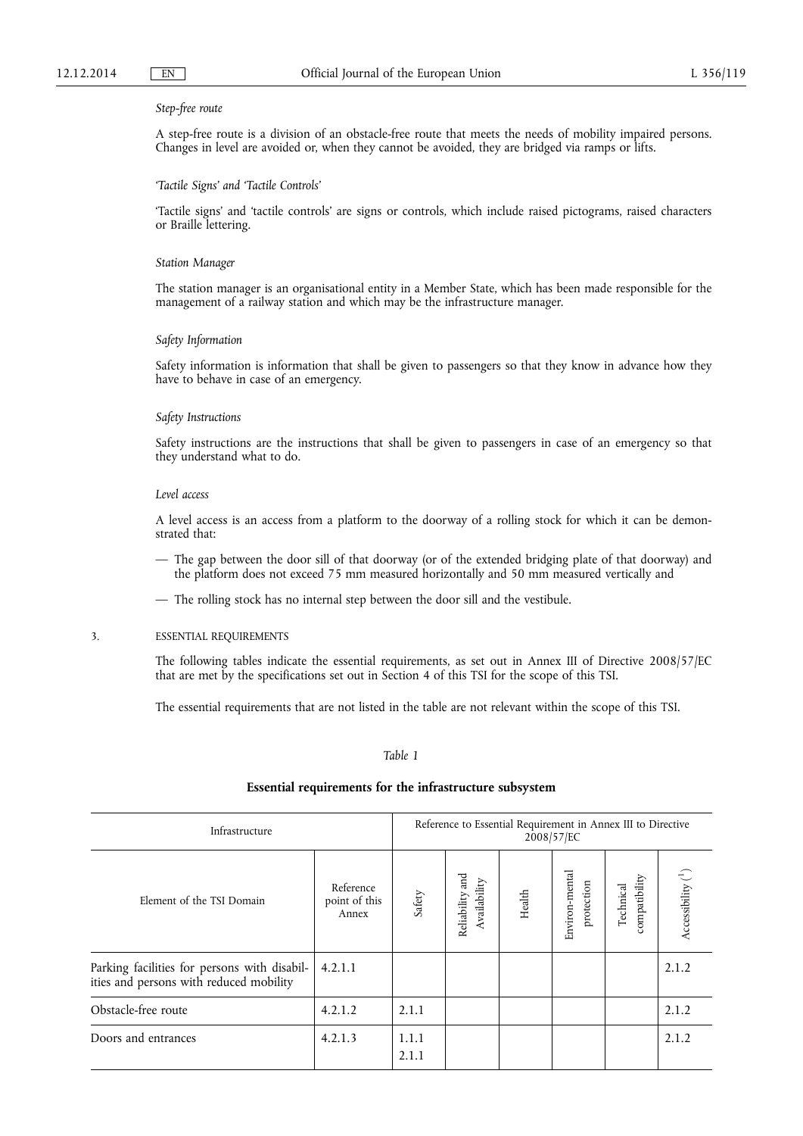#### *Step-free route*

A step-free route is a division of an obstacle-free route that meets the needs of mobility impaired persons. Changes in level are avoided or, when they cannot be avoided, they are bridged via ramps or lifts.

#### *'Tactile Signs' and 'Tactile Controls'*

'Tactile signs' and 'tactile controls' are signs or controls, which include raised pictograms, raised characters or Braille lettering.

#### *Station Manager*

The station manager is an organisational entity in a Member State, which has been made responsible for the management of a railway station and which may be the infrastructure manager.

#### *Safety Information*

Safety information is information that shall be given to passengers so that they know in advance how they have to behave in case of an emergency.

#### *Safety Instructions*

Safety instructions are the instructions that shall be given to passengers in case of an emergency so that they understand what to do.

#### *Level access*

A level access is an access from a platform to the doorway of a rolling stock for which it can be demonstrated that:

- The gap between the door sill of that doorway (or of the extended bridging plate of that doorway) and the platform does not exceed 75 mm measured horizontally and 50 mm measured vertically and
- The rolling stock has no internal step between the door sill and the vestibule.

#### 3. ESSENTIAL REQUIREMENTS

The following tables indicate the essential requirements, as set out in Annex III of Directive 2008/57/EC that are met by the specifications set out in Section 4 of this TSI for the scope of this TSI.

The essential requirements that are not listed in the table are not relevant within the scope of this TSI.

### *Table 1*

## **Essential requirements for the infrastructure subsystem**

| Infrastructure                                                                                    |                                     |                | Reference to Essential Requirement in Annex III to Directive<br>2008/57/EC |        |                              |                            |                        |
|---------------------------------------------------------------------------------------------------|-------------------------------------|----------------|----------------------------------------------------------------------------|--------|------------------------------|----------------------------|------------------------|
| Element of the TSI Domain                                                                         | Reference<br>point of this<br>Annex | Safety         | Reliability and<br>Availability                                            | Health | Environ-mental<br>protection | compatibility<br>Technical | Accessibility $(^{1})$ |
| Parking facilities for persons with disabil-   4.2.1.1<br>ities and persons with reduced mobility |                                     |                |                                                                            |        |                              |                            | 2.1.2                  |
| Obstacle-free route                                                                               | 4.2.1.2                             | 2.1.1          |                                                                            |        |                              |                            | 2.1.2                  |
| Doors and entrances                                                                               | 4.2.1.3                             | 1.1.1<br>2.1.1 |                                                                            |        |                              |                            | 2.1.2                  |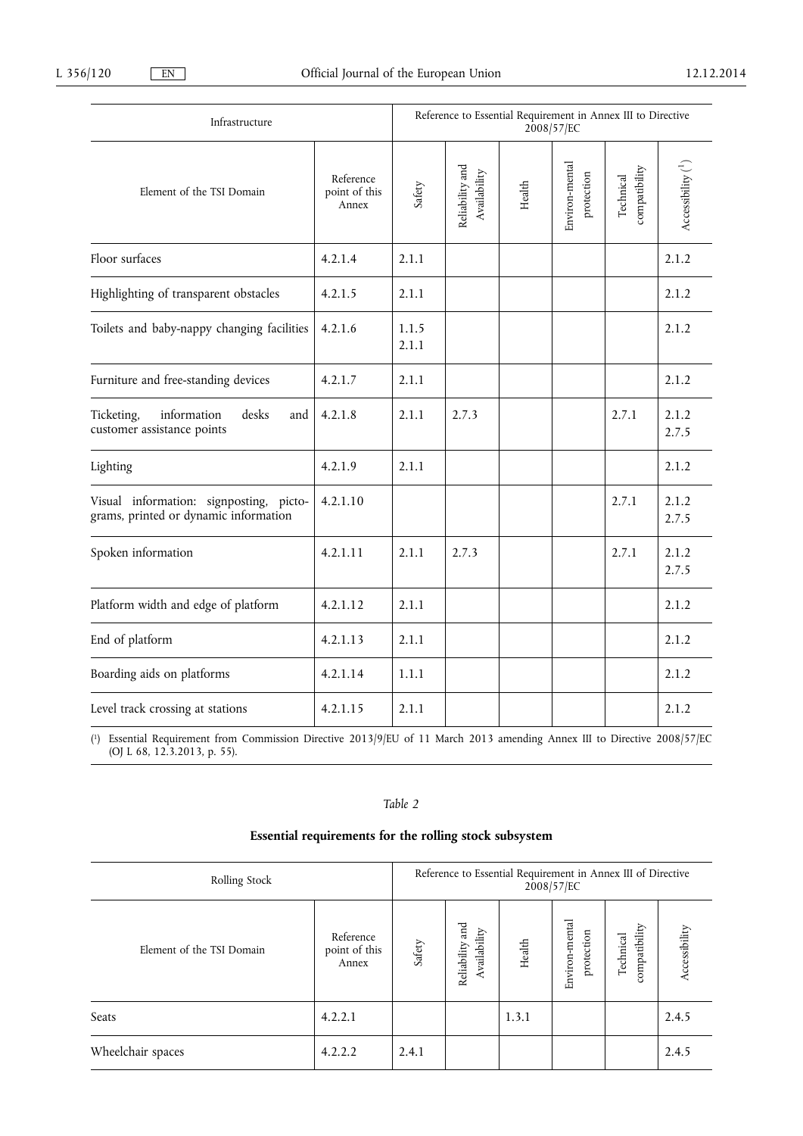| Infrastructure                                                                   |                                     |                | Reference to Essential Requirement in Annex III to Directive<br>2008/57/EC |        |                              |                            |                              |  |
|----------------------------------------------------------------------------------|-------------------------------------|----------------|----------------------------------------------------------------------------|--------|------------------------------|----------------------------|------------------------------|--|
| Element of the TSI Domain                                                        | Reference<br>point of this<br>Annex | Safety         | Reliability and<br>Availability                                            | Health | Environ-mental<br>protection | compatibility<br>Technical | Accessibility $\binom{1}{x}$ |  |
| Floor surfaces                                                                   | 4.2.1.4                             | 2.1.1          |                                                                            |        |                              |                            | 2.1.2                        |  |
| Highlighting of transparent obstacles                                            | 4.2.1.5                             | 2.1.1          |                                                                            |        |                              |                            | 2.1.2                        |  |
| Toilets and baby-nappy changing facilities                                       | 4.2.1.6                             | 1.1.5<br>2.1.1 |                                                                            |        |                              |                            | 2.1.2                        |  |
| Furniture and free-standing devices                                              | 4.2.1.7                             | 2.1.1          |                                                                            |        |                              |                            | 2.1.2                        |  |
| Ticketing,<br>information<br>desks<br>and<br>customer assistance points          | 4.2.1.8                             | 2.1.1          | 2.7.3                                                                      |        |                              | 2.7.1                      | 2.1.2<br>2.7.5               |  |
| Lighting                                                                         | 4.2.1.9                             | 2.1.1          |                                                                            |        |                              |                            | 2.1.2                        |  |
| Visual information: signposting, picto-<br>grams, printed or dynamic information | 4.2.1.10                            |                |                                                                            |        |                              | 2.7.1                      | 2.1.2<br>2.7.5               |  |
| Spoken information                                                               | 4.2.1.11                            | 2.1.1          | 2.7.3                                                                      |        |                              | 2.7.1                      | 2.1.2<br>2.7.5               |  |
| Platform width and edge of platform                                              | 4.2.1.12                            | 2.1.1          |                                                                            |        |                              |                            | 2.1.2                        |  |
| End of platform                                                                  | 4.2.1.13                            | 2.1.1          |                                                                            |        |                              |                            | 2.1.2                        |  |
| Boarding aids on platforms                                                       | 4.2.1.14                            | 1.1.1          |                                                                            |        |                              |                            | 2.1.2                        |  |
| Level track crossing at stations                                                 | 4.2.1.15                            | 2.1.1          |                                                                            |        |                              |                            | 2.1.2                        |  |

( 1) Essential Requirement from Commission Directive 2013/9/EU of 11 March 2013 amending Annex III to Directive 2008/57/EC (OJ L 68, 12.3.2013, p. 55).

## *Table 2*

# **Essential requirements for the rolling stock subsystem**

| Rolling Stock             |                                     |        | Reference to Essential Requirement in Annex III of Directive<br>2008/57/EC |        |                              |                            |               |
|---------------------------|-------------------------------------|--------|----------------------------------------------------------------------------|--------|------------------------------|----------------------------|---------------|
| Element of the TSI Domain | Reference<br>point of this<br>Annex | Safety | and<br>Availability<br>Reliability                                         | Health | Environ-mental<br>protection | compatibility<br>Technical | Accessibility |
| Seats                     | 4.2.2.1                             |        |                                                                            | 1.3.1  |                              |                            | 2.4.5         |
| Wheelchair spaces         | 4.2.2.2                             | 2.4.1  |                                                                            |        |                              |                            | 2.4.5         |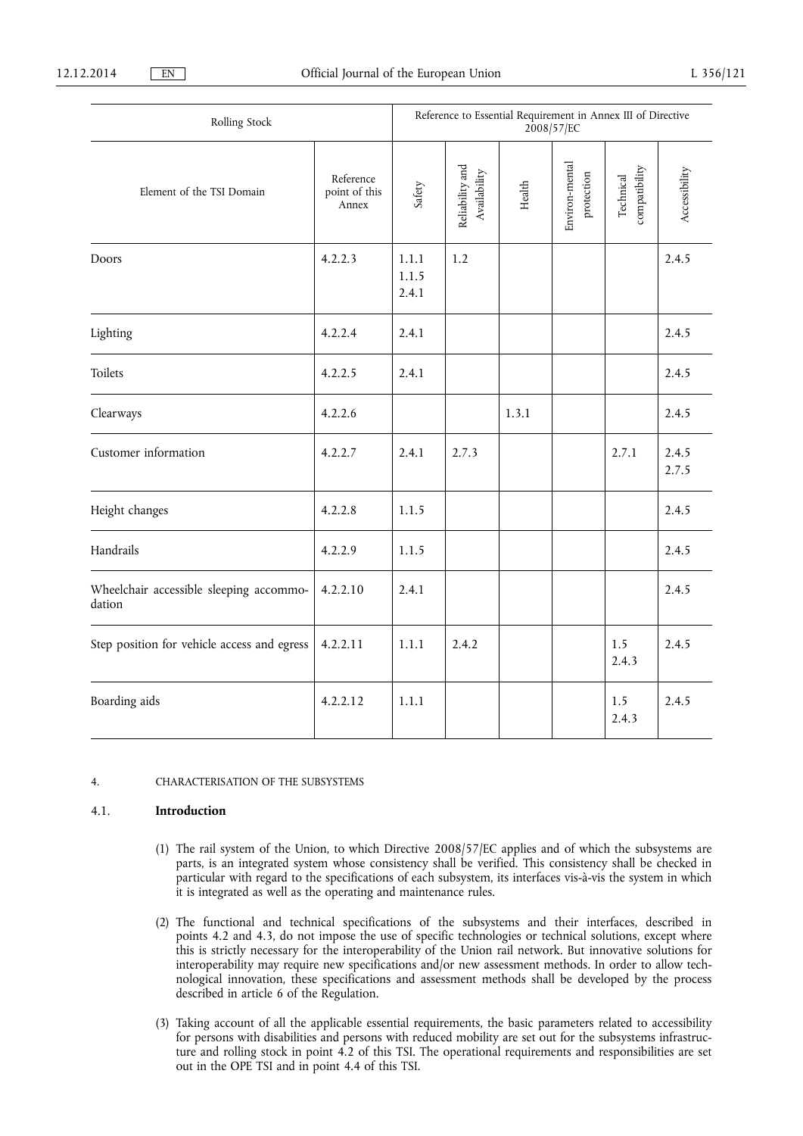| Rolling Stock                                     |                                     |                         | Reference to Essential Requirement in Annex III of Directive<br>2008/57/EC |        |                              |                            |                |
|---------------------------------------------------|-------------------------------------|-------------------------|----------------------------------------------------------------------------|--------|------------------------------|----------------------------|----------------|
| Element of the TSI Domain                         | Reference<br>point of this<br>Annex | Safety                  | Reliability and<br>Availability                                            | Health | Environ-mental<br>protection | compatibility<br>Technical | Accessibility  |
| Doors                                             | 4.2.2.3                             | 1.1.1<br>1.1.5<br>2.4.1 | 1.2                                                                        |        |                              |                            | 2.4.5          |
| Lighting                                          | 4.2.2.4                             | 2.4.1                   |                                                                            |        |                              |                            | 2.4.5          |
| Toilets                                           | 4.2.2.5                             | 2.4.1                   |                                                                            |        |                              |                            | 2.4.5          |
| Clearways                                         | 4.2.2.6                             |                         |                                                                            | 1.3.1  |                              |                            | 2.4.5          |
| Customer information                              | 4.2.2.7                             | 2.4.1                   | 2.7.3                                                                      |        |                              | 2.7.1                      | 2.4.5<br>2.7.5 |
| Height changes                                    | 4.2.2.8                             | 1.1.5                   |                                                                            |        |                              |                            | 2.4.5          |
| Handrails                                         | 4.2.2.9                             | 1.1.5                   |                                                                            |        |                              |                            | 2.4.5          |
| Wheelchair accessible sleeping accommo-<br>dation | 4.2.2.10                            | 2.4.1                   |                                                                            |        |                              |                            | 2.4.5          |
| Step position for vehicle access and egress       | 4.2.2.11                            | 1.1.1                   | 2.4.2                                                                      |        |                              | 1.5<br>2.4.3               | 2.4.5          |
| Boarding aids                                     | 4.2.2.12                            | 1.1.1                   |                                                                            |        |                              | 1.5<br>2.4.3               | 2.4.5          |

### 4. CHARACTERISATION OF THE SUBSYSTEMS

### 4.1. **Introduction**

- (1) The rail system of the Union, to which Directive 2008/57/EC applies and of which the subsystems are parts, is an integrated system whose consistency shall be verified. This consistency shall be checked in particular with regard to the specifications of each subsystem, its interfaces vis-à-vis the system in which it is integrated as well as the operating and maintenance rules.
- (2) The functional and technical specifications of the subsystems and their interfaces, described in points 4.2 and 4.3, do not impose the use of specific technologies or technical solutions, except where this is strictly necessary for the interoperability of the Union rail network. But innovative solutions for interoperability may require new specifications and/or new assessment methods. In order to allow technological innovation, these specifications and assessment methods shall be developed by the process described in article 6 of the Regulation.
- (3) Taking account of all the applicable essential requirements, the basic parameters related to accessibility for persons with disabilities and persons with reduced mobility are set out for the subsystems infrastructure and rolling stock in point 4.2 of this TSI. The operational requirements and responsibilities are set out in the OPE TSI and in point 4.4 of this TSI.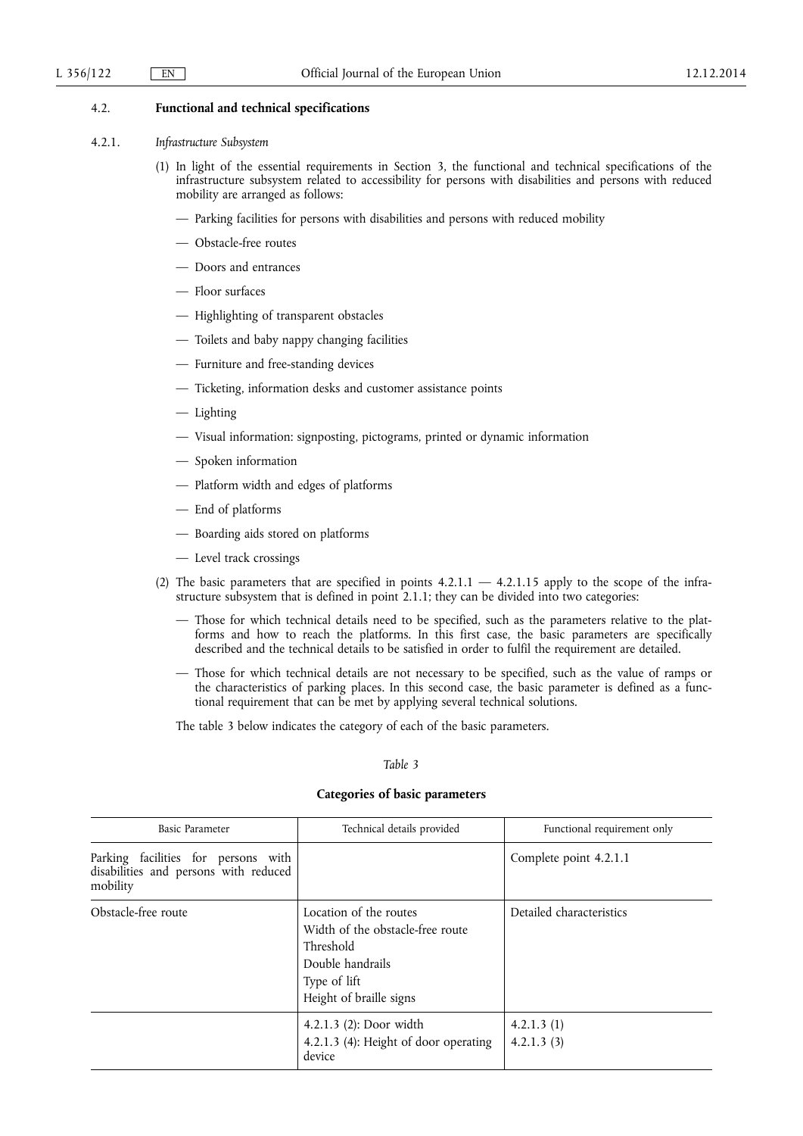## 4.2. **Functional and technical specifications**

#### 4.2.1. *Infrastructure Subsystem*

- (1) In light of the essential requirements in Section 3, the functional and technical specifications of the infrastructure subsystem related to accessibility for persons with disabilities and persons with reduced mobility are arranged as follows:
	- Parking facilities for persons with disabilities and persons with reduced mobility
	- Obstacle-free routes
	- Doors and entrances
	- Floor surfaces
	- Highlighting of transparent obstacles
	- Toilets and baby nappy changing facilities
	- Furniture and free-standing devices
	- Ticketing, information desks and customer assistance points
	- Lighting
	- Visual information: signposting, pictograms, printed or dynamic information
	- Spoken information
	- Platform width and edges of platforms
	- End of platforms
	- Boarding aids stored on platforms
	- Level track crossings
- (2) The basic parameters that are specified in points  $4.2.1.1 4.2.1.15$  apply to the scope of the infrastructure subsystem that is defined in point 2.1.1; they can be divided into two categories:
	- Those for which technical details need to be specified, such as the parameters relative to the platforms and how to reach the platforms. In this first case, the basic parameters are specifically described and the technical details to be satisfied in order to fulfil the requirement are detailed.
	- Those for which technical details are not necessary to be specified, such as the value of ramps or the characteristics of parking places. In this second case, the basic parameter is defined as a functional requirement that can be met by applying several technical solutions.

The table 3 below indicates the category of each of the basic parameters.

### *Table 3*

## **Categories of basic parameters**

| Basic Parameter                                                                          | Technical details provided                                                                                                             | Functional requirement only |  |
|------------------------------------------------------------------------------------------|----------------------------------------------------------------------------------------------------------------------------------------|-----------------------------|--|
| Parking facilities for persons with<br>disabilities and persons with reduced<br>mobility |                                                                                                                                        | Complete point 4.2.1.1      |  |
| Obstacle-free route                                                                      | Location of the routes<br>Width of the obstacle-free route<br>Threshold<br>Double handrails<br>Type of lift<br>Height of braille signs | Detailed characteristics    |  |
|                                                                                          | 4.2.1.3 $(2)$ : Door width<br>4.2.1.3 (4): Height of door operating<br>device                                                          | 4.2.1.3(1)<br>4.2.1.3(3)    |  |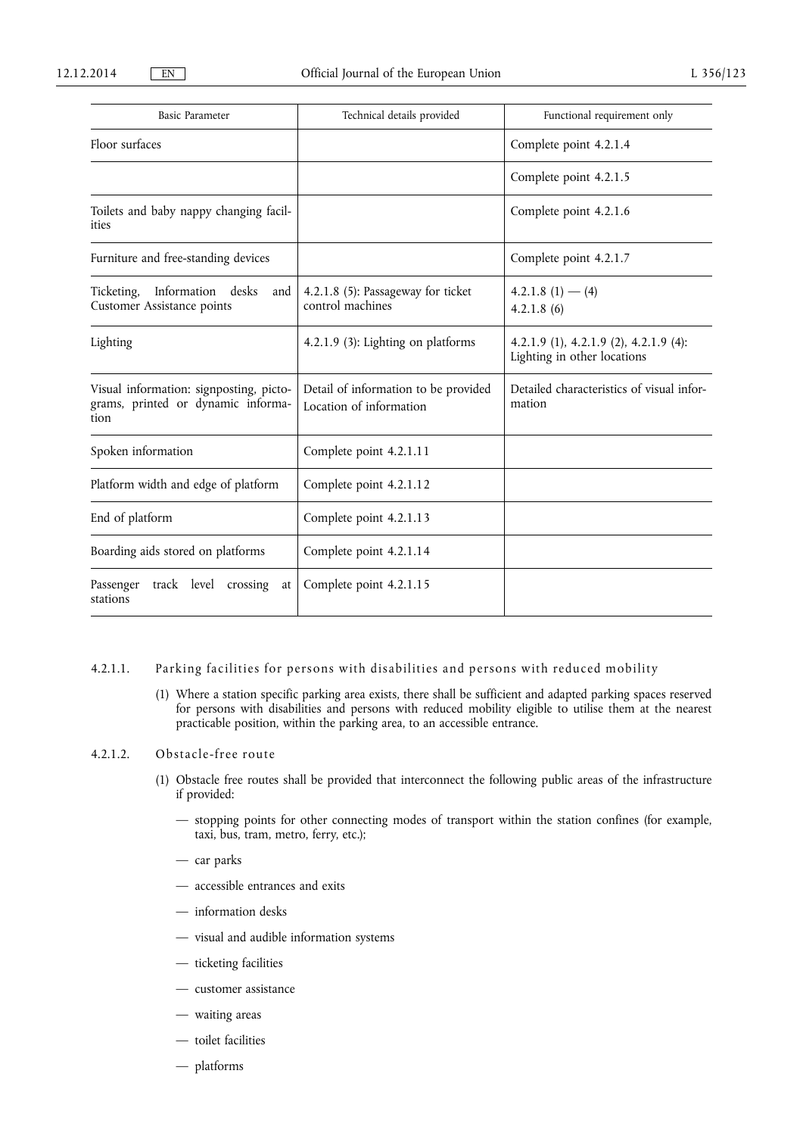| <b>Basic Parameter</b>                                                                | Technical details provided                                      | Functional requirement only                                           |  |  |
|---------------------------------------------------------------------------------------|-----------------------------------------------------------------|-----------------------------------------------------------------------|--|--|
| Floor surfaces                                                                        |                                                                 | Complete point 4.2.1.4                                                |  |  |
|                                                                                       |                                                                 | Complete point 4.2.1.5                                                |  |  |
| Toilets and baby nappy changing facil-<br>ities                                       |                                                                 | Complete point 4.2.1.6                                                |  |  |
| Furniture and free-standing devices                                                   |                                                                 | Complete point 4.2.1.7                                                |  |  |
| Ticketing, Information desks<br>and<br><b>Customer Assistance points</b>              | 4.2.1.8 (5): Passageway for ticket<br>control machines          | $4.2.1.8(1) - (4)$<br>4.2.1.8(6)                                      |  |  |
| Lighting                                                                              | 4.2.1.9 (3): Lighting on platforms                              | 4.2.1.9 (1), 4.2.1.9 (2), 4.2.1.9 (4):<br>Lighting in other locations |  |  |
| Visual information: signposting, picto-<br>grams, printed or dynamic informa-<br>tion | Detail of information to be provided<br>Location of information | Detailed characteristics of visual infor-<br>mation                   |  |  |
| Spoken information                                                                    | Complete point 4.2.1.11                                         |                                                                       |  |  |
| Platform width and edge of platform                                                   | Complete point 4.2.1.12                                         |                                                                       |  |  |
| End of platform                                                                       | Complete point 4.2.1.13                                         |                                                                       |  |  |
| Boarding aids stored on platforms                                                     | Complete point 4.2.1.14                                         |                                                                       |  |  |
| track level crossing<br>Passenger<br>at<br>stations                                   | Complete point 4.2.1.15                                         |                                                                       |  |  |

### 4.2.1.1. Parking facilities for persons with disabilities and persons with reduced mobility

(1) Where a station specific parking area exists, there shall be sufficient and adapted parking spaces reserved for persons with disabilities and persons with reduced mobility eligible to utilise them at the nearest practicable position, within the parking area, to an accessible entrance.

## 4.2.1.2. Obstacle-free route

- (1) Obstacle free routes shall be provided that interconnect the following public areas of the infrastructure if provided:
	- stopping points for other connecting modes of transport within the station confines (for example, taxi, bus, tram, metro, ferry, etc.);
	- car parks
	- accessible entrances and exits
	- information desks
	- visual and audible information systems
	- ticketing facilities
	- customer assistance
	- waiting areas
	- toilet facilities
	- platforms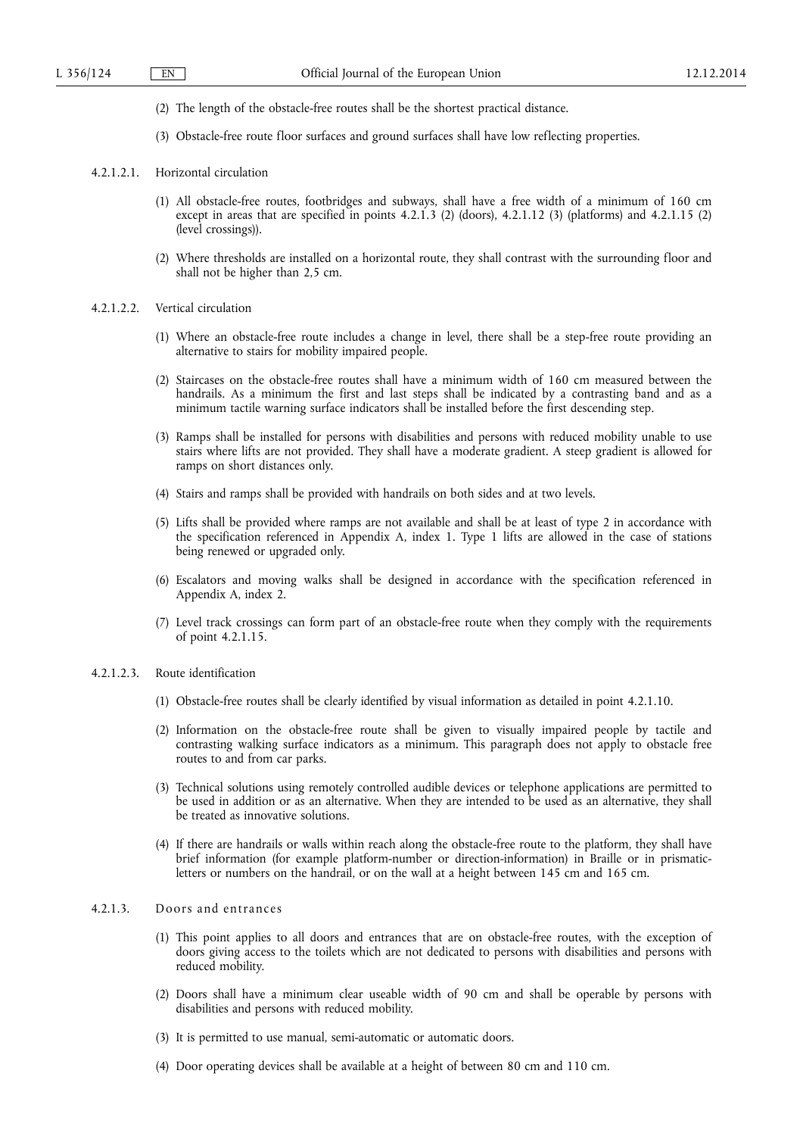- (2) The length of the obstacle-free routes shall be the shortest practical distance.
- (3) Obstacle-free route floor surfaces and ground surfaces shall have low reflecting properties.
- 4.2.1.2.1. Horizontal circulation
	- (1) All obstacle-free routes, footbridges and subways, shall have a free width of a minimum of 160 cm except in areas that are specified in points  $4.2.1.3$  (2) (doors),  $4.2.1.12$  (3) (platforms) and  $4.2.1.15$  (2) (level crossings)).
	- (2) Where thresholds are installed on a horizontal route, they shall contrast with the surrounding floor and shall not be higher than 2,5 cm.
- 4.2.1.2.2. Vertical circulation
	- (1) Where an obstacle-free route includes a change in level, there shall be a step-free route providing an alternative to stairs for mobility impaired people.
	- (2) Staircases on the obstacle-free routes shall have a minimum width of 160 cm measured between the handrails. As a minimum the first and last steps shall be indicated by a contrasting band and as a minimum tactile warning surface indicators shall be installed before the first descending step.
	- (3) Ramps shall be installed for persons with disabilities and persons with reduced mobility unable to use stairs where lifts are not provided. They shall have a moderate gradient. A steep gradient is allowed for ramps on short distances only.
	- (4) Stairs and ramps shall be provided with handrails on both sides and at two levels.
	- (5) Lifts shall be provided where ramps are not available and shall be at least of type 2 in accordance with the specification referenced in Appendix A, index 1. Type 1 lifts are allowed in the case of stations being renewed or upgraded only.
	- (6) Escalators and moving walks shall be designed in accordance with the specification referenced in Appendix A, index 2.
	- (7) Level track crossings can form part of an obstacle-free route when they comply with the requirements of point 4.2.1.15.
- 4.2.1.2.3. Route identification
	- (1) Obstacle-free routes shall be clearly identified by visual information as detailed in point 4.2.1.10.
	- (2) Information on the obstacle-free route shall be given to visually impaired people by tactile and contrasting walking surface indicators as a minimum. This paragraph does not apply to obstacle free routes to and from car parks.
	- (3) Technical solutions using remotely controlled audible devices or telephone applications are permitted to be used in addition or as an alternative. When they are intended to be used as an alternative, they shall be treated as innovative solutions.
	- (4) If there are handrails or walls within reach along the obstacle-free route to the platform, they shall have brief information (for example platform-number or direction-information) in Braille or in prismaticletters or numbers on the handrail, or on the wall at a height between 145 cm and 165 cm.

## 4.2.1.3. Doors and entrances

- (1) This point applies to all doors and entrances that are on obstacle-free routes, with the exception of doors giving access to the toilets which are not dedicated to persons with disabilities and persons with reduced mobility.
- (2) Doors shall have a minimum clear useable width of 90 cm and shall be operable by persons with disabilities and persons with reduced mobility.
- (3) It is permitted to use manual, semi-automatic or automatic doors.
- (4) Door operating devices shall be available at a height of between 80 cm and 110 cm.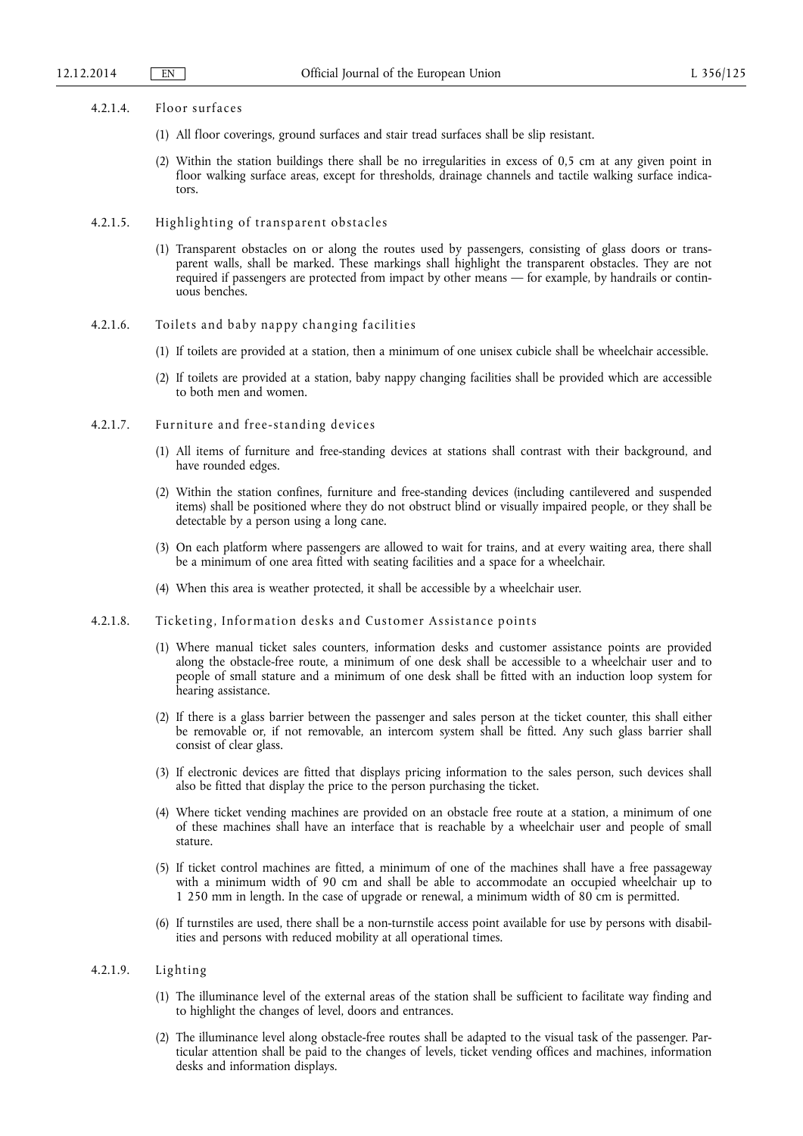#### 4.2.1.4. Floor surfaces

- (1) All floor coverings, ground surfaces and stair tread surfaces shall be slip resistant.
- (2) Within the station buildings there shall be no irregularities in excess of 0,5 cm at any given point in floor walking surface areas, except for thresholds, drainage channels and tactile walking surface indicators.
- 4.2.1.5. Highlighting of transparent obstacles
	- (1) Transparent obstacles on or along the routes used by passengers, consisting of glass doors or transparent walls, shall be marked. These markings shall highlight the transparent obstacles. They are not required if passengers are protected from impact by other means — for example, by handrails or continuous benches.
- 4.2.1.6. Toilets and baby nappy changing facilities
	- (1) If toilets are provided at a station, then a minimum of one unisex cubicle shall be wheelchair accessible.
	- (2) If toilets are provided at a station, baby nappy changing facilities shall be provided which are accessible to both men and women.
- 4.2.1.7. Furniture and free-standing devices
	- (1) All items of furniture and free-standing devices at stations shall contrast with their background, and have rounded edges.
	- (2) Within the station confines, furniture and free-standing devices (including cantilevered and suspended items) shall be positioned where they do not obstruct blind or visually impaired people, or they shall be detectable by a person using a long cane.
	- (3) On each platform where passengers are allowed to wait for trains, and at every waiting area, there shall be a minimum of one area fitted with seating facilities and a space for a wheelchair.
	- (4) When this area is weather protected, it shall be accessible by a wheelchair user.
- 4.2.1.8. Ticketing, Information desks and Customer Assistance points
	- (1) Where manual ticket sales counters, information desks and customer assistance points are provided along the obstacle-free route, a minimum of one desk shall be accessible to a wheelchair user and to people of small stature and a minimum of one desk shall be fitted with an induction loop system for hearing assistance.
	- (2) If there is a glass barrier between the passenger and sales person at the ticket counter, this shall either be removable or, if not removable, an intercom system shall be fitted. Any such glass barrier shall consist of clear glass.
	- (3) If electronic devices are fitted that displays pricing information to the sales person, such devices shall also be fitted that display the price to the person purchasing the ticket.
	- (4) Where ticket vending machines are provided on an obstacle free route at a station, a minimum of one of these machines shall have an interface that is reachable by a wheelchair user and people of small stature.
	- (5) If ticket control machines are fitted, a minimum of one of the machines shall have a free passageway with a minimum width of 90 cm and shall be able to accommodate an occupied wheelchair up to 1 250 mm in length. In the case of upgrade or renewal, a minimum width of 80 cm is permitted.
	- (6) If turnstiles are used, there shall be a non-turnstile access point available for use by persons with disabilities and persons with reduced mobility at all operational times.

## 4.2.1.9. Lighting

- (1) The illuminance level of the external areas of the station shall be sufficient to facilitate way finding and to highlight the changes of level, doors and entrances.
- (2) The illuminance level along obstacle-free routes shall be adapted to the visual task of the passenger. Particular attention shall be paid to the changes of levels, ticket vending offices and machines, information desks and information displays.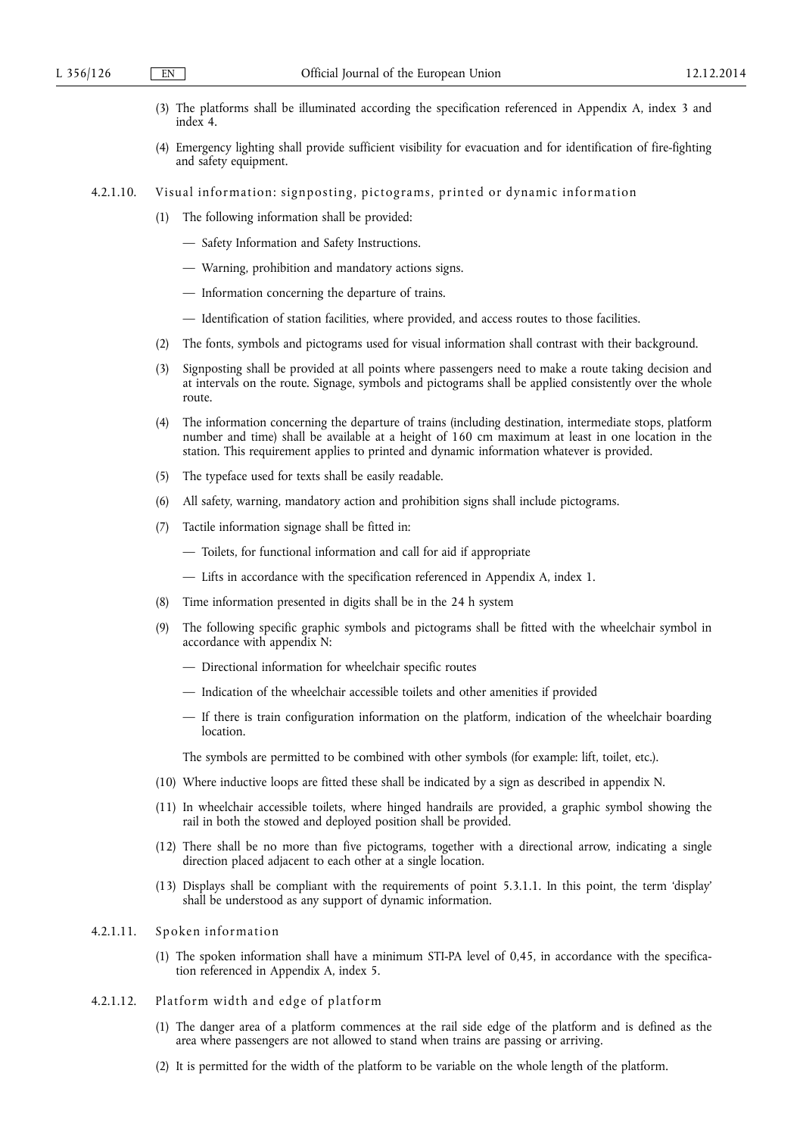- (3) The platforms shall be illuminated according the specification referenced in Appendix A, index 3 and index 4.
- (4) Emergency lighting shall provide sufficient visibility for evacuation and for identification of fire-fighting and safety equipment.
- 4.2.1.10. Visual information: signposting, pictograms, printed or dynamic information
	- (1) The following information shall be provided:
		- Safety Information and Safety Instructions.
		- Warning, prohibition and mandatory actions signs.
		- Information concerning the departure of trains.
		- Identification of station facilities, where provided, and access routes to those facilities.
	- (2) The fonts, symbols and pictograms used for visual information shall contrast with their background.
	- (3) Signposting shall be provided at all points where passengers need to make a route taking decision and at intervals on the route. Signage, symbols and pictograms shall be applied consistently over the whole route.
	- (4) The information concerning the departure of trains (including destination, intermediate stops, platform number and time) shall be available at a height of 160 cm maximum at least in one location in the station. This requirement applies to printed and dynamic information whatever is provided.
	- (5) The typeface used for texts shall be easily readable.
	- (6) All safety, warning, mandatory action and prohibition signs shall include pictograms.
	- (7) Tactile information signage shall be fitted in:
		- Toilets, for functional information and call for aid if appropriate
		- Lifts in accordance with the specification referenced in Appendix A, index 1.
	- (8) Time information presented in digits shall be in the 24 h system
	- (9) The following specific graphic symbols and pictograms shall be fitted with the wheelchair symbol in accordance with appendix N:
		- Directional information for wheelchair specific routes
		- Indication of the wheelchair accessible toilets and other amenities if provided
		- If there is train configuration information on the platform, indication of the wheelchair boarding **location**

The symbols are permitted to be combined with other symbols (for example: lift, toilet, etc.).

- (10) Where inductive loops are fitted these shall be indicated by a sign as described in appendix N.
- (11) In wheelchair accessible toilets, where hinged handrails are provided, a graphic symbol showing the rail in both the stowed and deployed position shall be provided.
- (12) There shall be no more than five pictograms, together with a directional arrow, indicating a single direction placed adjacent to each other at a single location.
- (13) Displays shall be compliant with the requirements of point 5.3.1.1. In this point, the term 'display' shall be understood as any support of dynamic information.

## 4.2.1.11. Spoken information

- (1) The spoken information shall have a minimum STI-PA level of 0,45, in accordance with the specification referenced in Appendix A, index 5.
- 4.2.1.12. Platform width and edge of platform
	- (1) The danger area of a platform commences at the rail side edge of the platform and is defined as the area where passengers are not allowed to stand when trains are passing or arriving.
	- (2) It is permitted for the width of the platform to be variable on the whole length of the platform.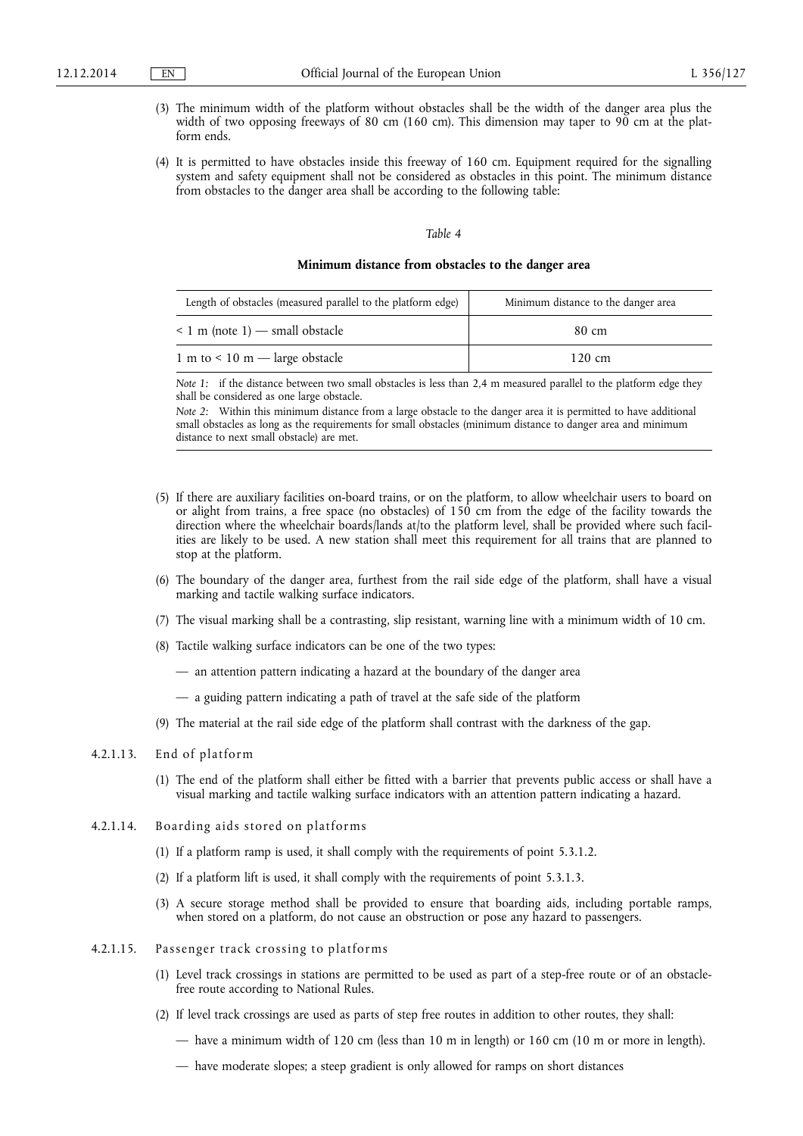- (3) The minimum width of the platform without obstacles shall be the width of the danger area plus the width of two opposing freeways of 80 cm (160 cm). This dimension may taper to 90 cm at the platform ends.
- (4) It is permitted to have obstacles inside this freeway of 160 cm. Equipment required for the signalling system and safety equipment shall not be considered as obstacles in this point. The minimum distance from obstacles to the danger area shall be according to the following table:

#### *Table 4*

#### **Minimum distance from obstacles to the danger area**

| Length of obstacles (measured parallel to the platform edge) | Minimum distance to the danger area |
|--------------------------------------------------------------|-------------------------------------|
| $\leq 1$ m (note 1) — small obstacle                         | 80 cm                               |
| 1 m to $\leq$ 10 m — large obstacle                          | $120 \text{ cm}$                    |

*Note 1:* if the distance between two small obstacles is less than 2,4 m measured parallel to the platform edge they shall be considered as one large obstacle.

*Note 2*: Within this minimum distance from a large obstacle to the danger area it is permitted to have additional small obstacles as long as the requirements for small obstacles (minimum distance to danger area and minimum distance to next small obstacle) are met.

- (5) If there are auxiliary facilities on-board trains, or on the platform, to allow wheelchair users to board on or alight from trains, a free space (no obstacles) of 150 cm from the edge of the facility towards the direction where the wheelchair boards/lands at/to the platform level, shall be provided where such facilities are likely to be used. A new station shall meet this requirement for all trains that are planned to stop at the platform.
- (6) The boundary of the danger area, furthest from the rail side edge of the platform, shall have a visual marking and tactile walking surface indicators.
- (7) The visual marking shall be a contrasting, slip resistant, warning line with a minimum width of 10 cm.
- (8) Tactile walking surface indicators can be one of the two types:
	- an attention pattern indicating a hazard at the boundary of the danger area
	- a guiding pattern indicating a path of travel at the safe side of the platform
- (9) The material at the rail side edge of the platform shall contrast with the darkness of the gap.

## 4.2.1.13. End of platform

- (1) The end of the platform shall either be fitted with a barrier that prevents public access or shall have a visual marking and tactile walking surface indicators with an attention pattern indicating a hazard.
- 4.2.1.14. Boarding aids stored on platforms
	- (1) If a platform ramp is used, it shall comply with the requirements of point 5.3.1.2.
	- (2) If a platform lift is used, it shall comply with the requirements of point 5.3.1.3.
	- (3) A secure storage method shall be provided to ensure that boarding aids, including portable ramps, when stored on a platform, do not cause an obstruction or pose any hazard to passengers.
- 4.2.1.15. Passenger track crossing to platforms
	- (1) Level track crossings in stations are permitted to be used as part of a step-free route or of an obstaclefree route according to National Rules.
	- (2) If level track crossings are used as parts of step free routes in addition to other routes, they shall:
		- have a minimum width of 120 cm (less than 10 m in length) or 160 cm (10 m or more in length).
		- have moderate slopes; a steep gradient is only allowed for ramps on short distances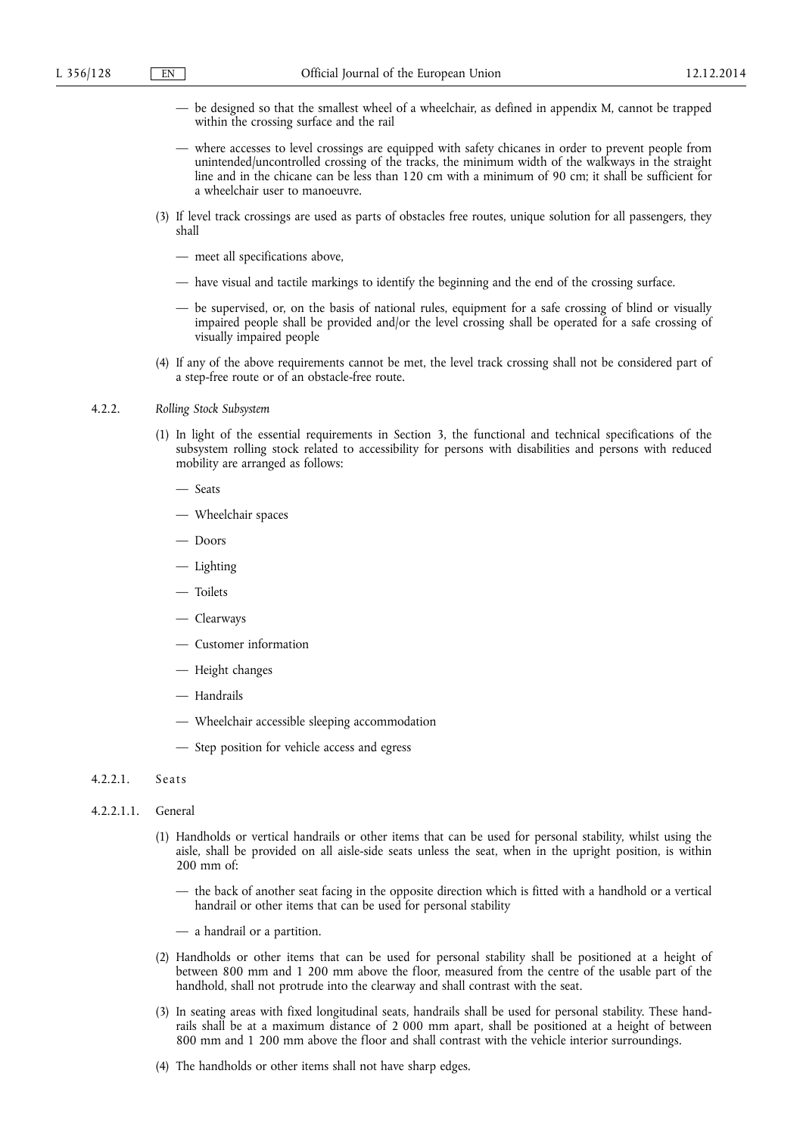- be designed so that the smallest wheel of a wheelchair, as defined in appendix M, cannot be trapped within the crossing surface and the rail
- where accesses to level crossings are equipped with safety chicanes in order to prevent people from unintended/uncontrolled crossing of the tracks, the minimum width of the walkways in the straight line and in the chicane can be less than 120 cm with a minimum of 90 cm; it shall be sufficient for a wheelchair user to manoeuvre.
- (3) If level track crossings are used as parts of obstacles free routes, unique solution for all passengers, they shall
	- meet all specifications above,
	- have visual and tactile markings to identify the beginning and the end of the crossing surface.
	- be supervised, or, on the basis of national rules, equipment for a safe crossing of blind or visually impaired people shall be provided and/or the level crossing shall be operated for a safe crossing of visually impaired people
- (4) If any of the above requirements cannot be met, the level track crossing shall not be considered part of a step-free route or of an obstacle-free route.

#### 4.2.2. *Rolling Stock Subsystem*

- (1) In light of the essential requirements in Section 3, the functional and technical specifications of the subsystem rolling stock related to accessibility for persons with disabilities and persons with reduced mobility are arranged as follows:
	- Seats
	- Wheelchair spaces
	- Doors
	- Lighting
	- Toilets
	- Clearways
	- Customer information
	- Height changes
	- Handrails
	- Wheelchair accessible sleeping accommodation
	- Step position for vehicle access and egress

#### 4.2.2.1. Seats

- 4.2.2.1.1. General
	- (1) Handholds or vertical handrails or other items that can be used for personal stability, whilst using the aisle, shall be provided on all aisle-side seats unless the seat, when in the upright position, is within 200 mm of:
		- the back of another seat facing in the opposite direction which is fitted with a handhold or a vertical handrail or other items that can be used for personal stability
		- a handrail or a partition.
	- (2) Handholds or other items that can be used for personal stability shall be positioned at a height of between 800 mm and 1 200 mm above the floor, measured from the centre of the usable part of the handhold, shall not protrude into the clearway and shall contrast with the seat.
	- (3) In seating areas with fixed longitudinal seats, handrails shall be used for personal stability. These handrails shall be at a maximum distance of 2 000 mm apart, shall be positioned at a height of between 800 mm and 1 200 mm above the floor and shall contrast with the vehicle interior surroundings.
	- (4) The handholds or other items shall not have sharp edges.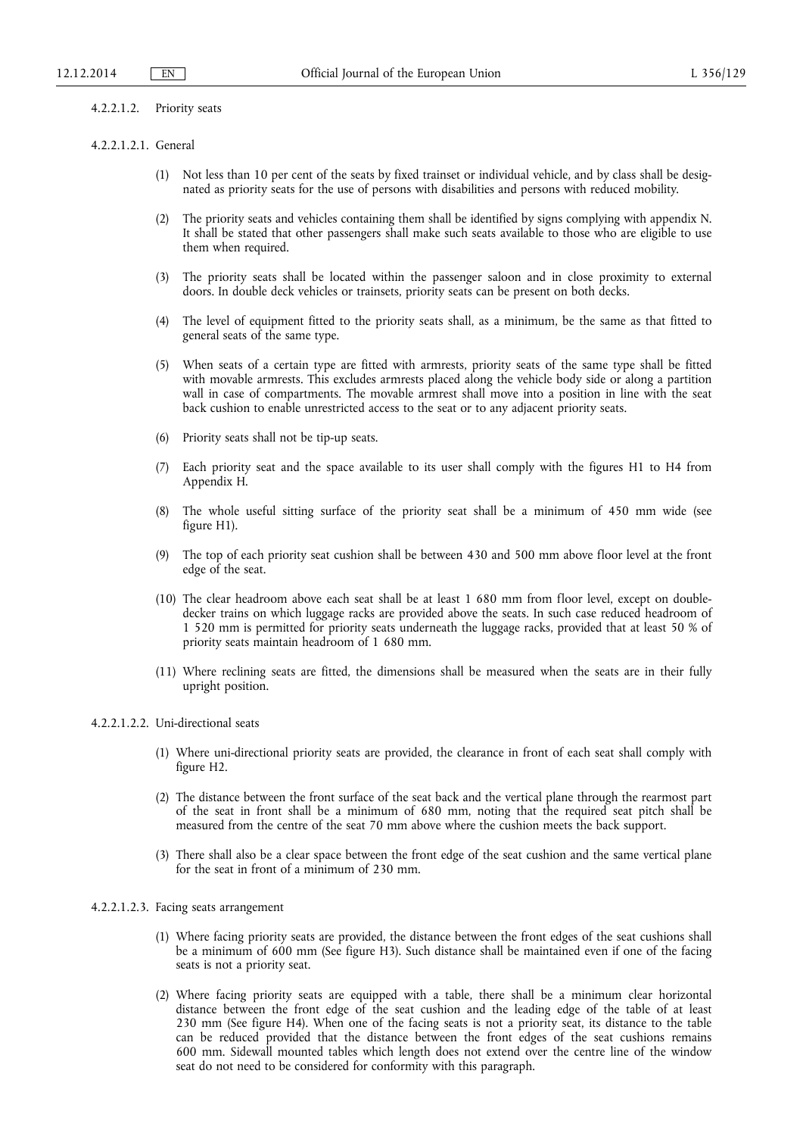#### 4.2.2.1.2. Priority seats

#### 4.2.2.1.2.1. General

- (1) Not less than 10 per cent of the seats by fixed trainset or individual vehicle, and by class shall be designated as priority seats for the use of persons with disabilities and persons with reduced mobility.
- (2) The priority seats and vehicles containing them shall be identified by signs complying with appendix N. It shall be stated that other passengers shall make such seats available to those who are eligible to use them when required.
- (3) The priority seats shall be located within the passenger saloon and in close proximity to external doors. In double deck vehicles or trainsets, priority seats can be present on both decks.
- (4) The level of equipment fitted to the priority seats shall, as a minimum, be the same as that fitted to general seats of the same type.
- (5) When seats of a certain type are fitted with armrests, priority seats of the same type shall be fitted with movable armrests. This excludes armrests placed along the vehicle body side or along a partition wall in case of compartments. The movable armrest shall move into a position in line with the seat back cushion to enable unrestricted access to the seat or to any adjacent priority seats.
- (6) Priority seats shall not be tip-up seats.
- (7) Each priority seat and the space available to its user shall comply with the figures H1 to H4 from Appendix H.
- (8) The whole useful sitting surface of the priority seat shall be a minimum of 450 mm wide (see figure H1).
- (9) The top of each priority seat cushion shall be between 430 and 500 mm above floor level at the front edge of the seat.
- (10) The clear headroom above each seat shall be at least 1 680 mm from floor level, except on doubledecker trains on which luggage racks are provided above the seats. In such case reduced headroom of 1 520 mm is permitted for priority seats underneath the luggage racks, provided that at least 50 % of priority seats maintain headroom of 1 680 mm.
- (11) Where reclining seats are fitted, the dimensions shall be measured when the seats are in their fully upright position.

#### 4.2.2.1.2.2. Uni-directional seats

- (1) Where uni-directional priority seats are provided, the clearance in front of each seat shall comply with figure H2.
- (2) The distance between the front surface of the seat back and the vertical plane through the rearmost part of the seat in front shall be a minimum of 680 mm, noting that the required seat pitch shall be measured from the centre of the seat 70 mm above where the cushion meets the back support.
- (3) There shall also be a clear space between the front edge of the seat cushion and the same vertical plane for the seat in front of a minimum of 230 mm.

## 4.2.2.1.2.3. Facing seats arrangement

- (1) Where facing priority seats are provided, the distance between the front edges of the seat cushions shall be a minimum of 600 mm (See figure H3). Such distance shall be maintained even if one of the facing seats is not a priority seat.
- (2) Where facing priority seats are equipped with a table, there shall be a minimum clear horizontal distance between the front edge of the seat cushion and the leading edge of the table of at least 230 mm (See figure H4). When one of the facing seats is not a priority seat, its distance to the table can be reduced provided that the distance between the front edges of the seat cushions remains 600 mm. Sidewall mounted tables which length does not extend over the centre line of the window seat do not need to be considered for conformity with this paragraph.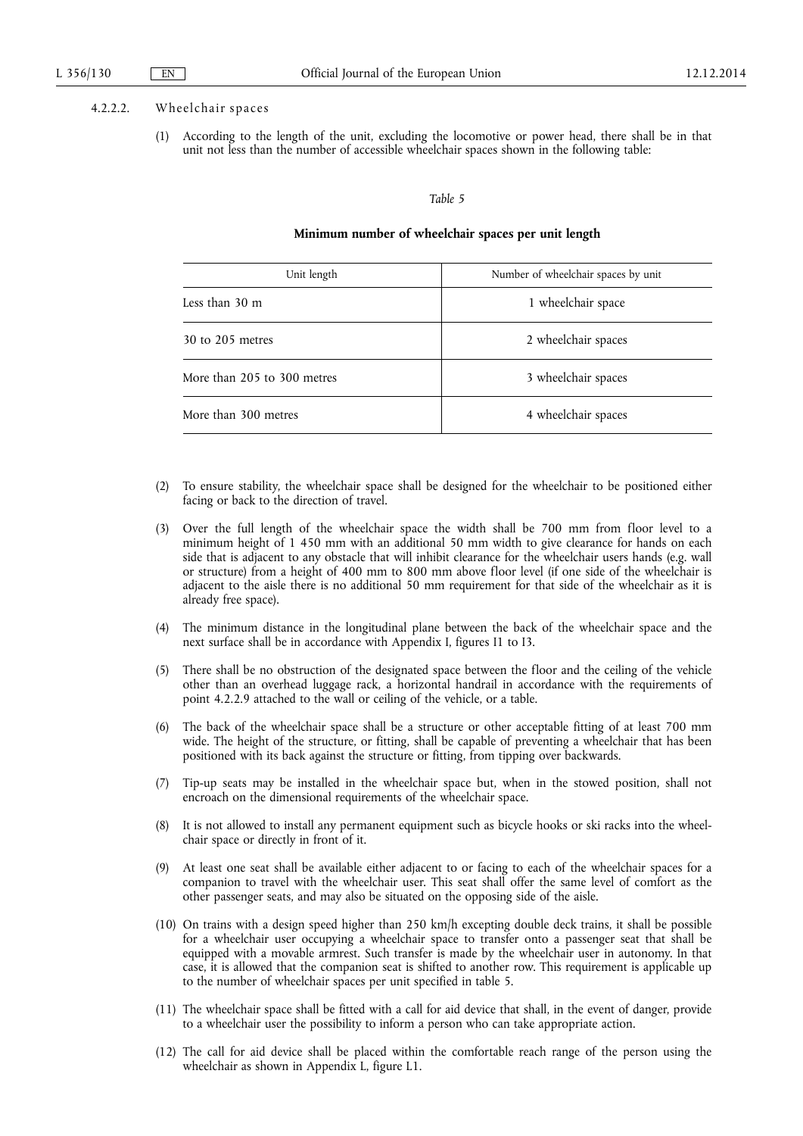#### 4.2.2.2. Wheelchair spaces

(1) According to the length of the unit, excluding the locomotive or power head, there shall be in that unit not less than the number of accessible wheelchair spaces shown in the following table:

#### *Table 5*

#### **Minimum number of wheelchair spaces per unit length**

| Unit length                 | Number of wheelchair spaces by unit |  |  |
|-----------------------------|-------------------------------------|--|--|
| Less than 30 m              | 1 wheelchair space                  |  |  |
| 30 to 205 metres            | 2 wheelchair spaces                 |  |  |
| More than 205 to 300 metres | 3 wheelchair spaces                 |  |  |
| More than 300 metres        | 4 wheelchair spaces                 |  |  |

- (2) To ensure stability, the wheelchair space shall be designed for the wheelchair to be positioned either facing or back to the direction of travel.
- (3) Over the full length of the wheelchair space the width shall be 700 mm from floor level to a minimum height of 1 450 mm with an additional 50 mm width to give clearance for hands on each side that is adjacent to any obstacle that will inhibit clearance for the wheelchair users hands (e.g. wall or structure) from a height of 400 mm to 800 mm above floor level (if one side of the wheelchair is adjacent to the aisle there is no additional 50 mm requirement for that side of the wheelchair as it is already free space).
- (4) The minimum distance in the longitudinal plane between the back of the wheelchair space and the next surface shall be in accordance with Appendix I, figures I1 to I3.
- (5) There shall be no obstruction of the designated space between the floor and the ceiling of the vehicle other than an overhead luggage rack, a horizontal handrail in accordance with the requirements of point 4.2.2.9 attached to the wall or ceiling of the vehicle, or a table.
- (6) The back of the wheelchair space shall be a structure or other acceptable fitting of at least 700 mm wide. The height of the structure, or fitting, shall be capable of preventing a wheelchair that has been positioned with its back against the structure or fitting, from tipping over backwards.
- (7) Tip-up seats may be installed in the wheelchair space but, when in the stowed position, shall not encroach on the dimensional requirements of the wheelchair space.
- (8) It is not allowed to install any permanent equipment such as bicycle hooks or ski racks into the wheelchair space or directly in front of it.
- (9) At least one seat shall be available either adjacent to or facing to each of the wheelchair spaces for a companion to travel with the wheelchair user. This seat shall offer the same level of comfort as the other passenger seats, and may also be situated on the opposing side of the aisle.
- (10) On trains with a design speed higher than 250 km/h excepting double deck trains, it shall be possible for a wheelchair user occupying a wheelchair space to transfer onto a passenger seat that shall be equipped with a movable armrest. Such transfer is made by the wheelchair user in autonomy. In that case, it is allowed that the companion seat is shifted to another row. This requirement is applicable up to the number of wheelchair spaces per unit specified in table 5.
- (11) The wheelchair space shall be fitted with a call for aid device that shall, in the event of danger, provide to a wheelchair user the possibility to inform a person who can take appropriate action.
- (12) The call for aid device shall be placed within the comfortable reach range of the person using the wheelchair as shown in Appendix L, figure L1.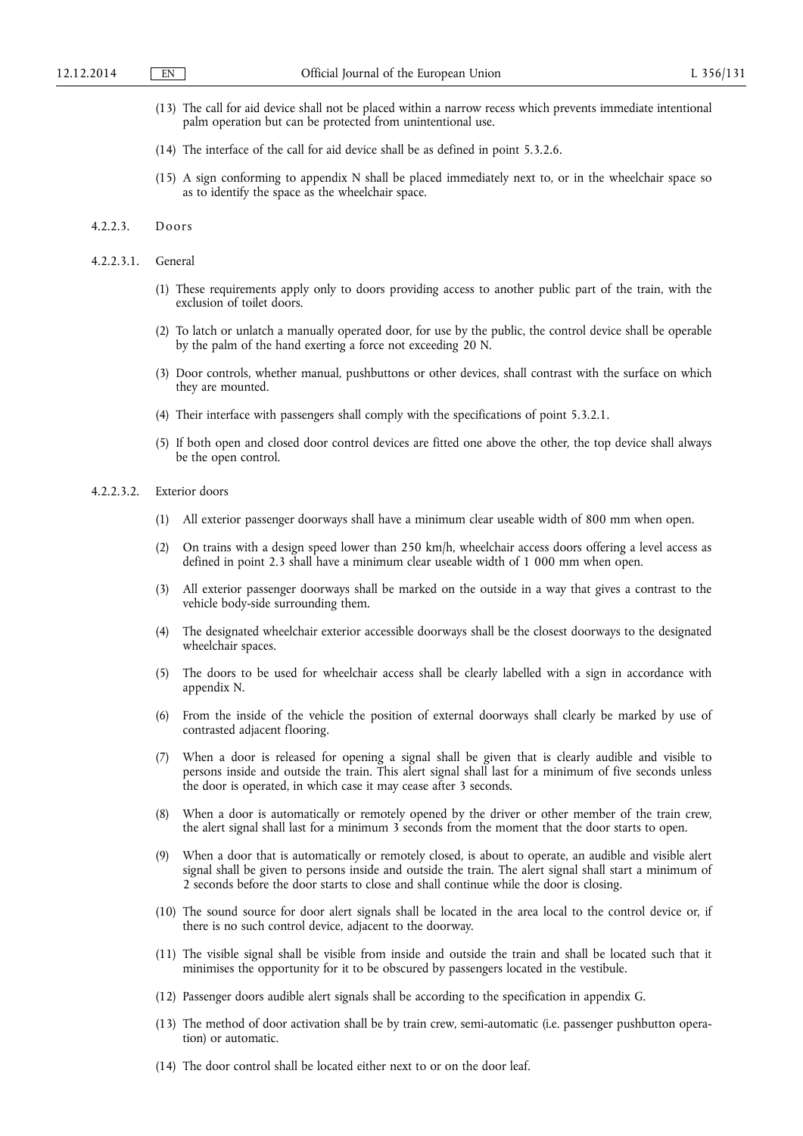- (13) The call for aid device shall not be placed within a narrow recess which prevents immediate intentional palm operation but can be protected from unintentional use.
- (14) The interface of the call for aid device shall be as defined in point 5.3.2.6.
- (15) A sign conforming to appendix N shall be placed immediately next to, or in the wheelchair space so as to identify the space as the wheelchair space.

#### 4.2.2.3. Doors

- 4.2.2.3.1. General
	- (1) These requirements apply only to doors providing access to another public part of the train, with the exclusion of toilet doors.
	- (2) To latch or unlatch a manually operated door, for use by the public, the control device shall be operable by the palm of the hand exerting a force not exceeding 20 N.
	- (3) Door controls, whether manual, pushbuttons or other devices, shall contrast with the surface on which they are mounted.
	- (4) Their interface with passengers shall comply with the specifications of point 5.3.2.1.
	- (5) If both open and closed door control devices are fitted one above the other, the top device shall always be the open control.

#### 4.2.2.3.2. Exterior doors

- (1) All exterior passenger doorways shall have a minimum clear useable width of 800 mm when open.
- (2) On trains with a design speed lower than 250 km/h, wheelchair access doors offering a level access as defined in point 2.3 shall have a minimum clear useable width of 1 000 mm when open.
- (3) All exterior passenger doorways shall be marked on the outside in a way that gives a contrast to the vehicle body-side surrounding them.
- (4) The designated wheelchair exterior accessible doorways shall be the closest doorways to the designated wheelchair spaces.
- (5) The doors to be used for wheelchair access shall be clearly labelled with a sign in accordance with appendix N.
- (6) From the inside of the vehicle the position of external doorways shall clearly be marked by use of contrasted adjacent flooring.
- (7) When a door is released for opening a signal shall be given that is clearly audible and visible to persons inside and outside the train. This alert signal shall last for a minimum of five seconds unless the door is operated, in which case it may cease after 3 seconds.
- (8) When a door is automatically or remotely opened by the driver or other member of the train crew, the alert signal shall last for a minimum 3 seconds from the moment that the door starts to open.
- (9) When a door that is automatically or remotely closed, is about to operate, an audible and visible alert signal shall be given to persons inside and outside the train. The alert signal shall start a minimum of 2 seconds before the door starts to close and shall continue while the door is closing.
- (10) The sound source for door alert signals shall be located in the area local to the control device or, if there is no such control device, adjacent to the doorway.
- (11) The visible signal shall be visible from inside and outside the train and shall be located such that it minimises the opportunity for it to be obscured by passengers located in the vestibule.
- (12) Passenger doors audible alert signals shall be according to the specification in appendix G.
- (13) The method of door activation shall be by train crew, semi-automatic (i.e. passenger pushbutton operation) or automatic.
- (14) The door control shall be located either next to or on the door leaf.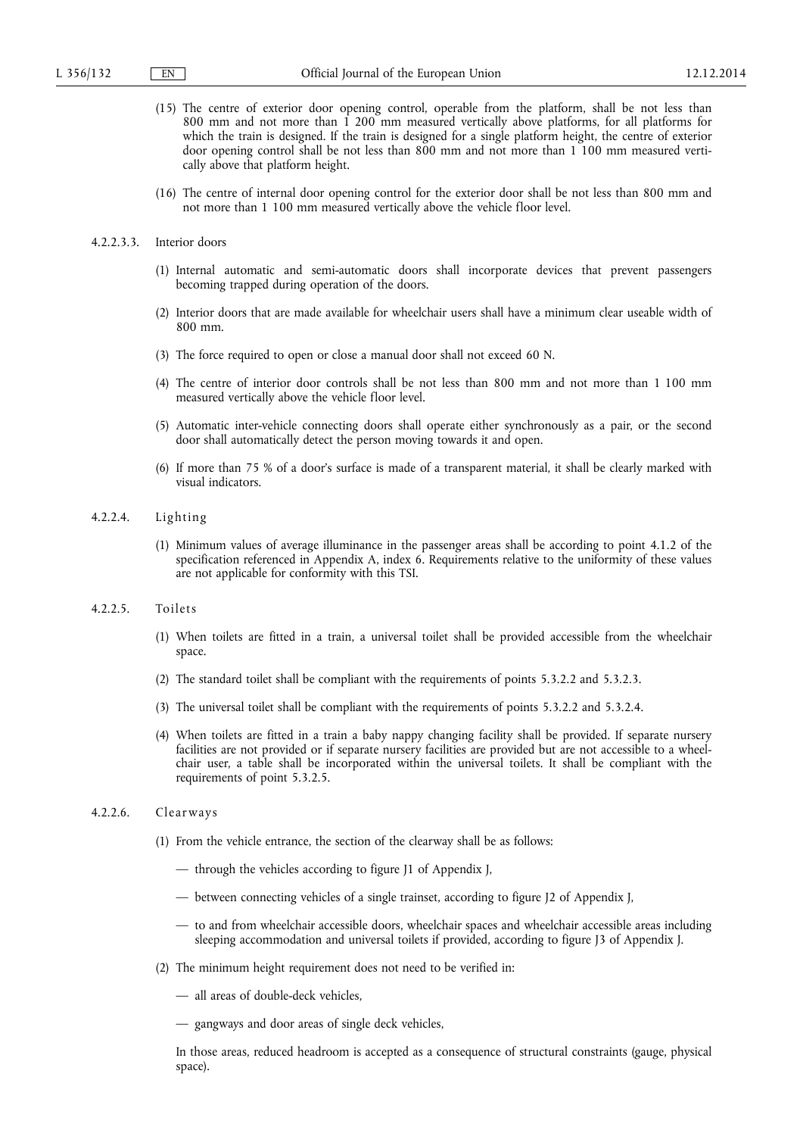- (15) The centre of exterior door opening control, operable from the platform, shall be not less than 800 mm and not more than 1 200 mm measured vertically above platforms, for all platforms for which the train is designed. If the train is designed for a single platform height, the centre of exterior door opening control shall be not less than 800 mm and not more than 1 100 mm measured vertically above that platform height.
- (16) The centre of internal door opening control for the exterior door shall be not less than 800 mm and not more than 1 100 mm measured vertically above the vehicle floor level.

#### 4.2.2.3.3. Interior doors

- (1) Internal automatic and semi-automatic doors shall incorporate devices that prevent passengers becoming trapped during operation of the doors.
- (2) Interior doors that are made available for wheelchair users shall have a minimum clear useable width of 800 mm.
- (3) The force required to open or close a manual door shall not exceed 60 N.
- (4) The centre of interior door controls shall be not less than 800 mm and not more than 1 100 mm measured vertically above the vehicle floor level.
- (5) Automatic inter-vehicle connecting doors shall operate either synchronously as a pair, or the second door shall automatically detect the person moving towards it and open.
- (6) If more than 75 % of a door's surface is made of a transparent material, it shall be clearly marked with visual indicators.

## 4.2.2.4. Lighting

(1) Minimum values of average illuminance in the passenger areas shall be according to point 4.1.2 of the specification referenced in Appendix A, index 6. Requirements relative to the uniformity of these values are not applicable for conformity with this TSI.

#### 4.2.2.5. Toilets

- (1) When toilets are fitted in a train, a universal toilet shall be provided accessible from the wheelchair space.
- (2) The standard toilet shall be compliant with the requirements of points 5.3.2.2 and 5.3.2.3.
- (3) The universal toilet shall be compliant with the requirements of points 5.3.2.2 and 5.3.2.4.
- (4) When toilets are fitted in a train a baby nappy changing facility shall be provided. If separate nursery facilities are not provided or if separate nursery facilities are provided but are not accessible to a wheelchair user, a table shall be incorporated within the universal toilets. It shall be compliant with the requirements of point 5.3.2.5.

#### 4.2.2.6. Clearways

- (1) From the vehicle entrance, the section of the clearway shall be as follows:
	- through the vehicles according to figure J1 of Appendix J,
	- between connecting vehicles of a single trainset, according to figure J2 of Appendix J,
	- to and from wheelchair accessible doors, wheelchair spaces and wheelchair accessible areas including sleeping accommodation and universal toilets if provided, according to figure J3 of Appendix J.
- (2) The minimum height requirement does not need to be verified in:
	- all areas of double-deck vehicles,
	- gangways and door areas of single deck vehicles,

In those areas, reduced headroom is accepted as a consequence of structural constraints (gauge, physical space).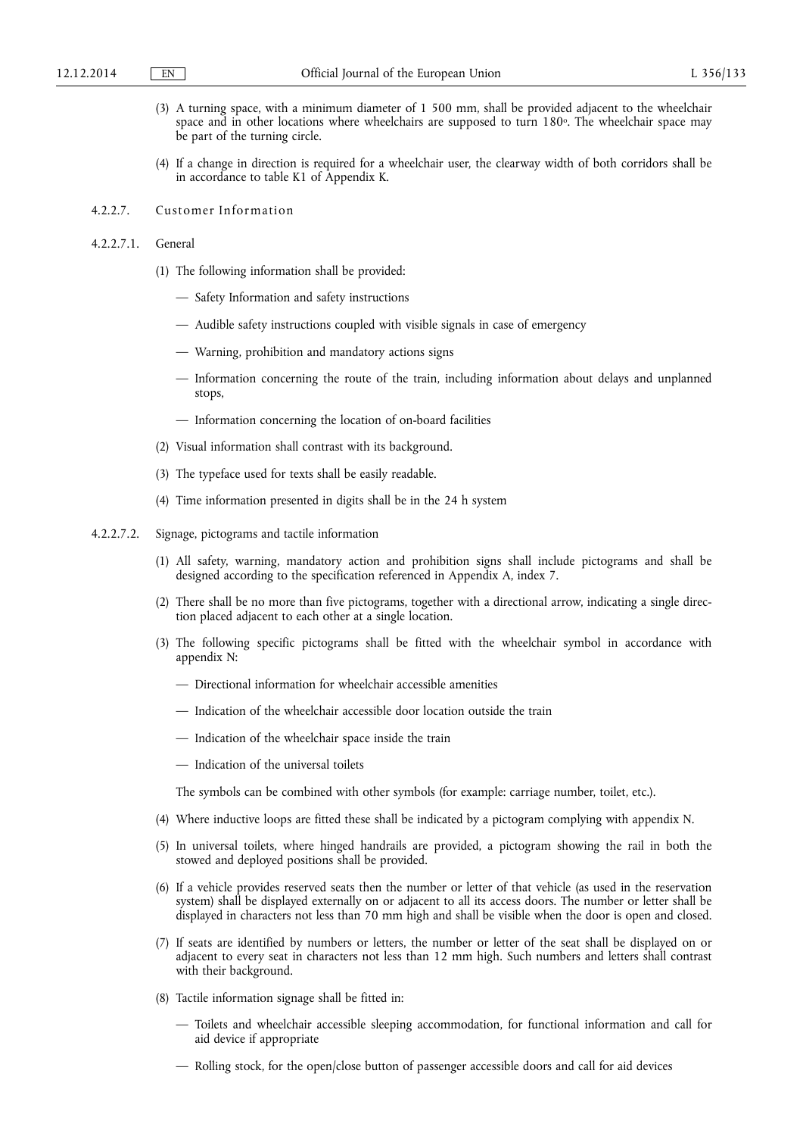- (3) A turning space, with a minimum diameter of 1 500 mm, shall be provided adjacent to the wheelchair space and in other locations where wheelchairs are supposed to turn 180°. The wheelchair space may be part of the turning circle.
- (4) If a change in direction is required for a wheelchair user, the clearway width of both corridors shall be in accordance to table K1 of Appendix K.
- 4.2.2.7. Customer Information
- 4.2.2.7.1. General
	- (1) The following information shall be provided:
		- Safety Information and safety instructions
		- Audible safety instructions coupled with visible signals in case of emergency
		- Warning, prohibition and mandatory actions signs
		- Information concerning the route of the train, including information about delays and unplanned stops,
		- Information concerning the location of on-board facilities
	- (2) Visual information shall contrast with its background.
	- (3) The typeface used for texts shall be easily readable.
	- (4) Time information presented in digits shall be in the 24 h system
- 4.2.2.7.2. Signage, pictograms and tactile information
	- (1) All safety, warning, mandatory action and prohibition signs shall include pictograms and shall be designed according to the specification referenced in Appendix A, index 7.
	- (2) There shall be no more than five pictograms, together with a directional arrow, indicating a single direction placed adjacent to each other at a single location.
	- (3) The following specific pictograms shall be fitted with the wheelchair symbol in accordance with appendix N:
		- Directional information for wheelchair accessible amenities
		- Indication of the wheelchair accessible door location outside the train
		- Indication of the wheelchair space inside the train
		- Indication of the universal toilets

The symbols can be combined with other symbols (for example: carriage number, toilet, etc.).

- (4) Where inductive loops are fitted these shall be indicated by a pictogram complying with appendix N.
- (5) In universal toilets, where hinged handrails are provided, a pictogram showing the rail in both the stowed and deployed positions shall be provided.
- (6) If a vehicle provides reserved seats then the number or letter of that vehicle (as used in the reservation system) shall be displayed externally on or adjacent to all its access doors. The number or letter shall be displayed in characters not less than 70 mm high and shall be visible when the door is open and closed.
- (7) If seats are identified by numbers or letters, the number or letter of the seat shall be displayed on or adjacent to every seat in characters not less than 12 mm high. Such numbers and letters shall contrast with their background.
- (8) Tactile information signage shall be fitted in:
	- Toilets and wheelchair accessible sleeping accommodation, for functional information and call for aid device if appropriate
	- Rolling stock, for the open/close button of passenger accessible doors and call for aid devices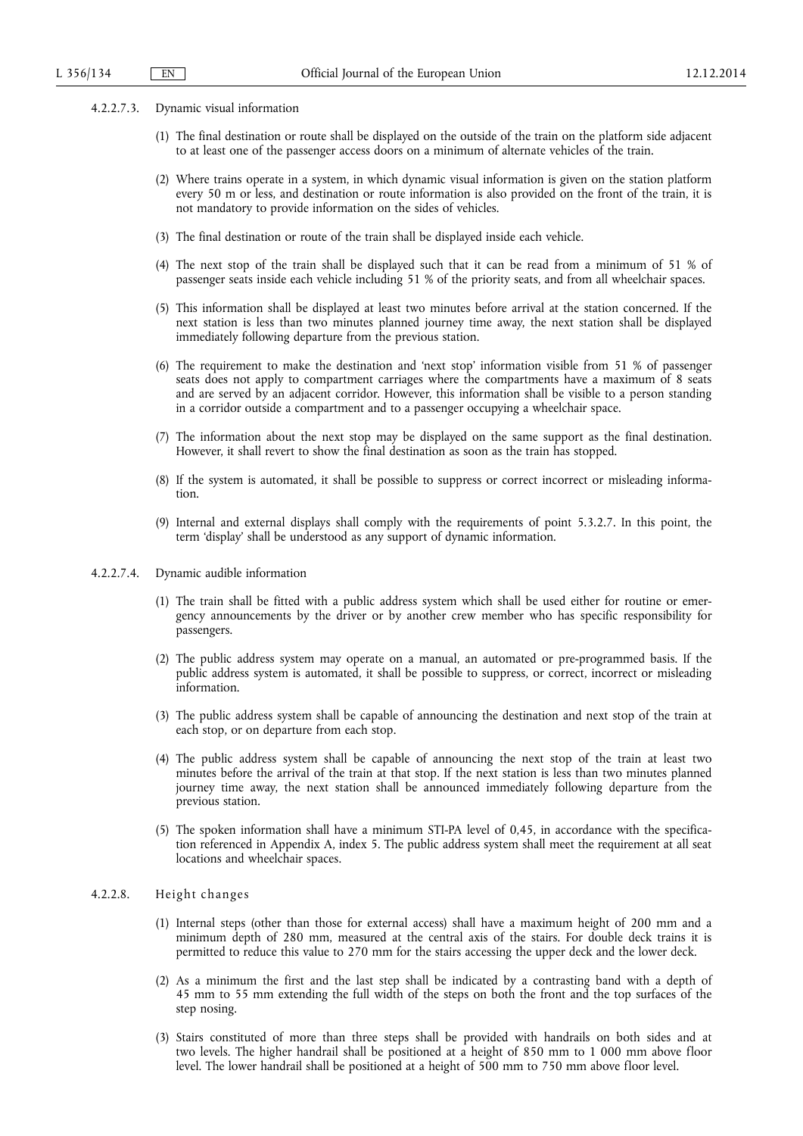- 4.2.2.7.3. Dynamic visual information
	- (1) The final destination or route shall be displayed on the outside of the train on the platform side adjacent to at least one of the passenger access doors on a minimum of alternate vehicles of the train.
	- (2) Where trains operate in a system, in which dynamic visual information is given on the station platform every 50 m or less, and destination or route information is also provided on the front of the train, it is not mandatory to provide information on the sides of vehicles.
	- (3) The final destination or route of the train shall be displayed inside each vehicle.
	- (4) The next stop of the train shall be displayed such that it can be read from a minimum of 51 % of passenger seats inside each vehicle including 51 % of the priority seats, and from all wheelchair spaces.
	- (5) This information shall be displayed at least two minutes before arrival at the station concerned. If the next station is less than two minutes planned journey time away, the next station shall be displayed immediately following departure from the previous station.
	- (6) The requirement to make the destination and 'next stop' information visible from 51 % of passenger seats does not apply to compartment carriages where the compartments have a maximum of 8 seats and are served by an adjacent corridor. However, this information shall be visible to a person standing in a corridor outside a compartment and to a passenger occupying a wheelchair space.
	- (7) The information about the next stop may be displayed on the same support as the final destination. However, it shall revert to show the final destination as soon as the train has stopped.
	- (8) If the system is automated, it shall be possible to suppress or correct incorrect or misleading information.
	- (9) Internal and external displays shall comply with the requirements of point 5.3.2.7. In this point, the term 'display' shall be understood as any support of dynamic information.
- 4.2.2.7.4. Dynamic audible information
	- (1) The train shall be fitted with a public address system which shall be used either for routine or emergency announcements by the driver or by another crew member who has specific responsibility for passengers.
	- (2) The public address system may operate on a manual, an automated or pre-programmed basis. If the public address system is automated, it shall be possible to suppress, or correct, incorrect or misleading information.
	- (3) The public address system shall be capable of announcing the destination and next stop of the train at each stop, or on departure from each stop.
	- (4) The public address system shall be capable of announcing the next stop of the train at least two minutes before the arrival of the train at that stop. If the next station is less than two minutes planned journey time away, the next station shall be announced immediately following departure from the previous station.
	- (5) The spoken information shall have a minimum STI-PA level of 0,45, in accordance with the specification referenced in Appendix A, index 5. The public address system shall meet the requirement at all seat locations and wheelchair spaces.

## 4.2.2.8. Height changes

- (1) Internal steps (other than those for external access) shall have a maximum height of 200 mm and a minimum depth of 280 mm, measured at the central axis of the stairs. For double deck trains it is permitted to reduce this value to 270 mm for the stairs accessing the upper deck and the lower deck.
- (2) As a minimum the first and the last step shall be indicated by a contrasting band with a depth of 45 mm to 55 mm extending the full width of the steps on both the front and the top surfaces of the step nosing.
- (3) Stairs constituted of more than three steps shall be provided with handrails on both sides and at two levels. The higher handrail shall be positioned at a height of 850 mm to 1 000 mm above floor level. The lower handrail shall be positioned at a height of 500 mm to 750 mm above floor level.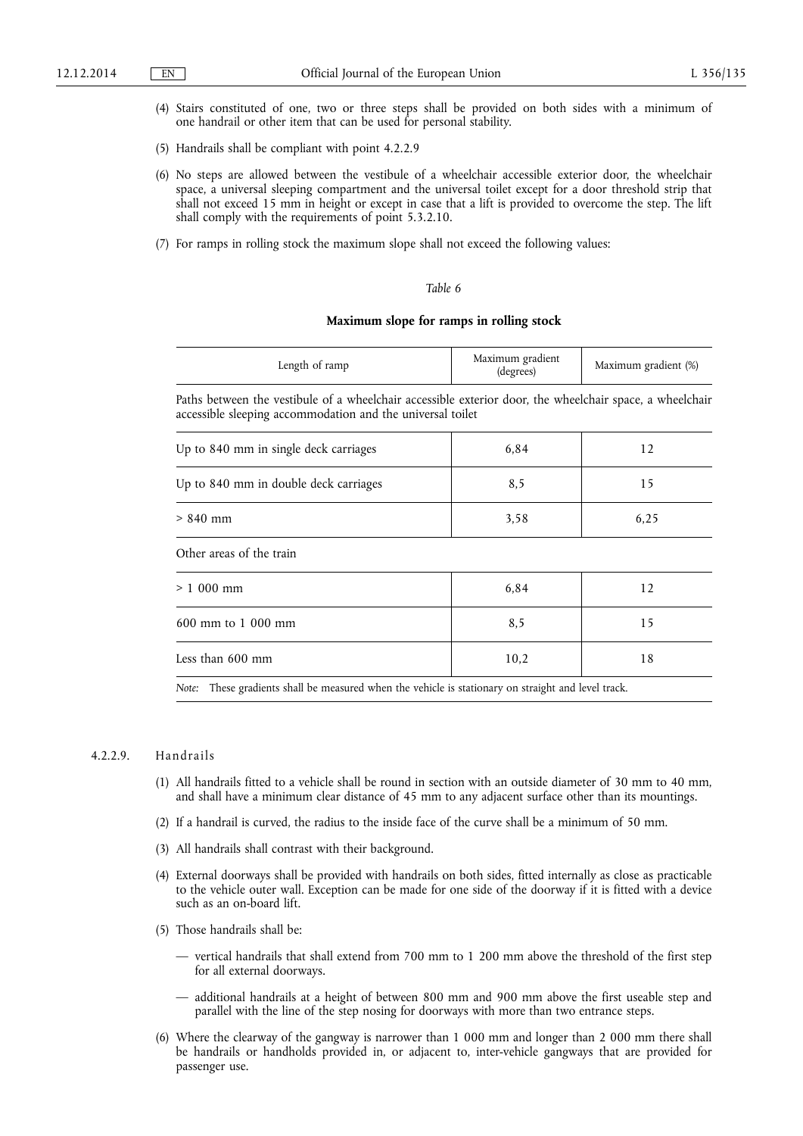- (4) Stairs constituted of one, two or three steps shall be provided on both sides with a minimum of one handrail or other item that can be used for personal stability.
- (5) Handrails shall be compliant with point 4.2.2.9
- (6) No steps are allowed between the vestibule of a wheelchair accessible exterior door, the wheelchair space, a universal sleeping compartment and the universal toilet except for a door threshold strip that shall not exceed 15 mm in height or except in case that a lift is provided to overcome the step. The lift shall comply with the requirements of point 5.3.2.10.
- (7) For ramps in rolling stock the maximum slope shall not exceed the following values:

## *Table 6*

#### **Maximum slope for ramps in rolling stock**

| Length of ramp | Maximum gradient<br>(degrees) | Maximum gradient (%) |
|----------------|-------------------------------|----------------------|
|                |                               |                      |

Paths between the vestibule of a wheelchair accessible exterior door, the wheelchair space, a wheelchair accessible sleeping accommodation and the universal toilet

| Up to 840 mm in single deck carriages                                                                                                       | 6,84 | 12   |  |  |  |
|---------------------------------------------------------------------------------------------------------------------------------------------|------|------|--|--|--|
| Up to 840 mm in double deck carriages                                                                                                       | 8,5  | 15   |  |  |  |
| $> 840$ mm                                                                                                                                  | 3,58 | 6,25 |  |  |  |
| Other areas of the train                                                                                                                    |      |      |  |  |  |
| $> 1000$ mm                                                                                                                                 | 6,84 | 12   |  |  |  |
| $600 \text{ mm}$ to 1 000 mm                                                                                                                | 8,5  | 15   |  |  |  |
| Less than 600 mm                                                                                                                            | 10,2 | 18   |  |  |  |
| न्त्र । सन्तरात । सन्तरमण्डले । सन्तरमण्डले । सन्तरमण्डले । सन्तरमण्डले । सन्तरमण्डले । सन्तरमण्डले । सन्तरमण्<br>$\mathbf{A}$ $\mathbf{A}$ |      |      |  |  |  |

*Note:* These gradients shall be measured when the vehicle is stationary on straight and level track.

#### 4.2.2.9. Handrails

- (1) All handrails fitted to a vehicle shall be round in section with an outside diameter of 30 mm to 40 mm, and shall have a minimum clear distance of 45 mm to any adjacent surface other than its mountings.
- (2) If a handrail is curved, the radius to the inside face of the curve shall be a minimum of 50 mm.
- (3) All handrails shall contrast with their background.
- (4) External doorways shall be provided with handrails on both sides, fitted internally as close as practicable to the vehicle outer wall. Exception can be made for one side of the doorway if it is fitted with a device such as an on-board lift.
- (5) Those handrails shall be:
	- vertical handrails that shall extend from 700 mm to 1 200 mm above the threshold of the first step for all external doorways.
	- additional handrails at a height of between 800 mm and 900 mm above the first useable step and parallel with the line of the step nosing for doorways with more than two entrance steps.
- (6) Where the clearway of the gangway is narrower than 1 000 mm and longer than 2 000 mm there shall be handrails or handholds provided in, or adjacent to, inter-vehicle gangways that are provided for passenger use.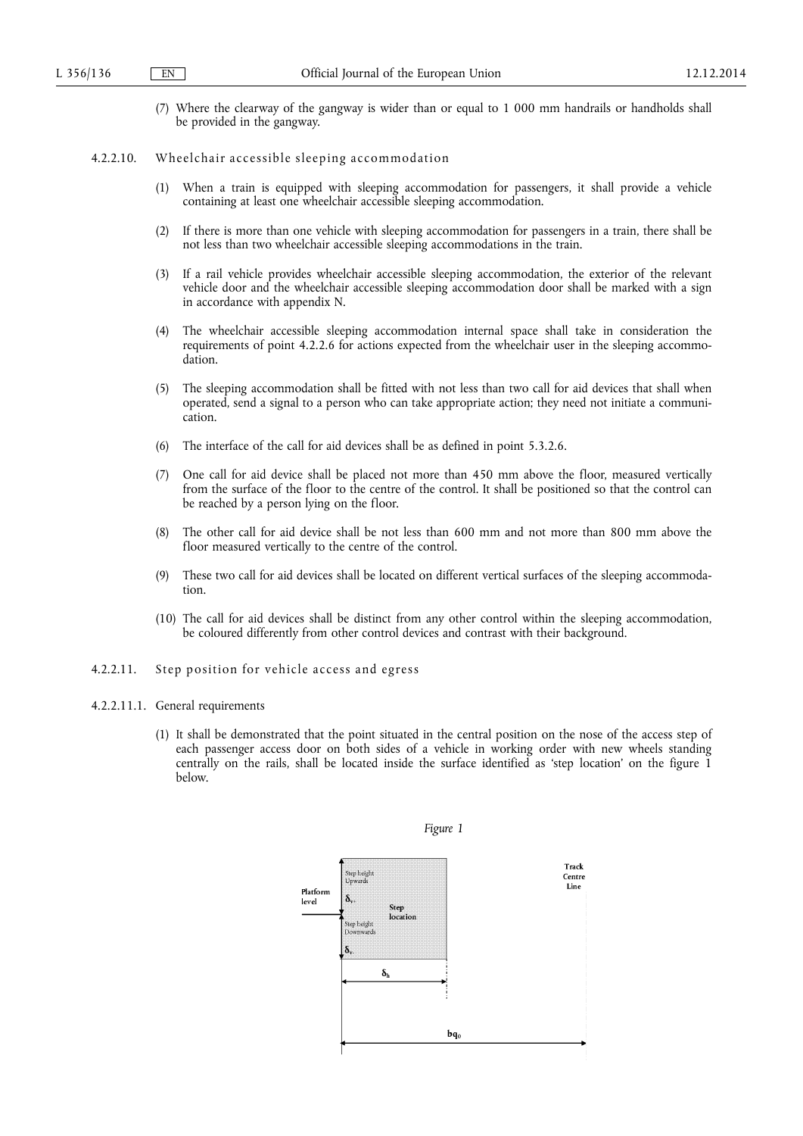(7) Where the clearway of the gangway is wider than or equal to 1 000 mm handrails or handholds shall be provided in the gangway.

#### 4.2.2.10. Wheelchair accessible sleeping accommodation

- (1) When a train is equipped with sleeping accommodation for passengers, it shall provide a vehicle containing at least one wheelchair accessible sleeping accommodation.
- (2) If there is more than one vehicle with sleeping accommodation for passengers in a train, there shall be not less than two wheelchair accessible sleeping accommodations in the train.
- (3) If a rail vehicle provides wheelchair accessible sleeping accommodation, the exterior of the relevant vehicle door and the wheelchair accessible sleeping accommodation door shall be marked with a sign in accordance with appendix N.
- (4) The wheelchair accessible sleeping accommodation internal space shall take in consideration the requirements of point 4.2.2.6 for actions expected from the wheelchair user in the sleeping accommodation.
- (5) The sleeping accommodation shall be fitted with not less than two call for aid devices that shall when operated, send a signal to a person who can take appropriate action; they need not initiate a communication.
- (6) The interface of the call for aid devices shall be as defined in point 5.3.2.6.
- (7) One call for aid device shall be placed not more than 450 mm above the floor, measured vertically from the surface of the floor to the centre of the control. It shall be positioned so that the control can be reached by a person lying on the floor.
- (8) The other call for aid device shall be not less than 600 mm and not more than 800 mm above the floor measured vertically to the centre of the control.
- (9) These two call for aid devices shall be located on different vertical surfaces of the sleeping accommodation.
- (10) The call for aid devices shall be distinct from any other control within the sleeping accommodation, be coloured differently from other control devices and contrast with their background.
- 4.2.2.11. Step position for vehicle access and egress

#### 4.2.2.11.1. General requirements

(1) It shall be demonstrated that the point situated in the central position on the nose of the access step of each passenger access door on both sides of a vehicle in working order with new wheels standing centrally on the rails, shall be located inside the surface identified as 'step location' on the figure 1 below.

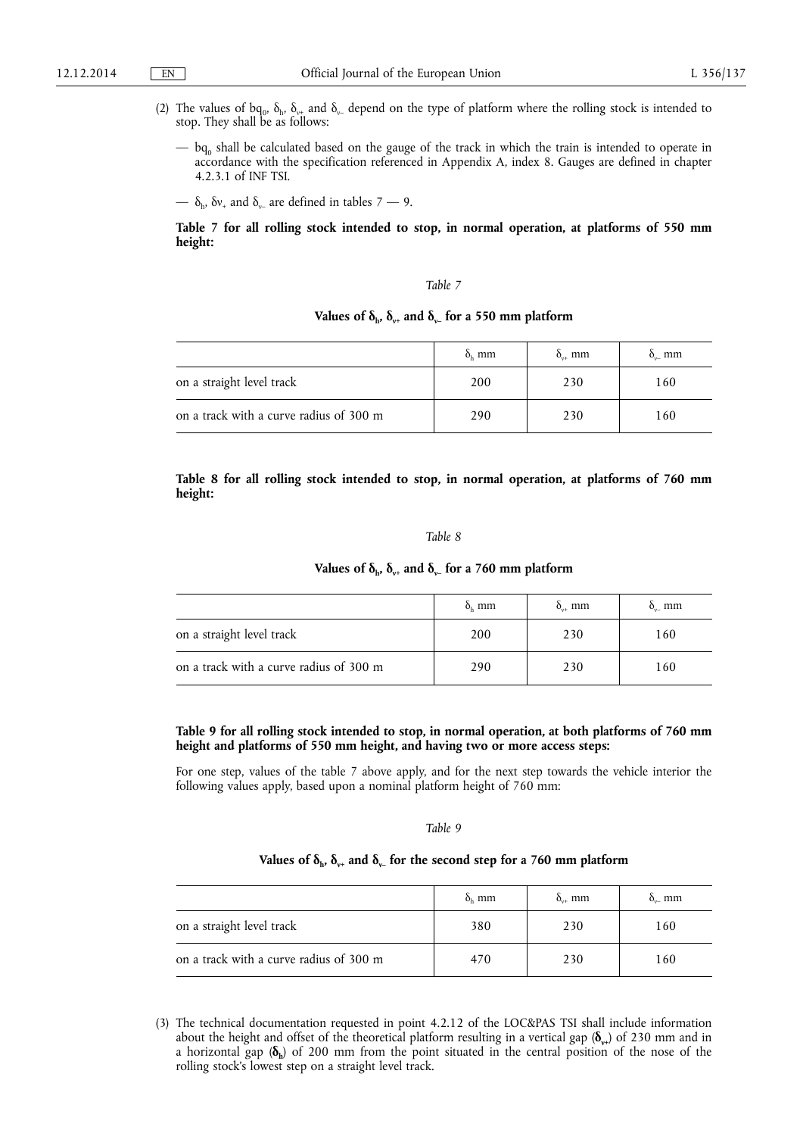- (2) The values of bq<sub>0</sub>,  $\delta_h$ ,  $\delta_{v+}$  and  $\delta_v$  depend on the type of platform where the rolling stock is intended to stop. They shall be as follows:
	- $-$  bq<sub>0</sub> shall be calculated based on the gauge of the track in which the train is intended to operate in accordance with the specification referenced in Appendix A, index 8. Gauges are defined in chapter 4.2.3.1 of INF TSI.
	- $\delta_{h}$ ,  $\delta v_{+}$  and  $\delta_{v_{-}}$  are defined in tables 7 9.

**Table 7 for all rolling stock intended to stop, in normal operation, at platforms of 550 mm height:** 

#### *Table 7*

## Values of  $\delta_{h}$ ,  $\delta_{v+}$  and  $\delta_{v-}$  for a 550 mm platform

|                                         | $\delta_{\rm h}$ mm | $\delta_{\omega+}$ mm | $\delta_{\text{u}}$ mm |
|-----------------------------------------|---------------------|-----------------------|------------------------|
| on a straight level track               | 200                 | 230                   | 160                    |
| on a track with a curve radius of 300 m | 290                 | 230                   | 160                    |

**Table 8 for all rolling stock intended to stop, in normal operation, at platforms of 760 mm height:** 

#### *Table 8*

### **Values of δ<sub>h</sub>,**  $\delta$ **<sub>y+</sub> and**  $\delta$ **<sub>y</sub> for a 760 mm platform**

|                                         | $\delta_{\rm h}$ mm | $\delta_{\mu}$ mm | $\delta_{n}$ mm |
|-----------------------------------------|---------------------|-------------------|-----------------|
| on a straight level track               | 200                 | 230               | 160             |
| on a track with a curve radius of 300 m | 290                 | 230               | 160             |

## **Table 9 for all rolling stock intended to stop, in normal operation, at both platforms of 760 mm height and platforms of 550 mm height, and having two or more access steps:**

For one step, values of the table 7 above apply, and for the next step towards the vehicle interior the following values apply, based upon a nominal platform height of 760 mm:

#### *Table 9*

## Values of  $\delta_{h}$ ,  $\delta_{v+}$  and  $\delta_{v-}$  for the second step for a 760 mm platform

|                                         | $\delta_{\rm h}$ mm | $\delta_{\mu}$ mm | $\delta_{n}$ mm |
|-----------------------------------------|---------------------|-------------------|-----------------|
| on a straight level track               | 380                 | 230               | 160             |
| on a track with a curve radius of 300 m | 470                 | 230               | 160             |

<sup>(3)</sup> The technical documentation requested in point 4.2.12 of the LOC&PAS TSI shall include information about the height and offset of the theoretical platform resulting in a vertical gap ( $\delta_{v+}$ ) of 230 mm and in a horizontal gap (**δh**) of 200 mm from the point situated in the central position of the nose of the rolling stock's lowest step on a straight level track.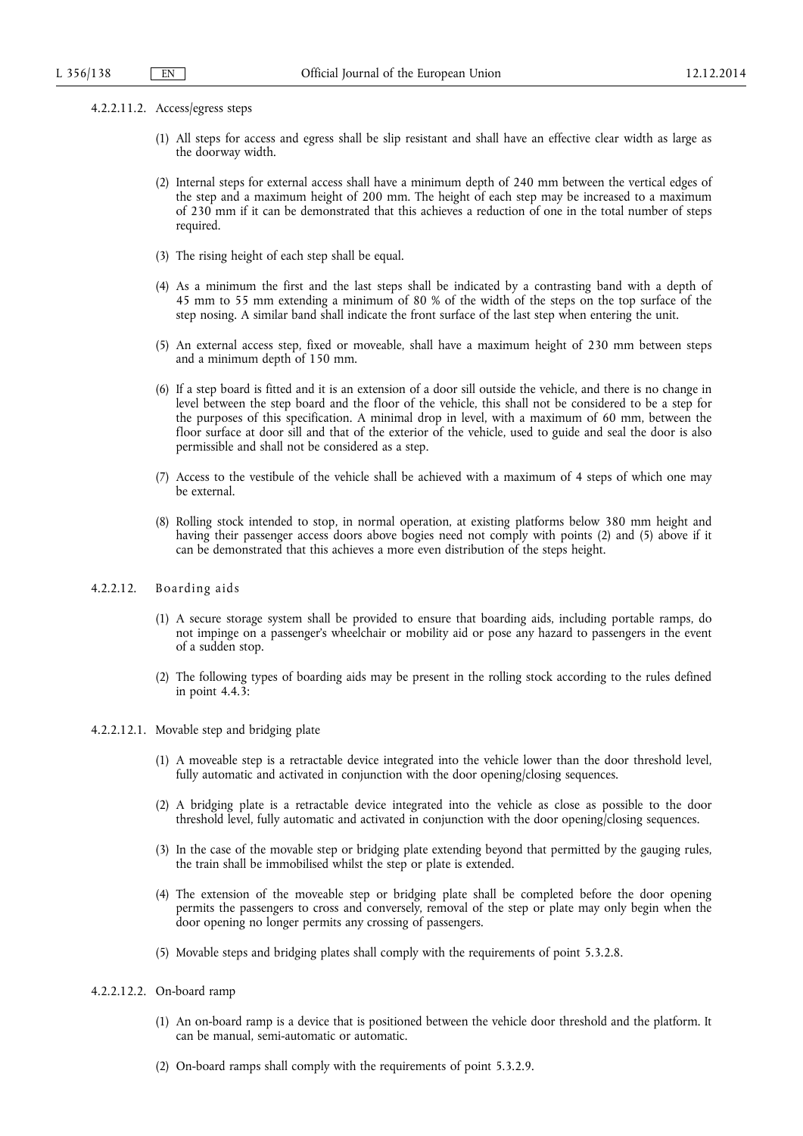- 4.2.2.11.2. Access/egress steps
	- (1) All steps for access and egress shall be slip resistant and shall have an effective clear width as large as the doorway width.
	- (2) Internal steps for external access shall have a minimum depth of 240 mm between the vertical edges of the step and a maximum height of 200 mm. The height of each step may be increased to a maximum of 230 mm if it can be demonstrated that this achieves a reduction of one in the total number of steps required.
	- (3) The rising height of each step shall be equal.
	- (4) As a minimum the first and the last steps shall be indicated by a contrasting band with a depth of 45 mm to 55 mm extending a minimum of 80 % of the width of the steps on the top surface of the step nosing. A similar band shall indicate the front surface of the last step when entering the unit.
	- (5) An external access step, fixed or moveable, shall have a maximum height of 230 mm between steps and a minimum depth of 150 mm.
	- (6) If a step board is fitted and it is an extension of a door sill outside the vehicle, and there is no change in level between the step board and the floor of the vehicle, this shall not be considered to be a step for the purposes of this specification. A minimal drop in level, with a maximum of 60 mm, between the floor surface at door sill and that of the exterior of the vehicle, used to guide and seal the door is also permissible and shall not be considered as a step.
	- (7) Access to the vestibule of the vehicle shall be achieved with a maximum of 4 steps of which one may be external.
	- (8) Rolling stock intended to stop, in normal operation, at existing platforms below 380 mm height and having their passenger access doors above bogies need not comply with points (2) and (5) above if it can be demonstrated that this achieves a more even distribution of the steps height.

### 4.2.2.12. Boarding aids

- (1) A secure storage system shall be provided to ensure that boarding aids, including portable ramps, do not impinge on a passenger's wheelchair or mobility aid or pose any hazard to passengers in the event of a sudden stop.
- (2) The following types of boarding aids may be present in the rolling stock according to the rules defined in point 4.4.3:
- 4.2.2.12.1. Movable step and bridging plate
	- (1) A moveable step is a retractable device integrated into the vehicle lower than the door threshold level, fully automatic and activated in conjunction with the door opening/closing sequences.
	- (2) A bridging plate is a retractable device integrated into the vehicle as close as possible to the door threshold level, fully automatic and activated in conjunction with the door opening/closing sequences.
	- (3) In the case of the movable step or bridging plate extending beyond that permitted by the gauging rules, the train shall be immobilised whilst the step or plate is extended.
	- (4) The extension of the moveable step or bridging plate shall be completed before the door opening permits the passengers to cross and conversely, removal of the step or plate may only begin when the door opening no longer permits any crossing of passengers.
	- (5) Movable steps and bridging plates shall comply with the requirements of point 5.3.2.8.

#### 4.2.2.12.2. On-board ramp

- (1) An on-board ramp is a device that is positioned between the vehicle door threshold and the platform. It can be manual, semi-automatic or automatic.
- (2) On-board ramps shall comply with the requirements of point 5.3.2.9.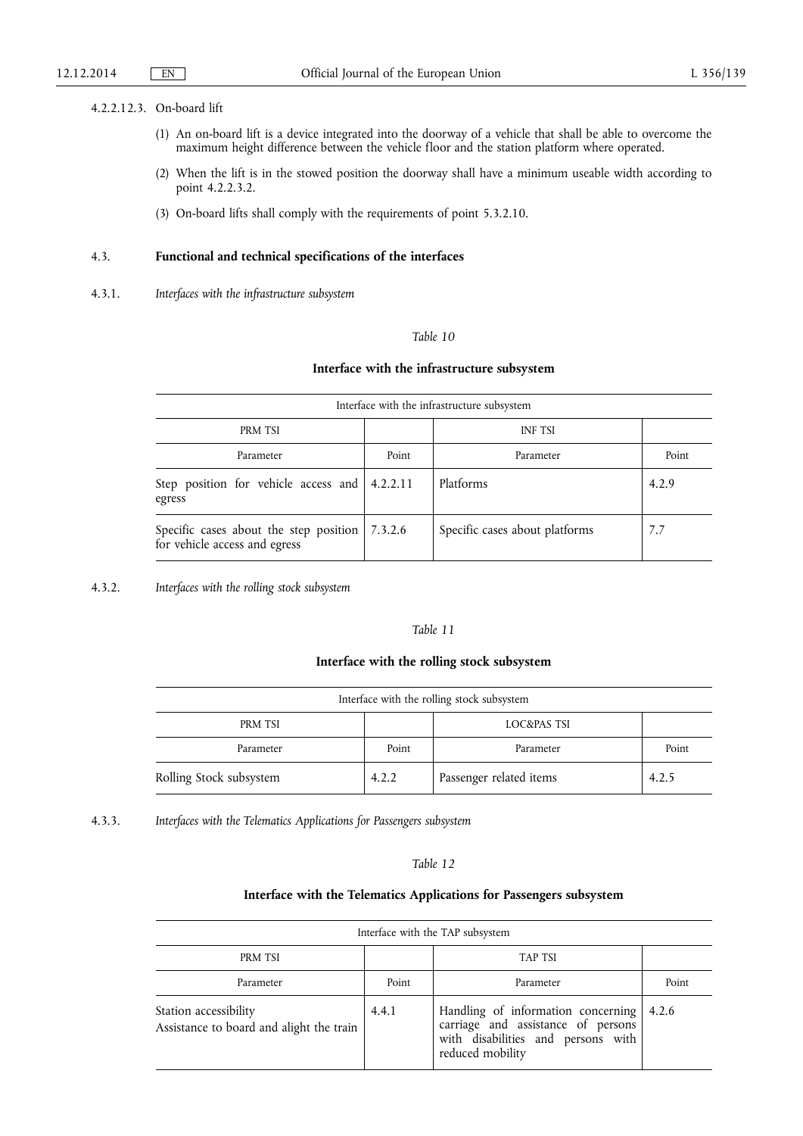### 4.2.2.12.3. On-board lift

- (1) An on-board lift is a device integrated into the doorway of a vehicle that shall be able to overcome the maximum height difference between the vehicle floor and the station platform where operated.
- (2) When the lift is in the stowed position the doorway shall have a minimum useable width according to point 4.2.2.3.2.
- (3) On-board lifts shall comply with the requirements of point 5.3.2.10.

## 4.3. **Functional and technical specifications of the interfaces**

4.3.1. *Interfaces with the infrastructure subsystem* 

## *Table 10*

## **Interface with the infrastructure subsystem**

| Interface with the infrastructure subsystem                             |         |                                |       |
|-------------------------------------------------------------------------|---------|--------------------------------|-------|
| PRM TSI                                                                 |         | <b>INF TSI</b>                 |       |
| Parameter                                                               | Point   | Parameter                      | Point |
| Step position for vehicle access and 4.2.2.11<br>egress                 |         | Platforms                      | 4.2.9 |
| Specific cases about the step position<br>for vehicle access and egress | 7.3.2.6 | Specific cases about platforms | 7.7   |

4.3.2. *Interfaces with the rolling stock subsystem* 

## *Table 11*

## **Interface with the rolling stock subsystem**

| Interface with the rolling stock subsystem |       |                         |       |
|--------------------------------------------|-------|-------------------------|-------|
| PRM TSI                                    |       | LOC&PAS TSI             |       |
| Parameter                                  | Point | Parameter               | Point |
| Rolling Stock subsystem                    | 4.2.2 | Passenger related items | 4.2.5 |

4.3.3. *Interfaces with the Telematics Applications for Passengers subsystem* 

## *Table 12*

## **Interface with the Telematics Applications for Passengers subsystem**

| Interface with the TAP subsystem                                  |       |                                                                                                                                    |       |
|-------------------------------------------------------------------|-------|------------------------------------------------------------------------------------------------------------------------------------|-------|
| PRM TSI                                                           |       | TAP TSI                                                                                                                            |       |
| Parameter                                                         | Point | Parameter                                                                                                                          | Point |
| Station accessibility<br>Assistance to board and alight the train | 4.4.1 | Handling of information concerning<br>carriage and assistance of persons<br>with disabilities and persons with<br>reduced mobility | 4.2.6 |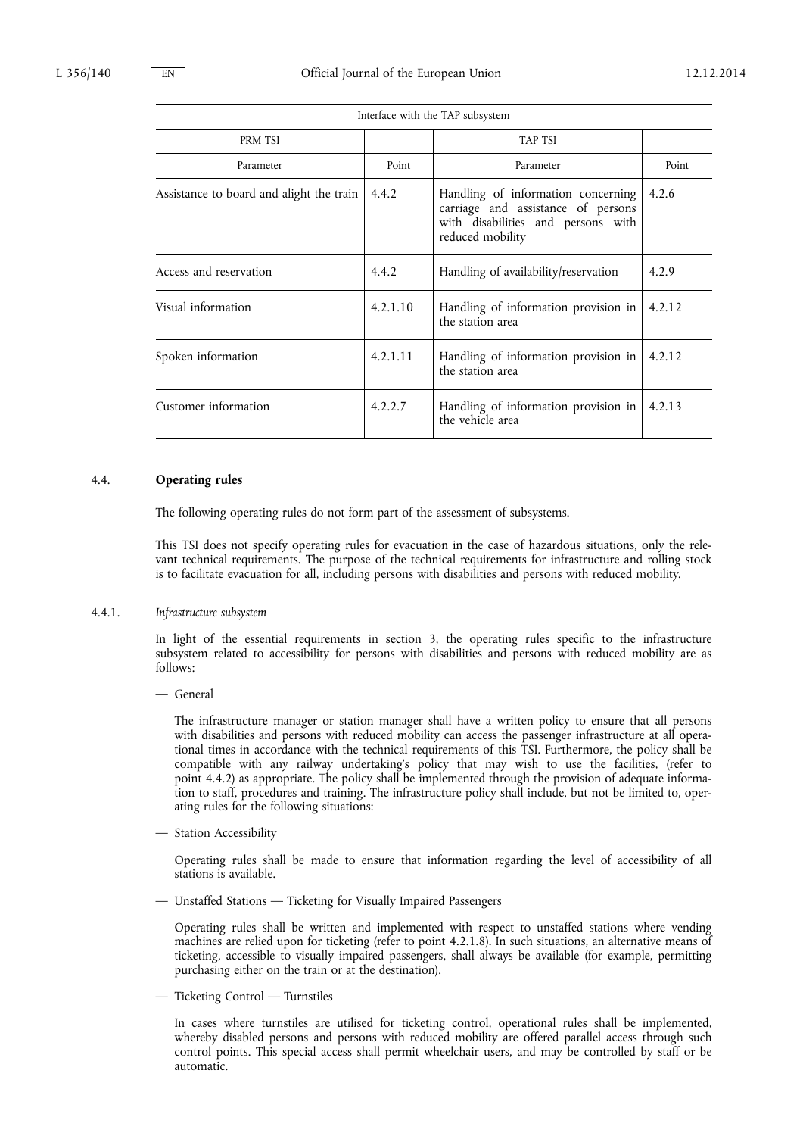| PRM TSI                                  |          | TAP TSI                                                                                                                            |        |
|------------------------------------------|----------|------------------------------------------------------------------------------------------------------------------------------------|--------|
| Parameter                                | Point    | Parameter                                                                                                                          | Point  |
| Assistance to board and alight the train | 4.4.2    | Handling of information concerning<br>carriage and assistance of persons<br>with disabilities and persons with<br>reduced mobility | 4.2.6  |
| Access and reservation                   | 4.4.2    | Handling of availability/reservation                                                                                               | 4.2.9  |
| Visual information                       | 4.2.1.10 | Handling of information provision in<br>the station area                                                                           | 4.2.12 |
| Spoken information                       | 4.2.1.11 | Handling of information provision in<br>the station area                                                                           | 4.2.12 |
| Customer information                     | 4.2.2.7  | Handling of information provision in<br>the vehicle area                                                                           | 4.2.13 |

Interface with the TAP subsystem

4.4. **Operating rules** 

The following operating rules do not form part of the assessment of subsystems.

This TSI does not specify operating rules for evacuation in the case of hazardous situations, only the relevant technical requirements. The purpose of the technical requirements for infrastructure and rolling stock is to facilitate evacuation for all, including persons with disabilities and persons with reduced mobility.

#### 4.4.1. *Infrastructure subsystem*

In light of the essential requirements in section 3, the operating rules specific to the infrastructure subsystem related to accessibility for persons with disabilities and persons with reduced mobility are as follows:

— General

The infrastructure manager or station manager shall have a written policy to ensure that all persons with disabilities and persons with reduced mobility can access the passenger infrastructure at all operational times in accordance with the technical requirements of this TSI. Furthermore, the policy shall be compatible with any railway undertaking's policy that may wish to use the facilities, (refer to point 4.4.2) as appropriate. The policy shall be implemented through the provision of adequate information to staff, procedures and training. The infrastructure policy shall include, but not be limited to, operating rules for the following situations:

— Station Accessibility

Operating rules shall be made to ensure that information regarding the level of accessibility of all stations is available.

— Unstaffed Stations — Ticketing for Visually Impaired Passengers

Operating rules shall be written and implemented with respect to unstaffed stations where vending machines are relied upon for ticketing (refer to point 4.2.1.8). In such situations, an alternative means of ticketing, accessible to visually impaired passengers, shall always be available (for example, permitting purchasing either on the train or at the destination).

— Ticketing Control — Turnstiles

In cases where turnstiles are utilised for ticketing control, operational rules shall be implemented, whereby disabled persons and persons with reduced mobility are offered parallel access through such control points. This special access shall permit wheelchair users, and may be controlled by staff or be automatic.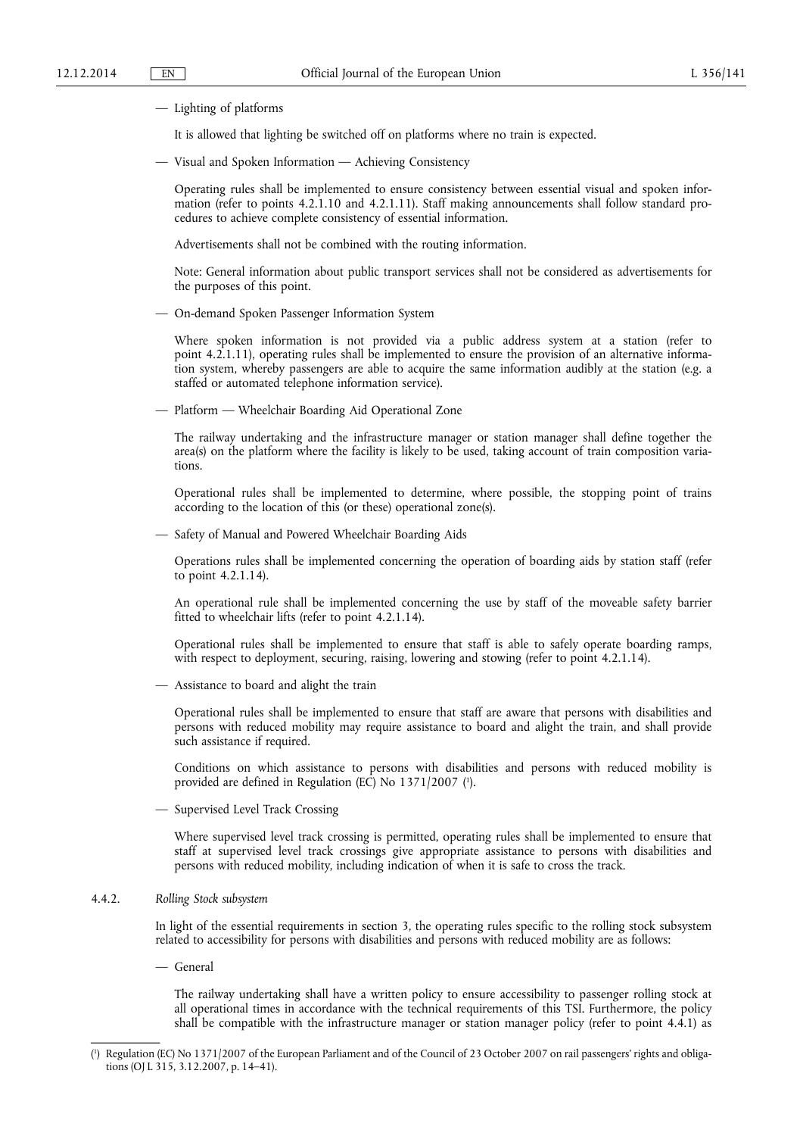#### — Lighting of platforms

It is allowed that lighting be switched off on platforms where no train is expected.

— Visual and Spoken Information — Achieving Consistency

Operating rules shall be implemented to ensure consistency between essential visual and spoken information (refer to points 4.2.1.10 and 4.2.1.11). Staff making announcements shall follow standard procedures to achieve complete consistency of essential information.

Advertisements shall not be combined with the routing information.

Note: General information about public transport services shall not be considered as advertisements for the purposes of this point.

— On-demand Spoken Passenger Information System

Where spoken information is not provided via a public address system at a station (refer to point 4.2.1.11), operating rules shall be implemented to ensure the provision of an alternative information system, whereby passengers are able to acquire the same information audibly at the station (e.g. a staffed or automated telephone information service).

— Platform — Wheelchair Boarding Aid Operational Zone

The railway undertaking and the infrastructure manager or station manager shall define together the area(s) on the platform where the facility is likely to be used, taking account of train composition variations.

Operational rules shall be implemented to determine, where possible, the stopping point of trains according to the location of this (or these) operational zone(s).

— Safety of Manual and Powered Wheelchair Boarding Aids

Operations rules shall be implemented concerning the operation of boarding aids by station staff (refer to point 4.2.1.14).

An operational rule shall be implemented concerning the use by staff of the moveable safety barrier fitted to wheelchair lifts (refer to point 4.2.1.14).

Operational rules shall be implemented to ensure that staff is able to safely operate boarding ramps, with respect to deployment, securing, raising, lowering and stowing (refer to point 4.2.1.14).

— Assistance to board and alight the train

Operational rules shall be implemented to ensure that staff are aware that persons with disabilities and persons with reduced mobility may require assistance to board and alight the train, and shall provide such assistance if required.

Conditions on which assistance to persons with disabilities and persons with reduced mobility is provided are defined in Regulation (EC) No 1371/2007 ( 1 ).

— Supervised Level Track Crossing

Where supervised level track crossing is permitted, operating rules shall be implemented to ensure that staff at supervised level track crossings give appropriate assistance to persons with disabilities and persons with reduced mobility, including indication of when it is safe to cross the track.

## 4.4.2. *Rolling Stock subsystem*

In light of the essential requirements in section 3, the operating rules specific to the rolling stock subsystem related to accessibility for persons with disabilities and persons with reduced mobility are as follows:

— General

The railway undertaking shall have a written policy to ensure accessibility to passenger rolling stock at all operational times in accordance with the technical requirements of this TSI. Furthermore, the policy shall be compatible with the infrastructure manager or station manager policy (refer to point 4.4.1) as

<sup>(</sup> 1 ) Regulation (EC) No 1371/2007 of the European Parliament and of the Council of 23 October 2007 on rail passengers' rights and obligations (OJ L 315, 3.12.2007, p. 14–41).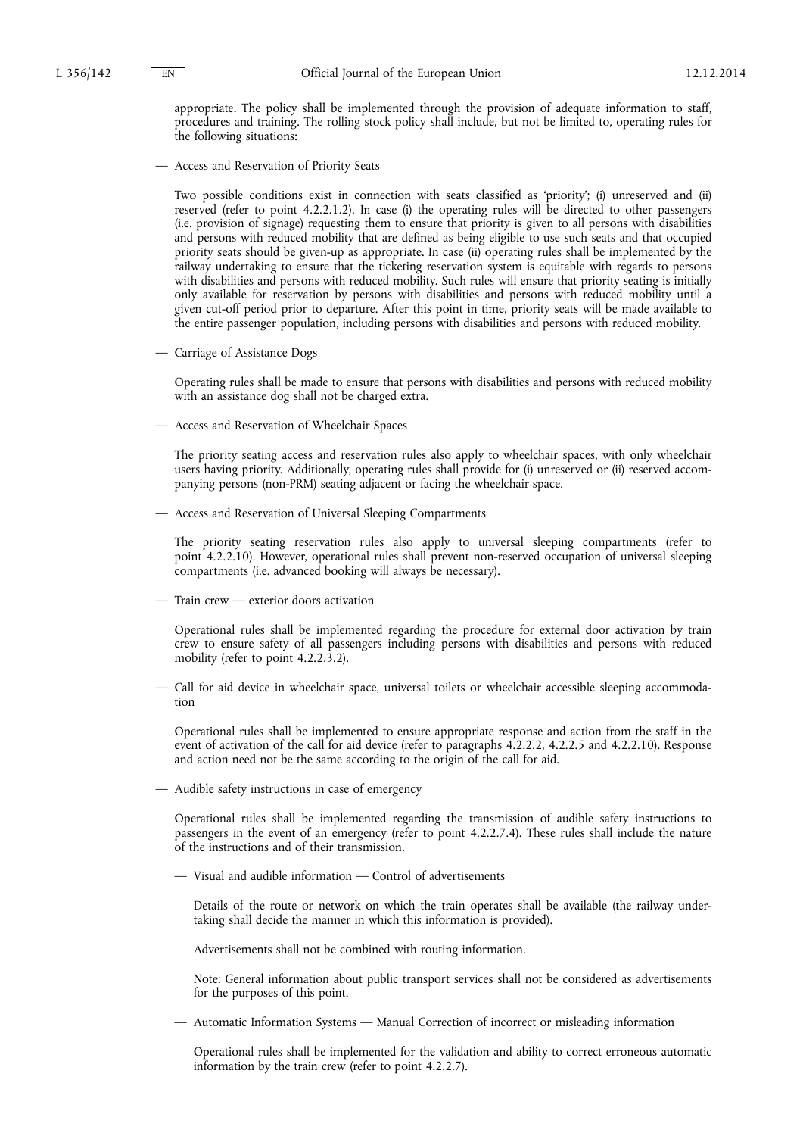appropriate. The policy shall be implemented through the provision of adequate information to staff, procedures and training. The rolling stock policy shall include, but not be limited to, operating rules for the following situations:

— Access and Reservation of Priority Seats

Two possible conditions exist in connection with seats classified as 'priority'; (i) unreserved and (ii) reserved (refer to point 4.2.2.1.2). In case (i) the operating rules will be directed to other passengers (i.e. provision of signage) requesting them to ensure that priority is given to all persons with disabilities and persons with reduced mobility that are defined as being eligible to use such seats and that occupied priority seats should be given-up as appropriate. In case (ii) operating rules shall be implemented by the railway undertaking to ensure that the ticketing reservation system is equitable with regards to persons with disabilities and persons with reduced mobility. Such rules will ensure that priority seating is initially only available for reservation by persons with disabilities and persons with reduced mobility until a given cut-off period prior to departure. After this point in time, priority seats will be made available to the entire passenger population, including persons with disabilities and persons with reduced mobility.

— Carriage of Assistance Dogs

Operating rules shall be made to ensure that persons with disabilities and persons with reduced mobility with an assistance dog shall not be charged extra.

— Access and Reservation of Wheelchair Spaces

The priority seating access and reservation rules also apply to wheelchair spaces, with only wheelchair users having priority. Additionally, operating rules shall provide for (i) unreserved or (ii) reserved accompanying persons (non-PRM) seating adjacent or facing the wheelchair space.

— Access and Reservation of Universal Sleeping Compartments

The priority seating reservation rules also apply to universal sleeping compartments (refer to point 4.2.2.10). However, operational rules shall prevent non-reserved occupation of universal sleeping compartments (i.e. advanced booking will always be necessary).

— Train crew — exterior doors activation

Operational rules shall be implemented regarding the procedure for external door activation by train crew to ensure safety of all passengers including persons with disabilities and persons with reduced mobility (refer to point 4.2.2.3.2).

— Call for aid device in wheelchair space, universal toilets or wheelchair accessible sleeping accommodation

Operational rules shall be implemented to ensure appropriate response and action from the staff in the event of activation of the call for aid device (refer to paragraphs 4.2.2.2, 4.2.2.5 and 4.2.2.10). Response and action need not be the same according to the origin of the call for aid.

— Audible safety instructions in case of emergency

Operational rules shall be implemented regarding the transmission of audible safety instructions to passengers in the event of an emergency (refer to point 4.2.2.7.4). These rules shall include the nature of the instructions and of their transmission.

— Visual and audible information — Control of advertisements

Details of the route or network on which the train operates shall be available (the railway undertaking shall decide the manner in which this information is provided).

Advertisements shall not be combined with routing information.

Note: General information about public transport services shall not be considered as advertisements for the purposes of this point.

— Automatic Information Systems — Manual Correction of incorrect or misleading information

Operational rules shall be implemented for the validation and ability to correct erroneous automatic information by the train crew (refer to point 4.2.2.7).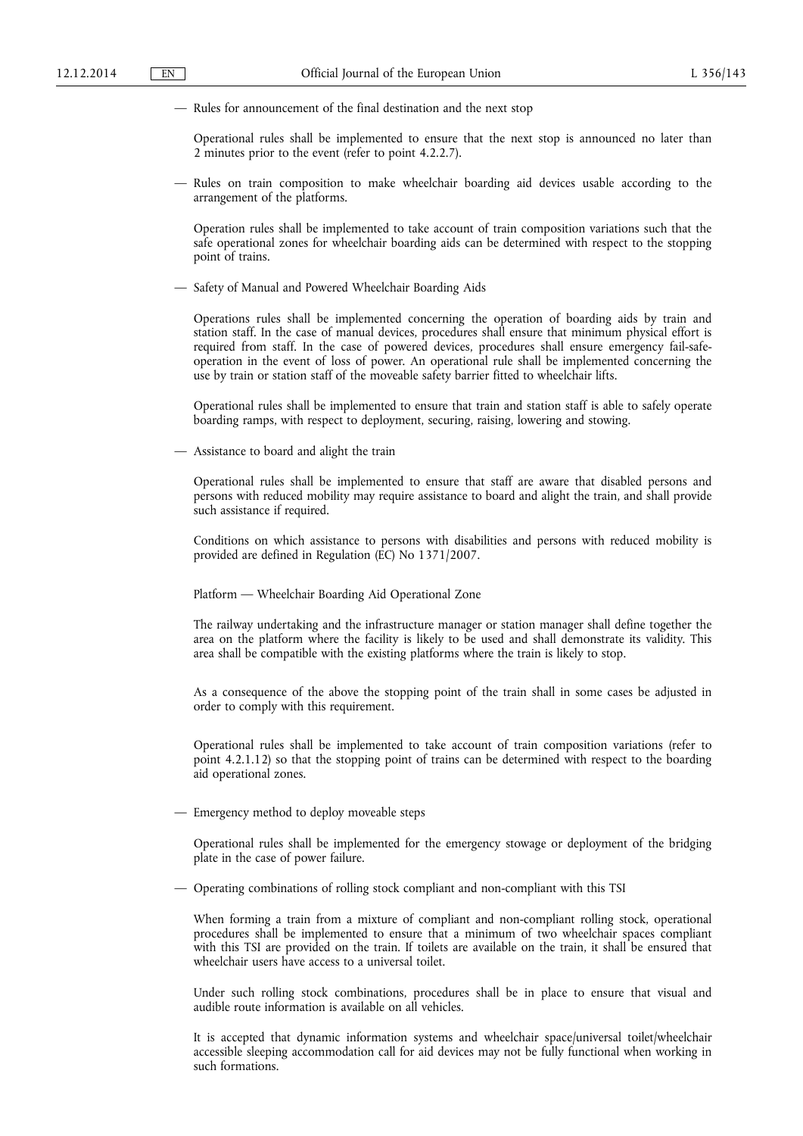— Rules for announcement of the final destination and the next stop

Operational rules shall be implemented to ensure that the next stop is announced no later than 2 minutes prior to the event (refer to point 4.2.2.7).

— Rules on train composition to make wheelchair boarding aid devices usable according to the arrangement of the platforms.

Operation rules shall be implemented to take account of train composition variations such that the safe operational zones for wheelchair boarding aids can be determined with respect to the stopping point of trains.

— Safety of Manual and Powered Wheelchair Boarding Aids

Operations rules shall be implemented concerning the operation of boarding aids by train and station staff. In the case of manual devices, procedures shall ensure that minimum physical effort is required from staff. In the case of powered devices, procedures shall ensure emergency fail-safeoperation in the event of loss of power. An operational rule shall be implemented concerning the use by train or station staff of the moveable safety barrier fitted to wheelchair lifts.

Operational rules shall be implemented to ensure that train and station staff is able to safely operate boarding ramps, with respect to deployment, securing, raising, lowering and stowing.

— Assistance to board and alight the train

Operational rules shall be implemented to ensure that staff are aware that disabled persons and persons with reduced mobility may require assistance to board and alight the train, and shall provide such assistance if required.

Conditions on which assistance to persons with disabilities and persons with reduced mobility is provided are defined in Regulation (EC) No 1371/2007.

Platform — Wheelchair Boarding Aid Operational Zone

The railway undertaking and the infrastructure manager or station manager shall define together the area on the platform where the facility is likely to be used and shall demonstrate its validity. This area shall be compatible with the existing platforms where the train is likely to stop.

As a consequence of the above the stopping point of the train shall in some cases be adjusted in order to comply with this requirement.

Operational rules shall be implemented to take account of train composition variations (refer to point 4.2.1.12) so that the stopping point of trains can be determined with respect to the boarding aid operational zones.

— Emergency method to deploy moveable steps

Operational rules shall be implemented for the emergency stowage or deployment of the bridging plate in the case of power failure.

— Operating combinations of rolling stock compliant and non-compliant with this TSI

When forming a train from a mixture of compliant and non-compliant rolling stock, operational procedures shall be implemented to ensure that a minimum of two wheelchair spaces compliant with this TSI are provided on the train. If toilets are available on the train, it shall be ensured that wheelchair users have access to a universal toilet.

Under such rolling stock combinations, procedures shall be in place to ensure that visual and audible route information is available on all vehicles.

It is accepted that dynamic information systems and wheelchair space/universal toilet/wheelchair accessible sleeping accommodation call for aid devices may not be fully functional when working in such formations.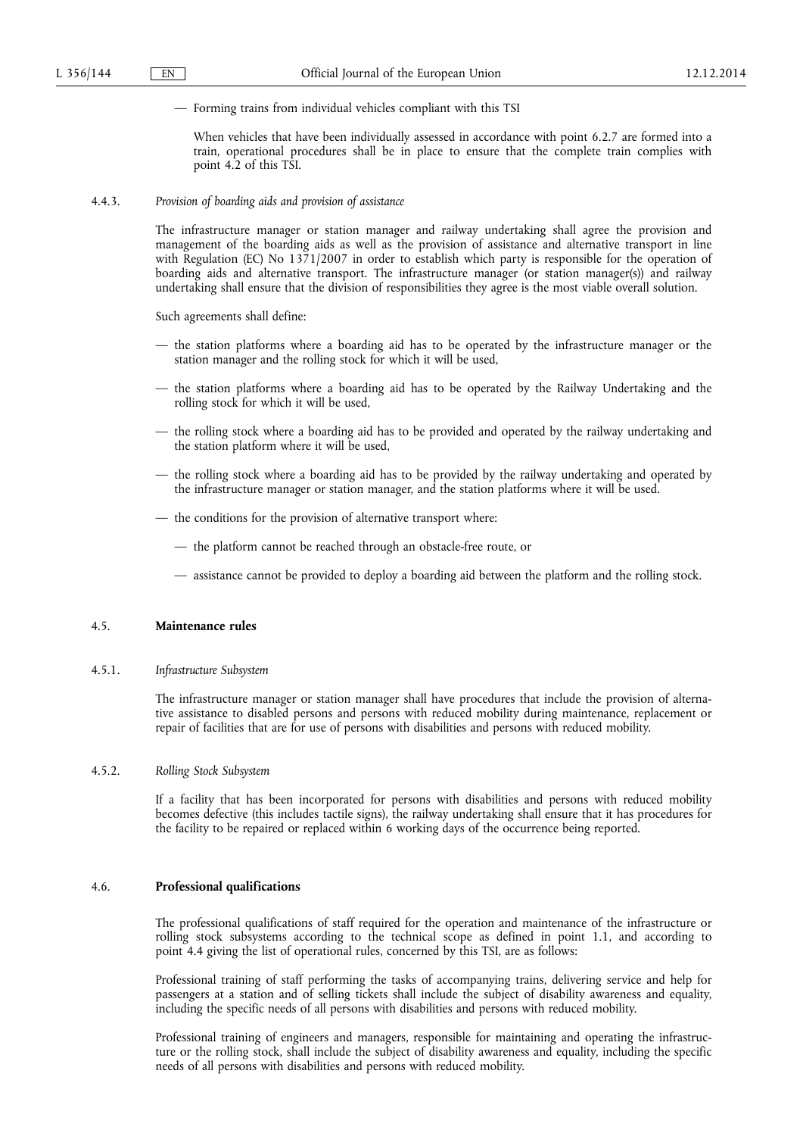— Forming trains from individual vehicles compliant with this TSI

When vehicles that have been individually assessed in accordance with point 6.2.7 are formed into a train, operational procedures shall be in place to ensure that the complete train complies with point 4.2 of this TSI.

### 4.4.3. *Provision of boarding aids and provision of assistance*

The infrastructure manager or station manager and railway undertaking shall agree the provision and management of the boarding aids as well as the provision of assistance and alternative transport in line with Regulation (EC) No 1371/2007 in order to establish which party is responsible for the operation of boarding aids and alternative transport. The infrastructure manager (or station manager(s)) and railway undertaking shall ensure that the division of responsibilities they agree is the most viable overall solution.

Such agreements shall define:

- the station platforms where a boarding aid has to be operated by the infrastructure manager or the station manager and the rolling stock for which it will be used,
- the station platforms where a boarding aid has to be operated by the Railway Undertaking and the rolling stock for which it will be used,
- the rolling stock where a boarding aid has to be provided and operated by the railway undertaking and the station platform where it will be used,
- the rolling stock where a boarding aid has to be provided by the railway undertaking and operated by the infrastructure manager or station manager, and the station platforms where it will be used.
- the conditions for the provision of alternative transport where:
	- the platform cannot be reached through an obstacle-free route, or
	- assistance cannot be provided to deploy a boarding aid between the platform and the rolling stock.

## 4.5. **Maintenance rules**

4.5.1. *Infrastructure Subsystem* 

The infrastructure manager or station manager shall have procedures that include the provision of alternative assistance to disabled persons and persons with reduced mobility during maintenance, replacement or repair of facilities that are for use of persons with disabilities and persons with reduced mobility.

## 4.5.2. *Rolling Stock Subsystem*

If a facility that has been incorporated for persons with disabilities and persons with reduced mobility becomes defective (this includes tactile signs), the railway undertaking shall ensure that it has procedures for the facility to be repaired or replaced within 6 working days of the occurrence being reported.

### 4.6. **Professional qualifications**

The professional qualifications of staff required for the operation and maintenance of the infrastructure or rolling stock subsystems according to the technical scope as defined in point 1.1, and according to point 4.4 giving the list of operational rules, concerned by this TSI, are as follows:

Professional training of staff performing the tasks of accompanying trains, delivering service and help for passengers at a station and of selling tickets shall include the subject of disability awareness and equality, including the specific needs of all persons with disabilities and persons with reduced mobility.

Professional training of engineers and managers, responsible for maintaining and operating the infrastructure or the rolling stock, shall include the subject of disability awareness and equality, including the specific needs of all persons with disabilities and persons with reduced mobility.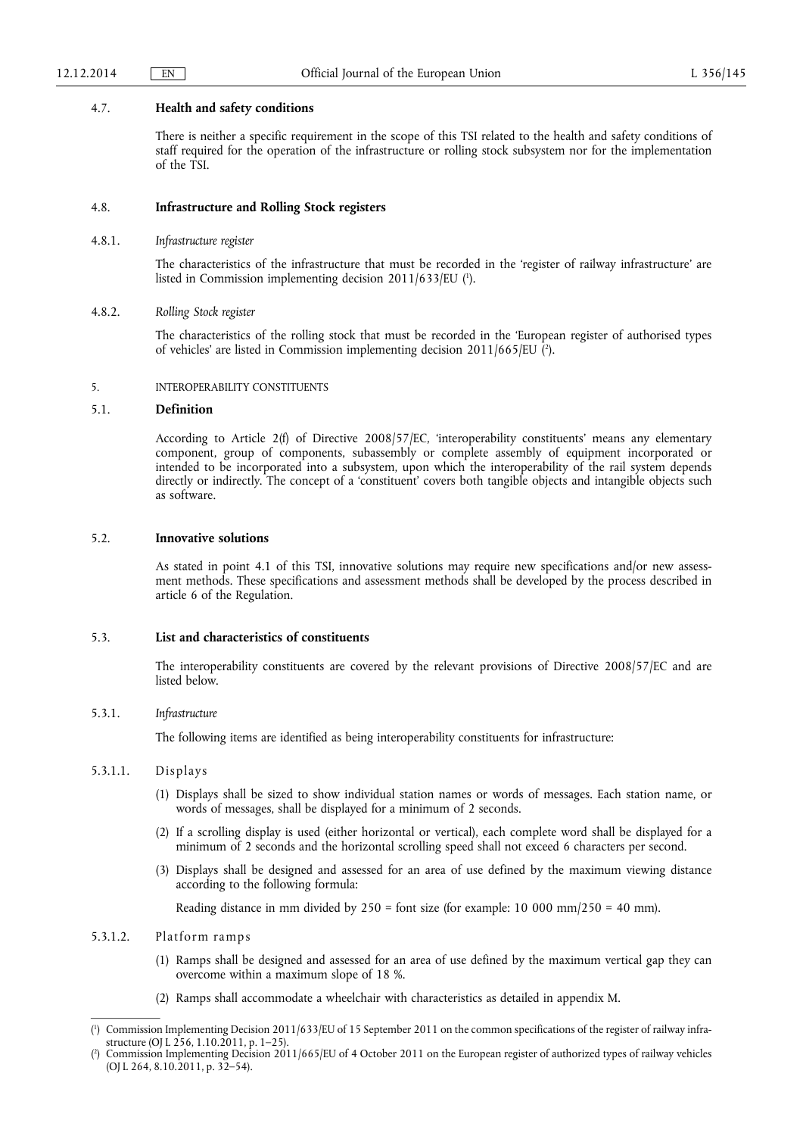#### 4.7. **Health and safety conditions**

There is neither a specific requirement in the scope of this TSI related to the health and safety conditions of staff required for the operation of the infrastructure or rolling stock subsystem nor for the implementation of the TSI.

### 4.8. **Infrastructure and Rolling Stock registers**

4.8.1. *Infrastructure register* 

The characteristics of the infrastructure that must be recorded in the 'register of railway infrastructure' are listed in Commission implementing decision 2011/633/EU ( 1 ).

#### 4.8.2. *Rolling Stock register*

The characteristics of the rolling stock that must be recorded in the 'European register of authorised types of vehicles' are listed in Commission implementing decision 2011/665/EU ( 2 ).

#### 5. INTEROPERABILITY CONSTITUENTS

#### 5.1. **Definition**

According to Article 2(f) of Directive 2008/57/EC, 'interoperability constituents' means any elementary component, group of components, subassembly or complete assembly of equipment incorporated or intended to be incorporated into a subsystem, upon which the interoperability of the rail system depends directly or indirectly. The concept of a 'constituent' covers both tangible objects and intangible objects such as software.

## 5.2. **Innovative solutions**

As stated in point 4.1 of this TSI, innovative solutions may require new specifications and/or new assessment methods. These specifications and assessment methods shall be developed by the process described in article 6 of the Regulation.

## 5.3. **List and characteristics of constituents**

The interoperability constituents are covered by the relevant provisions of Directive 2008/57/EC and are listed below.

## 5.3.1. *Infrastructure*

The following items are identified as being interoperability constituents for infrastructure:

## 5.3.1.1. Displays

- (1) Displays shall be sized to show individual station names or words of messages. Each station name, or words of messages, shall be displayed for a minimum of 2 seconds.
- (2) If a scrolling display is used (either horizontal or vertical), each complete word shall be displayed for a minimum of 2 seconds and the horizontal scrolling speed shall not exceed 6 characters per second.
- (3) Displays shall be designed and assessed for an area of use defined by the maximum viewing distance according to the following formula:

Reading distance in mm divided by  $250 =$  font size (for example: 10 000 mm/ $250 = 40$  mm).

## 5.3.1.2. Platform ramps

- (1) Ramps shall be designed and assessed for an area of use defined by the maximum vertical gap they can overcome within a maximum slope of 18 %.
- (2) Ramps shall accommodate a wheelchair with characteristics as detailed in appendix M.

<sup>(</sup> 1 ) Commission Implementing Decision 2011/633/EU of 15 September 2011 on the common specifications of the register of railway infrastructure (OJ L 256, 1.10.2011, p. 1–25).

<sup>(</sup> 2 ) Commission Implementing Decision 2011/665/EU of 4 October 2011 on the European register of authorized types of railway vehicles (OJ L 264, 8.10.2011, p. 32–54).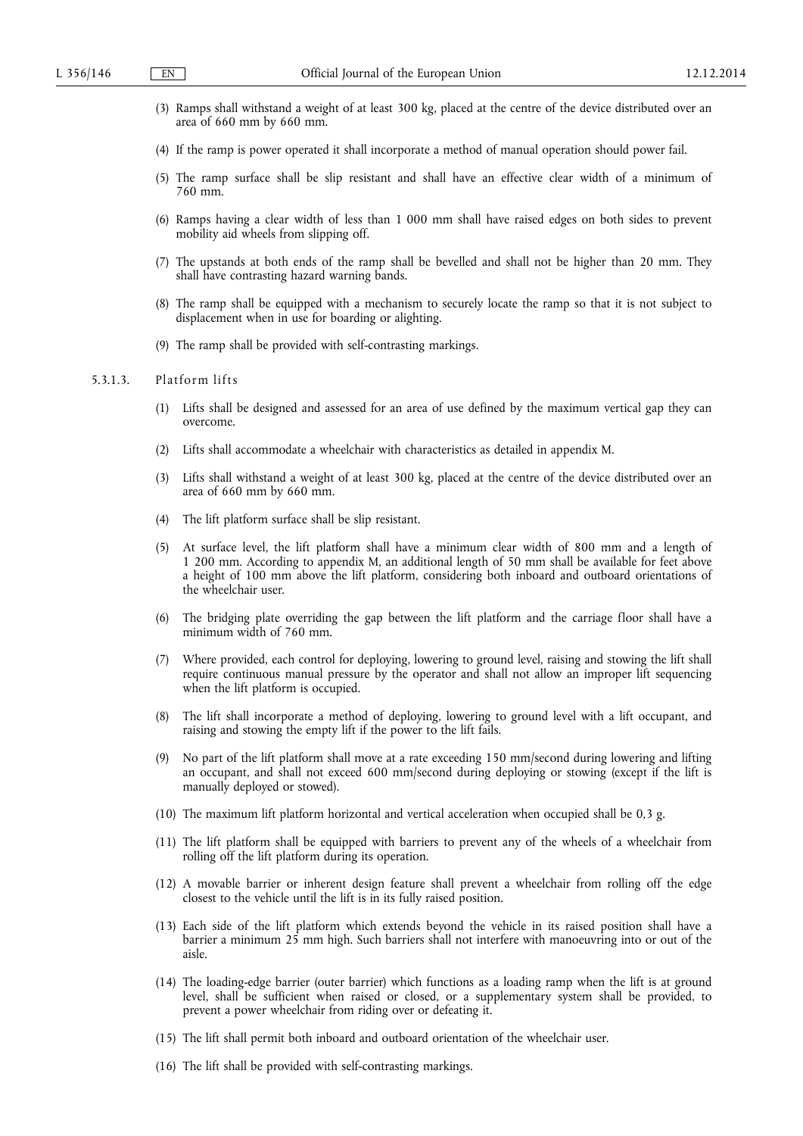- (3) Ramps shall withstand a weight of at least 300 kg, placed at the centre of the device distributed over an area of 660 mm by 660 mm.
- (4) If the ramp is power operated it shall incorporate a method of manual operation should power fail.
- (5) The ramp surface shall be slip resistant and shall have an effective clear width of a minimum of 760 mm.
- (6) Ramps having a clear width of less than 1 000 mm shall have raised edges on both sides to prevent mobility aid wheels from slipping off.
- (7) The upstands at both ends of the ramp shall be bevelled and shall not be higher than 20 mm. They shall have contrasting hazard warning bands.
- (8) The ramp shall be equipped with a mechanism to securely locate the ramp so that it is not subject to displacement when in use for boarding or alighting.
- (9) The ramp shall be provided with self-contrasting markings.

### 5.3.1.3. Platform lifts

- (1) Lifts shall be designed and assessed for an area of use defined by the maximum vertical gap they can overcome.
- (2) Lifts shall accommodate a wheelchair with characteristics as detailed in appendix M.
- (3) Lifts shall withstand a weight of at least 300 kg, placed at the centre of the device distributed over an area of 660 mm by 660 mm.
- (4) The lift platform surface shall be slip resistant.
- (5) At surface level, the lift platform shall have a minimum clear width of 800 mm and a length of 1 200 mm. According to appendix M, an additional length of 50 mm shall be available for feet above a height of 100 mm above the lift platform, considering both inboard and outboard orientations of the wheelchair user.
- (6) The bridging plate overriding the gap between the lift platform and the carriage floor shall have a minimum width of 760 mm.
- (7) Where provided, each control for deploying, lowering to ground level, raising and stowing the lift shall require continuous manual pressure by the operator and shall not allow an improper lift sequencing when the lift platform is occupied.
- (8) The lift shall incorporate a method of deploying, lowering to ground level with a lift occupant, and raising and stowing the empty lift if the power to the lift fails.
- (9) No part of the lift platform shall move at a rate exceeding 150 mm/second during lowering and lifting an occupant, and shall not exceed 600 mm/second during deploying or stowing (except if the lift is manually deployed or stowed).
- (10) The maximum lift platform horizontal and vertical acceleration when occupied shall be 0,3 g.
- (11) The lift platform shall be equipped with barriers to prevent any of the wheels of a wheelchair from rolling off the lift platform during its operation.
- (12) A movable barrier or inherent design feature shall prevent a wheelchair from rolling off the edge closest to the vehicle until the lift is in its fully raised position.
- (13) Each side of the lift platform which extends beyond the vehicle in its raised position shall have a barrier a minimum 25 mm high. Such barriers shall not interfere with manoeuvring into or out of the aisle.
- (14) The loading-edge barrier (outer barrier) which functions as a loading ramp when the lift is at ground level, shall be sufficient when raised or closed, or a supplementary system shall be provided, to prevent a power wheelchair from riding over or defeating it.
- (15) The lift shall permit both inboard and outboard orientation of the wheelchair user.
- (16) The lift shall be provided with self-contrasting markings.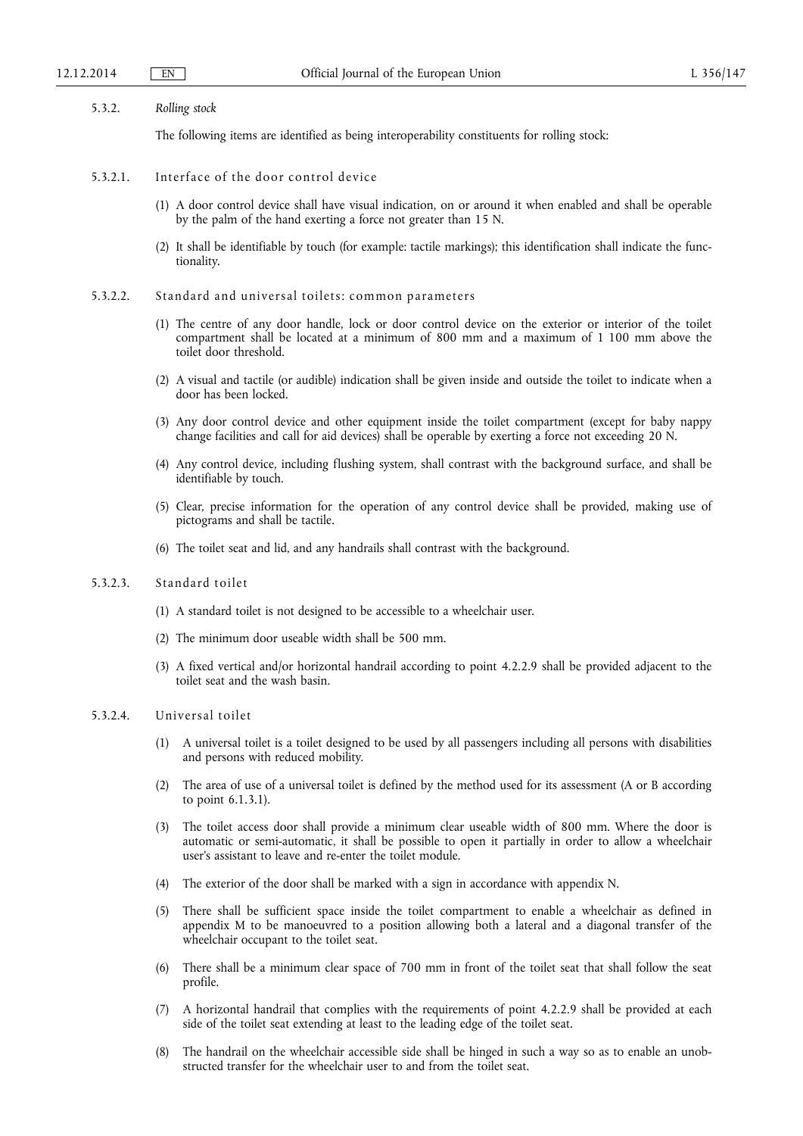#### 5.3.2. *Rolling stock*

The following items are identified as being interoperability constituents for rolling stock:

## 5.3.2.1. Interface of the door control device

- (1) A door control device shall have visual indication, on or around it when enabled and shall be operable by the palm of the hand exerting a force not greater than 15 N.
- (2) It shall be identifiable by touch (for example: tactile markings); this identification shall indicate the functionality.
- 5.3.2.2. Standard and universal toilets: common parameters
	- (1) The centre of any door handle, lock or door control device on the exterior or interior of the toilet compartment shall be located at a minimum of 800 mm and a maximum of 1 100 mm above the toilet door threshold.
	- (2) A visual and tactile (or audible) indication shall be given inside and outside the toilet to indicate when a door has been locked.
	- (3) Any door control device and other equipment inside the toilet compartment (except for baby nappy change facilities and call for aid devices) shall be operable by exerting a force not exceeding 20 N.
	- (4) Any control device, including flushing system, shall contrast with the background surface, and shall be identifiable by touch.
	- (5) Clear, precise information for the operation of any control device shall be provided, making use of pictograms and shall be tactile.
	- (6) The toilet seat and lid, and any handrails shall contrast with the background.

### 5.3.2.3. Standard toilet

- (1) A standard toilet is not designed to be accessible to a wheelchair user.
- (2) The minimum door useable width shall be 500 mm.
- (3) A fixed vertical and/or horizontal handrail according to point 4.2.2.9 shall be provided adjacent to the toilet seat and the wash basin.

#### 5.3.2.4. Universal toilet

- (1) A universal toilet is a toilet designed to be used by all passengers including all persons with disabilities and persons with reduced mobility.
- (2) The area of use of a universal toilet is defined by the method used for its assessment (A or B according to point 6.1.3.1).
- (3) The toilet access door shall provide a minimum clear useable width of 800 mm. Where the door is automatic or semi-automatic, it shall be possible to open it partially in order to allow a wheelchair user's assistant to leave and re-enter the toilet module.
- (4) The exterior of the door shall be marked with a sign in accordance with appendix N.
- (5) There shall be sufficient space inside the toilet compartment to enable a wheelchair as defined in appendix M to be manoeuvred to a position allowing both a lateral and a diagonal transfer of the wheelchair occupant to the toilet seat.
- (6) There shall be a minimum clear space of 700 mm in front of the toilet seat that shall follow the seat profile.
- (7) A horizontal handrail that complies with the requirements of point 4.2.2.9 shall be provided at each side of the toilet seat extending at least to the leading edge of the toilet seat.
- (8) The handrail on the wheelchair accessible side shall be hinged in such a way so as to enable an unobstructed transfer for the wheelchair user to and from the toilet seat.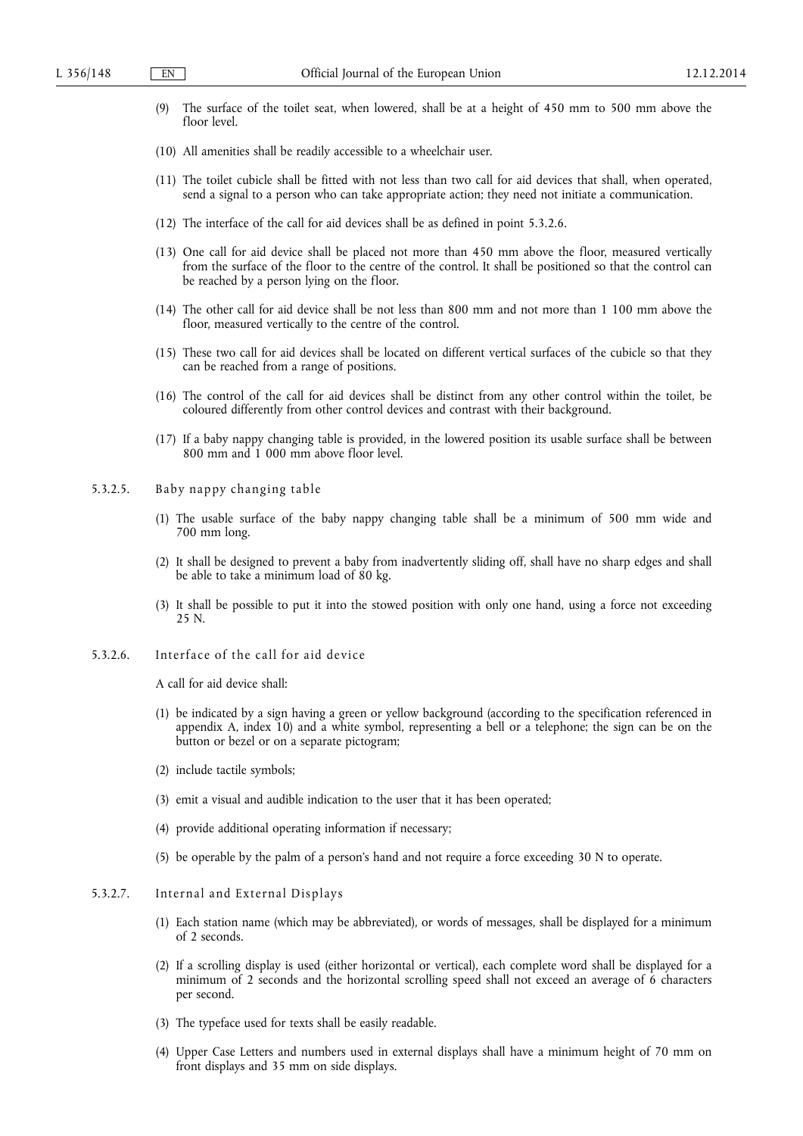- (9) The surface of the toilet seat, when lowered, shall be at a height of 450 mm to 500 mm above the floor level.
- (10) All amenities shall be readily accessible to a wheelchair user.
- (11) The toilet cubicle shall be fitted with not less than two call for aid devices that shall, when operated, send a signal to a person who can take appropriate action; they need not initiate a communication.
- (12) The interface of the call for aid devices shall be as defined in point 5.3.2.6.
- (13) One call for aid device shall be placed not more than 450 mm above the floor, measured vertically from the surface of the floor to the centre of the control. It shall be positioned so that the control can be reached by a person lying on the floor.
- (14) The other call for aid device shall be not less than 800 mm and not more than 1 100 mm above the floor, measured vertically to the centre of the control.
- (15) These two call for aid devices shall be located on different vertical surfaces of the cubicle so that they can be reached from a range of positions.
- (16) The control of the call for aid devices shall be distinct from any other control within the toilet, be coloured differently from other control devices and contrast with their background.
- (17) If a baby nappy changing table is provided, in the lowered position its usable surface shall be between 800 mm and 1 000 mm above floor level.
- 5.3.2.5. Baby nappy changing table
	- (1) The usable surface of the baby nappy changing table shall be a minimum of 500 mm wide and 700 mm long.
	- (2) It shall be designed to prevent a baby from inadvertently sliding off, shall have no sharp edges and shall be able to take a minimum load of 80 kg.
	- (3) It shall be possible to put it into the stowed position with only one hand, using a force not exceeding 25 N.
- 5.3.2.6. Interface of the call for aid device

A call for aid device shall:

- (1) be indicated by a sign having a green or yellow background (according to the specification referenced in appendix A, index 10) and a white symbol, representing a bell or a telephone; the sign can be on the button or bezel or on a separate pictogram;
- (2) include tactile symbols;
- (3) emit a visual and audible indication to the user that it has been operated;
- (4) provide additional operating information if necessary;
- (5) be operable by the palm of a person's hand and not require a force exceeding 30 N to operate.

### 5.3.2.7. Internal and External Displays

- (1) Each station name (which may be abbreviated), or words of messages, shall be displayed for a minimum of 2 seconds.
- (2) If a scrolling display is used (either horizontal or vertical), each complete word shall be displayed for a minimum of 2 seconds and the horizontal scrolling speed shall not exceed an average of 6 characters per second.
- (3) The typeface used for texts shall be easily readable.
- (4) Upper Case Letters and numbers used in external displays shall have a minimum height of 70 mm on front displays and 35 mm on side displays.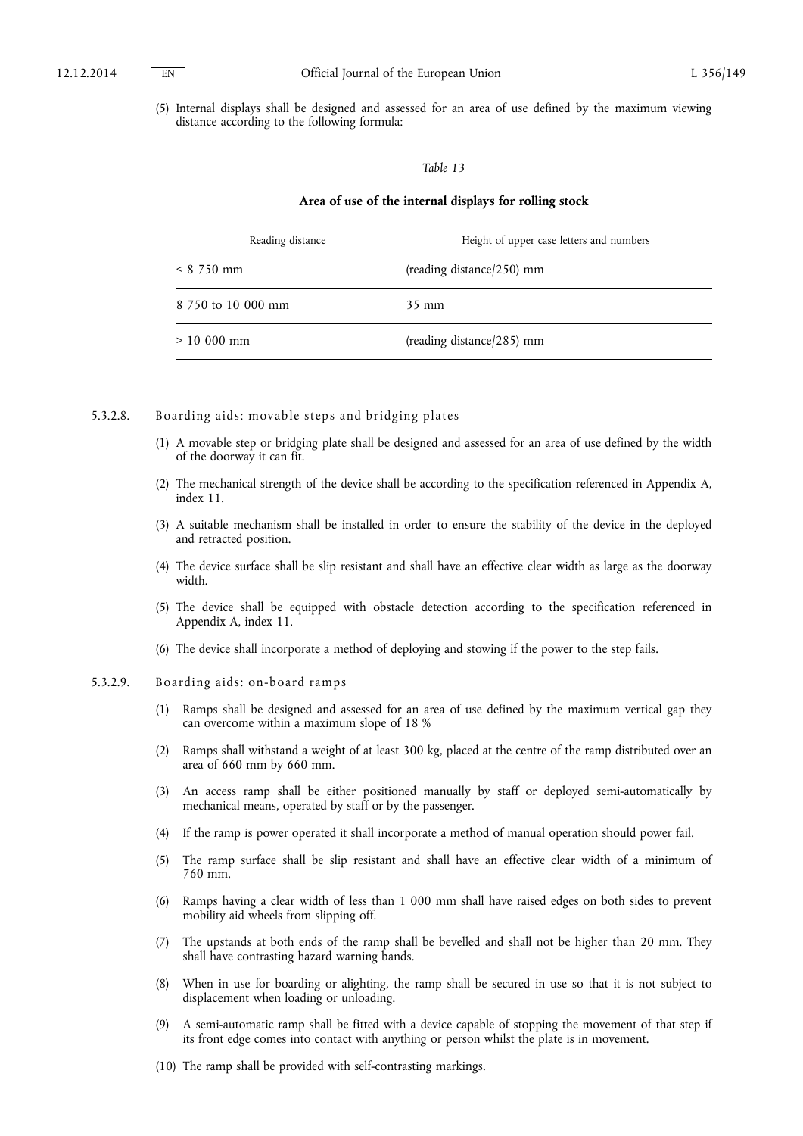(5) Internal displays shall be designed and assessed for an area of use defined by the maximum viewing distance according to the following formula:

#### *Table 13*

### **Area of use of the internal displays for rolling stock**

| Reading distance   | Height of upper case letters and numbers |
|--------------------|------------------------------------------|
| $< 8$ 750 mm       | (reading distance/250) mm                |
| 8 750 to 10 000 mm | $35 \text{ mm}$                          |
| $> 10000$ mm       | (reading distance/285) mm                |

#### 5.3.2.8. Boarding aids: movable steps and bridging plates

- (1) A movable step or bridging plate shall be designed and assessed for an area of use defined by the width of the doorway it can fit.
- (2) The mechanical strength of the device shall be according to the specification referenced in Appendix A, index 11.
- (3) A suitable mechanism shall be installed in order to ensure the stability of the device in the deployed and retracted position.
- (4) The device surface shall be slip resistant and shall have an effective clear width as large as the doorway width.
- (5) The device shall be equipped with obstacle detection according to the specification referenced in Appendix A, index 11.
- (6) The device shall incorporate a method of deploying and stowing if the power to the step fails.

## 5.3.2.9. Boarding aids: on-board ramps

- (1) Ramps shall be designed and assessed for an area of use defined by the maximum vertical gap they can overcome within a maximum slope of 18 %
- (2) Ramps shall withstand a weight of at least 300 kg, placed at the centre of the ramp distributed over an area of 660 mm by 660 mm.
- (3) An access ramp shall be either positioned manually by staff or deployed semi-automatically by mechanical means, operated by staff or by the passenger.
- (4) If the ramp is power operated it shall incorporate a method of manual operation should power fail.
- (5) The ramp surface shall be slip resistant and shall have an effective clear width of a minimum of 760 mm.
- (6) Ramps having a clear width of less than 1 000 mm shall have raised edges on both sides to prevent mobility aid wheels from slipping off.
- (7) The upstands at both ends of the ramp shall be bevelled and shall not be higher than 20 mm. They shall have contrasting hazard warning bands.
- (8) When in use for boarding or alighting, the ramp shall be secured in use so that it is not subject to displacement when loading or unloading.
- (9) A semi-automatic ramp shall be fitted with a device capable of stopping the movement of that step if its front edge comes into contact with anything or person whilst the plate is in movement.
- (10) The ramp shall be provided with self-contrasting markings.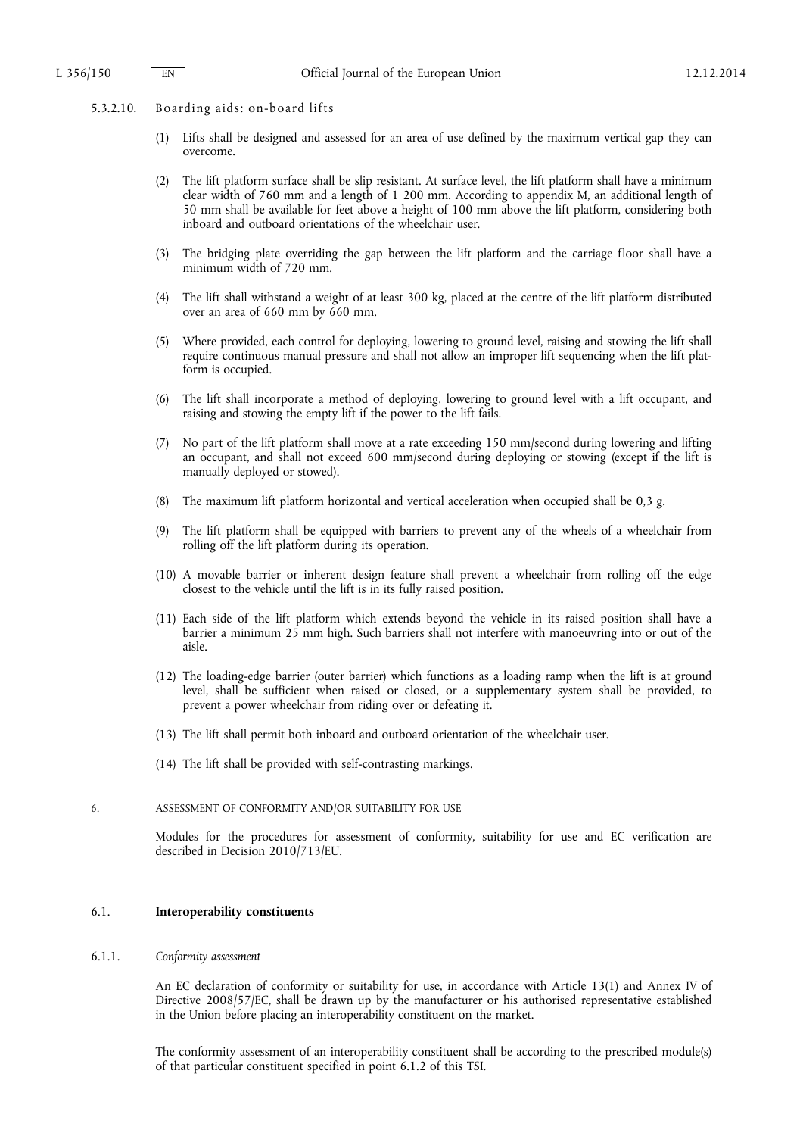- 5.3.2.10. Boarding aids: on-board lifts
	- (1) Lifts shall be designed and assessed for an area of use defined by the maximum vertical gap they can overcome.
	- (2) The lift platform surface shall be slip resistant. At surface level, the lift platform shall have a minimum clear width of 760 mm and a length of 1 200 mm. According to appendix M, an additional length of 50 mm shall be available for feet above a height of 100 mm above the lift platform, considering both inboard and outboard orientations of the wheelchair user.
	- (3) The bridging plate overriding the gap between the lift platform and the carriage floor shall have a minimum width of 720 mm.
	- (4) The lift shall withstand a weight of at least 300 kg, placed at the centre of the lift platform distributed over an area of 660 mm by 660 mm.
	- (5) Where provided, each control for deploying, lowering to ground level, raising and stowing the lift shall require continuous manual pressure and shall not allow an improper lift sequencing when the lift platform is occupied.
	- (6) The lift shall incorporate a method of deploying, lowering to ground level with a lift occupant, and raising and stowing the empty lift if the power to the lift fails.
	- (7) No part of the lift platform shall move at a rate exceeding 150 mm/second during lowering and lifting an occupant, and shall not exceed 600 mm/second during deploying or stowing (except if the lift is manually deployed or stowed).
	- (8) The maximum lift platform horizontal and vertical acceleration when occupied shall be 0,3 g.
	- (9) The lift platform shall be equipped with barriers to prevent any of the wheels of a wheelchair from rolling off the lift platform during its operation.
	- (10) A movable barrier or inherent design feature shall prevent a wheelchair from rolling off the edge closest to the vehicle until the lift is in its fully raised position.
	- (11) Each side of the lift platform which extends beyond the vehicle in its raised position shall have a barrier a minimum 25 mm high. Such barriers shall not interfere with manoeuvring into or out of the aisle.
	- (12) The loading-edge barrier (outer barrier) which functions as a loading ramp when the lift is at ground level, shall be sufficient when raised or closed, or a supplementary system shall be provided, to prevent a power wheelchair from riding over or defeating it.
	- (13) The lift shall permit both inboard and outboard orientation of the wheelchair user.
	- (14) The lift shall be provided with self-contrasting markings.
- 6. ASSESSMENT OF CONFORMITY AND/OR SUITABILITY FOR USE

Modules for the procedures for assessment of conformity, suitability for use and EC verification are described in Decision 2010/713/EU.

### 6.1. **Interoperability constituents**

### 6.1.1. *Conformity assessment*

An EC declaration of conformity or suitability for use, in accordance with Article 13(1) and Annex IV of Directive 2008/57/EC, shall be drawn up by the manufacturer or his authorised representative established in the Union before placing an interoperability constituent on the market.

The conformity assessment of an interoperability constituent shall be according to the prescribed module(s) of that particular constituent specified in point 6.1.2 of this TSI.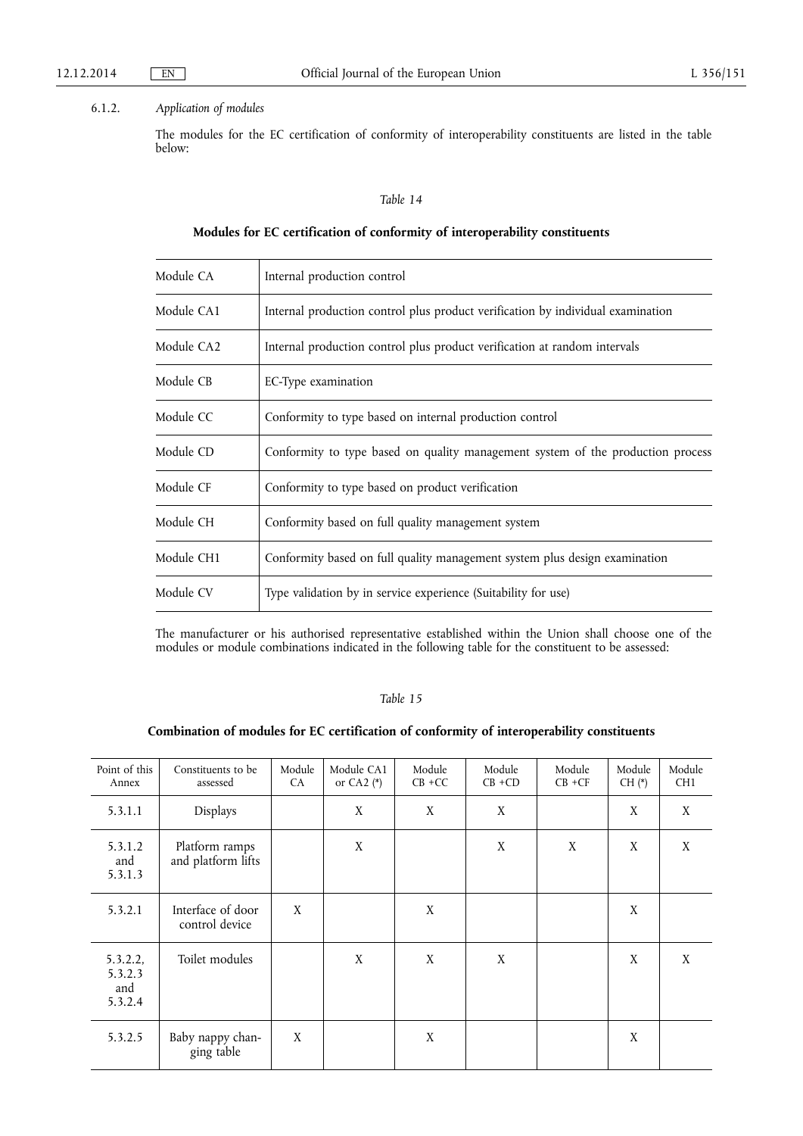## 6.1.2. *Application of modules*

The modules for the EC certification of conformity of interoperability constituents are listed in the table below:

### *Table 14*

## **Modules for EC certification of conformity of interoperability constituents**

| Module CA  | Internal production control                                                     |
|------------|---------------------------------------------------------------------------------|
| Module CA1 | Internal production control plus product verification by individual examination |
| Module CA2 | Internal production control plus product verification at random intervals       |
| Module CB  | EC-Type examination                                                             |
| Module CC  | Conformity to type based on internal production control                         |
| Module CD  | Conformity to type based on quality management system of the production process |
| Module CF  | Conformity to type based on product verification                                |
| Module CH  | Conformity based on full quality management system                              |
| Module CH1 | Conformity based on full quality management system plus design examination      |
| Module CV  | Type validation by in service experience (Suitability for use)                  |
|            |                                                                                 |

The manufacturer or his authorised representative established within the Union shall choose one of the modules or module combinations indicated in the following table for the constituent to be assessed:

## *Table 15*

## **Combination of modules for EC certification of conformity of interoperability constituents**

| Point of this<br>Annex                | Constituents to be<br>assessed       | Module<br>CA | Module CA1<br>or CA2 $(*)$ | Module<br>$CB + CC$ | Module<br>$CB + CD$ | Module<br>$CB + CF$ | Module<br>$CH$ (*) | Module<br>CH <sub>1</sub> |
|---------------------------------------|--------------------------------------|--------------|----------------------------|---------------------|---------------------|---------------------|--------------------|---------------------------|
| 5.3.1.1                               | Displays                             |              | X                          | X                   | X                   |                     | X                  | X                         |
| 5.3.1.2<br>and<br>5.3.1.3             | Platform ramps<br>and platform lifts |              | X                          |                     | X                   | X                   | X                  | X                         |
| 5.3.2.1                               | Interface of door<br>control device  | X            |                            | X                   |                     |                     | X                  |                           |
| 5.3.2.2,<br>5.3.2.3<br>and<br>5.3.2.4 | Toilet modules                       |              | X                          | X                   | X                   |                     | X                  | X                         |
| 5.3.2.5                               | Baby nappy chan-<br>ging table       | X            |                            | X                   |                     |                     | X                  |                           |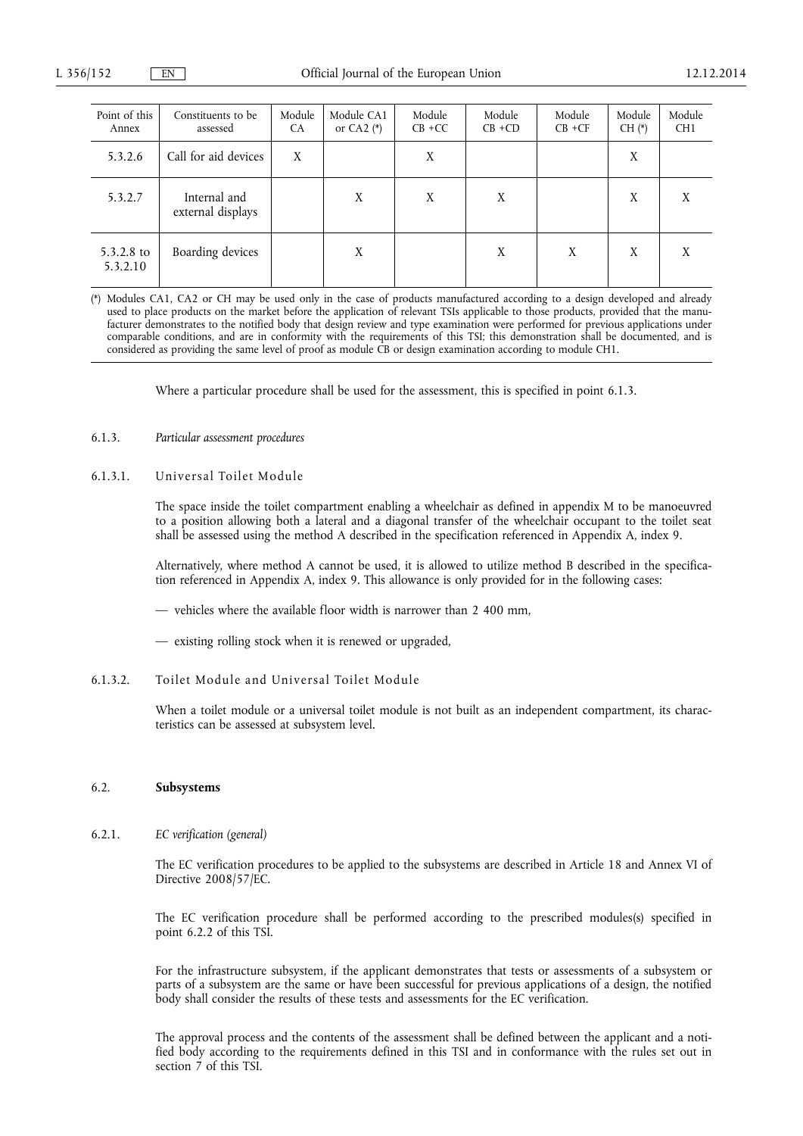| Point of this<br>Annex   | Constituents to be<br>assessed    | Module<br><b>CA</b> | Module CA1<br>or CA2 $(*)$ | Module<br>$CB + CC$ | Module<br>$CB + CD$ | Module<br>$CB + CF$ | Module<br>$CH$ $(*)$ | Module<br>CH <sub>1</sub> |
|--------------------------|-----------------------------------|---------------------|----------------------------|---------------------|---------------------|---------------------|----------------------|---------------------------|
| 5.3.2.6                  | Call for aid devices              | X                   |                            | X                   |                     |                     | X                    |                           |
| 5.3.2.7                  | Internal and<br>external displays |                     | X                          | X                   | X                   |                     | X                    | X                         |
| $5.3.2.8$ to<br>5.3.2.10 | Boarding devices                  |                     | Χ                          |                     | X                   | X                   | X                    | X                         |

(\*) Modules CA1, CA2 or CH may be used only in the case of products manufactured according to a design developed and already used to place products on the market before the application of relevant TSIs applicable to those products, provided that the manufacturer demonstrates to the notified body that design review and type examination were performed for previous applications under comparable conditions, and are in conformity with the requirements of this TSI; this demonstration shall be documented, and is considered as providing the same level of proof as module CB or design examination according to module CH1.

Where a particular procedure shall be used for the assessment, this is specified in point 6.1.3.

### 6.1.3. *Particular assessment procedures*

6.1.3.1. Universal Toilet Module

The space inside the toilet compartment enabling a wheelchair as defined in appendix M to be manoeuvred to a position allowing both a lateral and a diagonal transfer of the wheelchair occupant to the toilet seat shall be assessed using the method A described in the specification referenced in Appendix A, index 9.

Alternatively, where method A cannot be used, it is allowed to utilize method B described in the specification referenced in Appendix A, index 9. This allowance is only provided for in the following cases:

— vehicles where the available floor width is narrower than 2 400 mm,

— existing rolling stock when it is renewed or upgraded,

## 6.1.3.2. Toilet Module and Universal Toilet Module

When a toilet module or a universal toilet module is not built as an independent compartment, its characteristics can be assessed at subsystem level.

## 6.2. **Subsystems**

6.2.1. *EC verification (general)* 

The EC verification procedures to be applied to the subsystems are described in Article 18 and Annex VI of Directive 2008/57/EC.

The EC verification procedure shall be performed according to the prescribed modules(s) specified in point 6.2.2 of this TSI.

For the infrastructure subsystem, if the applicant demonstrates that tests or assessments of a subsystem or parts of a subsystem are the same or have been successful for previous applications of a design, the notified body shall consider the results of these tests and assessments for the EC verification.

The approval process and the contents of the assessment shall be defined between the applicant and a notified body according to the requirements defined in this TSI and in conformance with the rules set out in section 7 of this TSI.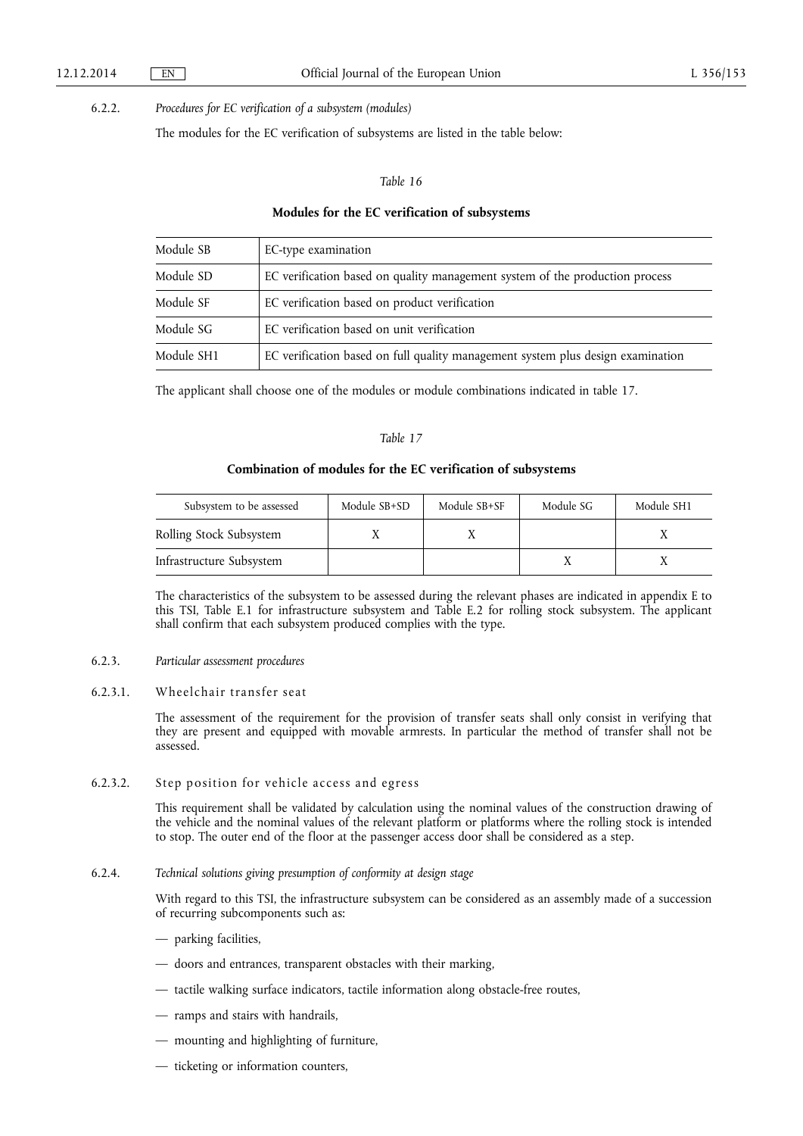## 6.2.2. *Procedures for EC verification of a subsystem (modules)*

The modules for the EC verification of subsystems are listed in the table below:

#### *Table 16*

### **Modules for the EC verification of subsystems**

| Module SB  | EC-type examination                                                             |
|------------|---------------------------------------------------------------------------------|
| Module SD  | EC verification based on quality management system of the production process    |
| Module SF  | EC verification based on product verification                                   |
| Module SG  | EC verification based on unit verification                                      |
| Module SH1 | EC verification based on full quality management system plus design examination |

The applicant shall choose one of the modules or module combinations indicated in table 17.

### *Table 17*

### **Combination of modules for the EC verification of subsystems**

| Subsystem to be assessed | Module SB+SD | Module SB+SF | Module SG | Module SH1 |
|--------------------------|--------------|--------------|-----------|------------|
| Rolling Stock Subsystem  |              |              |           |            |
| Infrastructure Subsystem |              |              |           |            |

The characteristics of the subsystem to be assessed during the relevant phases are indicated in appendix E to this TSI, Table E.1 for infrastructure subsystem and Table E.2 for rolling stock subsystem. The applicant shall confirm that each subsystem produced complies with the type.

## 6.2.3. *Particular assessment procedures*

## 6.2.3.1. Wheelchair transfer seat

The assessment of the requirement for the provision of transfer seats shall only consist in verifying that they are present and equipped with movable armrests. In particular the method of transfer shall not be assessed.

#### 6.2.3.2. Step position for vehicle access and egress

This requirement shall be validated by calculation using the nominal values of the construction drawing of the vehicle and the nominal values of the relevant platform or platforms where the rolling stock is intended to stop. The outer end of the floor at the passenger access door shall be considered as a step.

### 6.2.4. *Technical solutions giving presumption of conformity at design stage*

With regard to this TSI, the infrastructure subsystem can be considered as an assembly made of a succession of recurring subcomponents such as:

- parking facilities,
- doors and entrances, transparent obstacles with their marking,
- tactile walking surface indicators, tactile information along obstacle-free routes,
- ramps and stairs with handrails,
- mounting and highlighting of furniture,
- ticketing or information counters,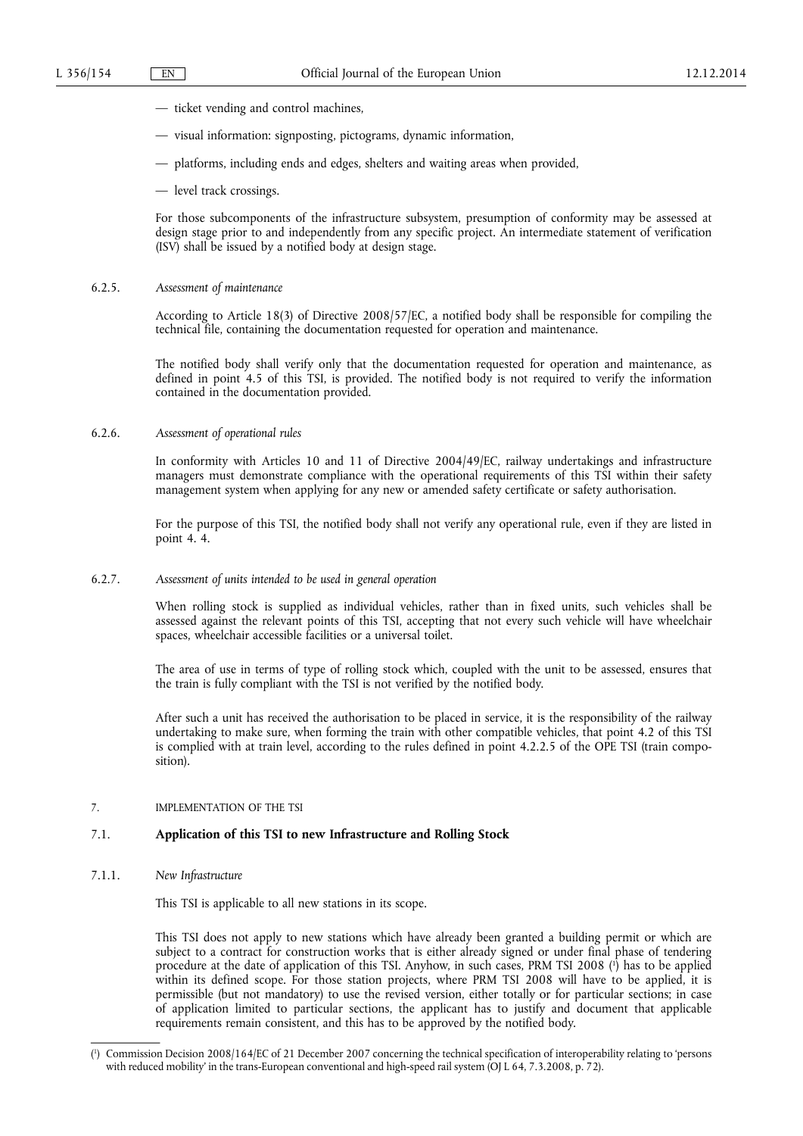- ticket vending and control machines,
- visual information: signposting, pictograms, dynamic information,
- platforms, including ends and edges, shelters and waiting areas when provided,
- level track crossings.

For those subcomponents of the infrastructure subsystem, presumption of conformity may be assessed at design stage prior to and independently from any specific project. An intermediate statement of verification (ISV) shall be issued by a notified body at design stage.

## 6.2.5. *Assessment of maintenance*

According to Article 18(3) of Directive 2008/57/EC, a notified body shall be responsible for compiling the technical file, containing the documentation requested for operation and maintenance.

The notified body shall verify only that the documentation requested for operation and maintenance, as defined in point 4.5 of this TSI, is provided. The notified body is not required to verify the information contained in the documentation provided.

## 6.2.6. *Assessment of operational rules*

In conformity with Articles 10 and 11 of Directive 2004/49/EC, railway undertakings and infrastructure managers must demonstrate compliance with the operational requirements of this TSI within their safety management system when applying for any new or amended safety certificate or safety authorisation.

For the purpose of this TSI, the notified body shall not verify any operational rule, even if they are listed in point 4. 4.

6.2.7. *Assessment of units intended to be used in general operation* 

When rolling stock is supplied as individual vehicles, rather than in fixed units, such vehicles shall be assessed against the relevant points of this TSI, accepting that not every such vehicle will have wheelchair spaces, wheelchair accessible facilities or a universal toilet.

The area of use in terms of type of rolling stock which, coupled with the unit to be assessed, ensures that the train is fully compliant with the TSI is not verified by the notified body.

After such a unit has received the authorisation to be placed in service, it is the responsibility of the railway undertaking to make sure, when forming the train with other compatible vehicles, that point 4.2 of this TSI is complied with at train level, according to the rules defined in point 4.2.2.5 of the OPE TSI (train composition).

## 7. IMPLEMENTATION OF THE TSI

## 7.1. **Application of this TSI to new Infrastructure and Rolling Stock**

7.1.1. *New Infrastructure* 

This TSI is applicable to all new stations in its scope.

This TSI does not apply to new stations which have already been granted a building permit or which are subject to a contract for construction works that is either already signed or under final phase of tendering procedure at the date of application of this TSI. Anyhow, in such cases, PRM TSI 2008 ( 1 ) has to be applied within its defined scope. For those station projects, where PRM TSI 2008 will have to be applied, it is permissible (but not mandatory) to use the revised version, either totally or for particular sections; in case of application limited to particular sections, the applicant has to justify and document that applicable requirements remain consistent, and this has to be approved by the notified body.

<sup>(</sup> 1 ) Commission Decision 2008/164/EC of 21 December 2007 concerning the technical specification of interoperability relating to 'persons with reduced mobility' in the trans-European conventional and high-speed rail system (OJ L 64, 7.3.2008, p. 72).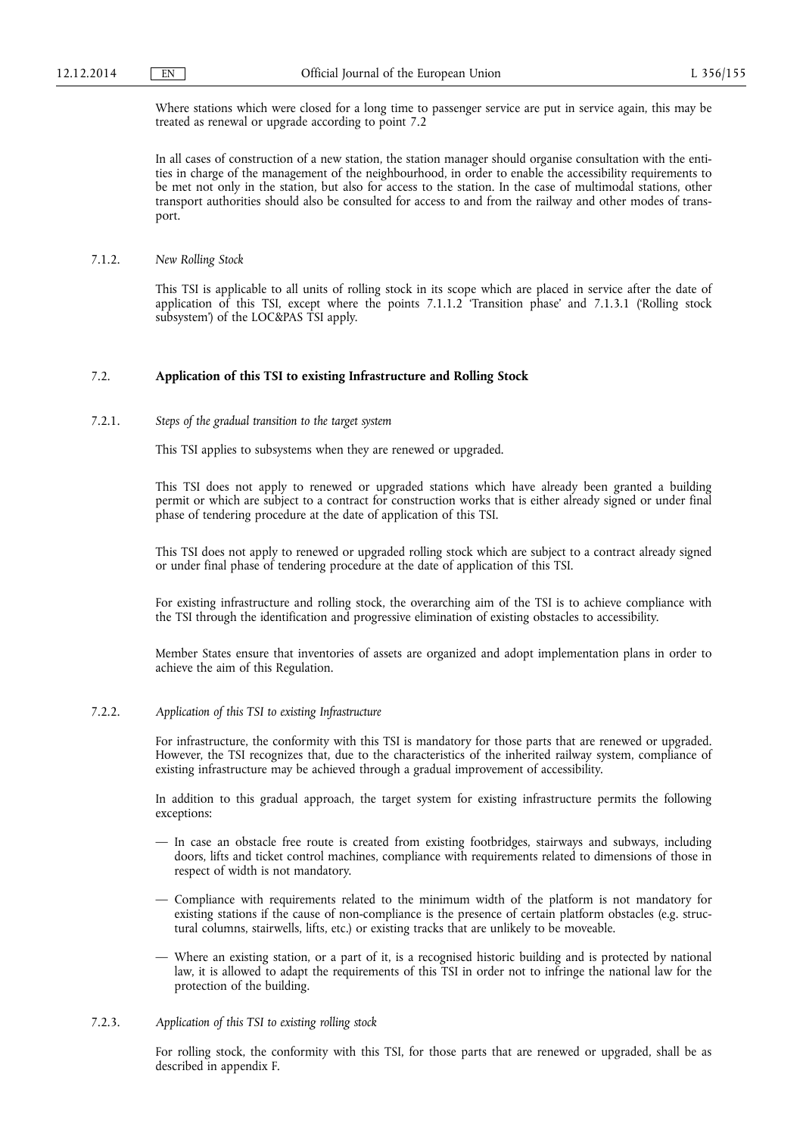Where stations which were closed for a long time to passenger service are put in service again, this may be treated as renewal or upgrade according to point 7.2

In all cases of construction of a new station, the station manager should organise consultation with the entities in charge of the management of the neighbourhood, in order to enable the accessibility requirements to be met not only in the station, but also for access to the station. In the case of multimodal stations, other transport authorities should also be consulted for access to and from the railway and other modes of transport.

7.1.2. *New Rolling Stock* 

This TSI is applicable to all units of rolling stock in its scope which are placed in service after the date of application of this TSI, except where the points 7.1.1.2 'Transition phase' and 7.1.3.1 ('Rolling stock subsystem') of the LOC&PAS TSI apply.

## 7.2. **Application of this TSI to existing Infrastructure and Rolling Stock**

### 7.2.1. *Steps of the gradual transition to the target system*

This TSI applies to subsystems when they are renewed or upgraded.

This TSI does not apply to renewed or upgraded stations which have already been granted a building permit or which are subject to a contract for construction works that is either already signed or under final phase of tendering procedure at the date of application of this TSI.

This TSI does not apply to renewed or upgraded rolling stock which are subject to a contract already signed or under final phase of tendering procedure at the date of application of this TSI.

For existing infrastructure and rolling stock, the overarching aim of the TSI is to achieve compliance with the TSI through the identification and progressive elimination of existing obstacles to accessibility.

Member States ensure that inventories of assets are organized and adopt implementation plans in order to achieve the aim of this Regulation.

#### 7.2.2. *Application of this TSI to existing Infrastructure*

For infrastructure, the conformity with this TSI is mandatory for those parts that are renewed or upgraded. However, the TSI recognizes that, due to the characteristics of the inherited railway system, compliance of existing infrastructure may be achieved through a gradual improvement of accessibility.

In addition to this gradual approach, the target system for existing infrastructure permits the following exceptions:

- In case an obstacle free route is created from existing footbridges, stairways and subways, including doors, lifts and ticket control machines, compliance with requirements related to dimensions of those in respect of width is not mandatory.
- Compliance with requirements related to the minimum width of the platform is not mandatory for existing stations if the cause of non-compliance is the presence of certain platform obstacles (e.g. structural columns, stairwells, lifts, etc.) or existing tracks that are unlikely to be moveable.
- Where an existing station, or a part of it, is a recognised historic building and is protected by national law, it is allowed to adapt the requirements of this TSI in order not to infringe the national law for the protection of the building.

## 7.2.3. *Application of this TSI to existing rolling stock*

For rolling stock, the conformity with this TSI, for those parts that are renewed or upgraded, shall be as described in appendix F.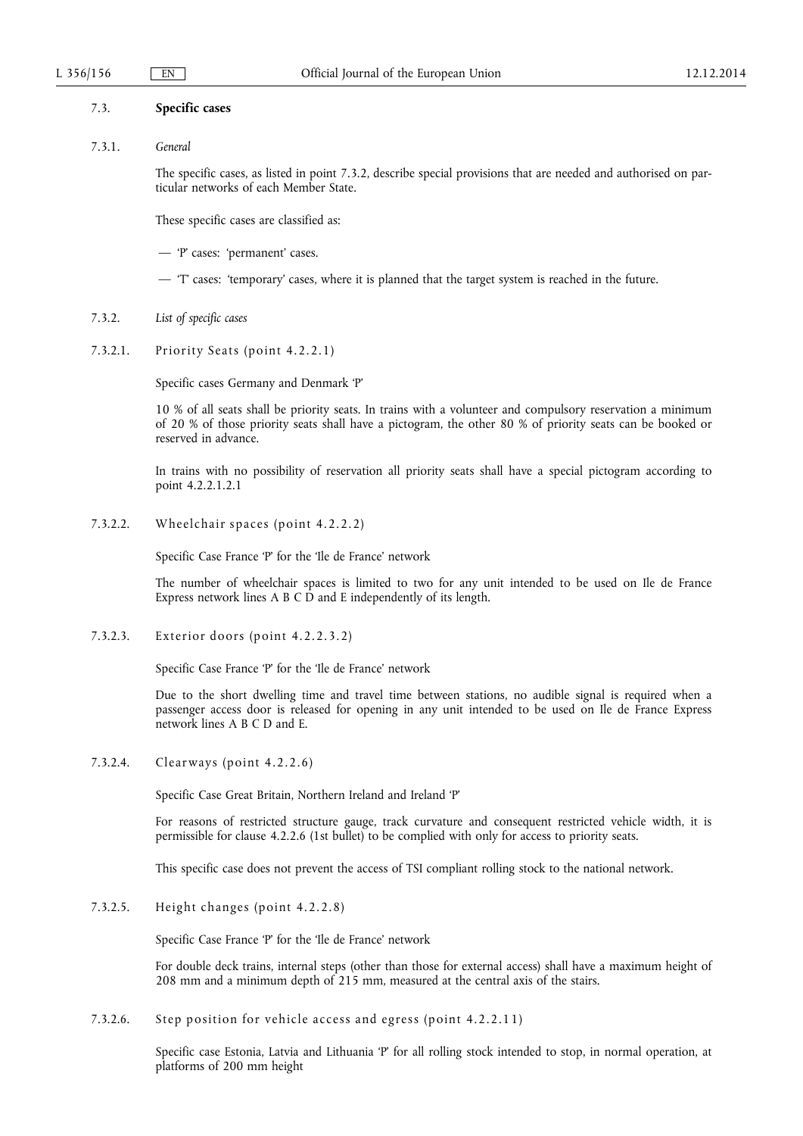#### 7.3. **Specific cases**

#### 7.3.1. *General*

The specific cases, as listed in point 7.3.2, describe special provisions that are needed and authorised on particular networks of each Member State.

These specific cases are classified as:

- 'P' cases: 'permanent' cases.
- 'T' cases: 'temporary' cases, where it is planned that the target system is reached in the future.
- 7.3.2. *List of specific cases*
- 7.3.2.1. Priority Seats (point 4.2.2.1)

Specific cases Germany and Denmark 'P'

10 % of all seats shall be priority seats. In trains with a volunteer and compulsory reservation a minimum of 20 % of those priority seats shall have a pictogram, the other 80 % of priority seats can be booked or reserved in advance.

In trains with no possibility of reservation all priority seats shall have a special pictogram according to point 4.2.2.1.2.1

7.3.2.2. Wheelchair spaces (point 4.2.2.2)

Specific Case France 'P' for the 'Ile de France' network

The number of wheelchair spaces is limited to two for any unit intended to be used on Ile de France Express network lines A B C  $\overrightarrow{D}$  and E independently of its length.

7.3.2.3. Exterior doors (point 4.2.2.3.2)

Specific Case France 'P' for the 'Ile de France' network

Due to the short dwelling time and travel time between stations, no audible signal is required when a passenger access door is released for opening in any unit intended to be used on Ile de France Express network lines A B C D and E.

7.3.2.4. Clearways (point 4.2.2.6)

Specific Case Great Britain, Northern Ireland and Ireland 'P'

For reasons of restricted structure gauge, track curvature and consequent restricted vehicle width, it is permissible for clause 4.2.2.6 (1st bullet) to be complied with only for access to priority seats.

This specific case does not prevent the access of TSI compliant rolling stock to the national network.

7.3.2.5. Height changes (point 4.2.2.8)

Specific Case France 'P' for the 'Ile de France' network

For double deck trains, internal steps (other than those for external access) shall have a maximum height of 208 mm and a minimum depth of 215 mm, measured at the central axis of the stairs.

7.3.2.6. Step position for vehicle access and egress (point 4.2.2.11)

Specific case Estonia, Latvia and Lithuania 'P' for all rolling stock intended to stop, in normal operation, at platforms of 200 mm height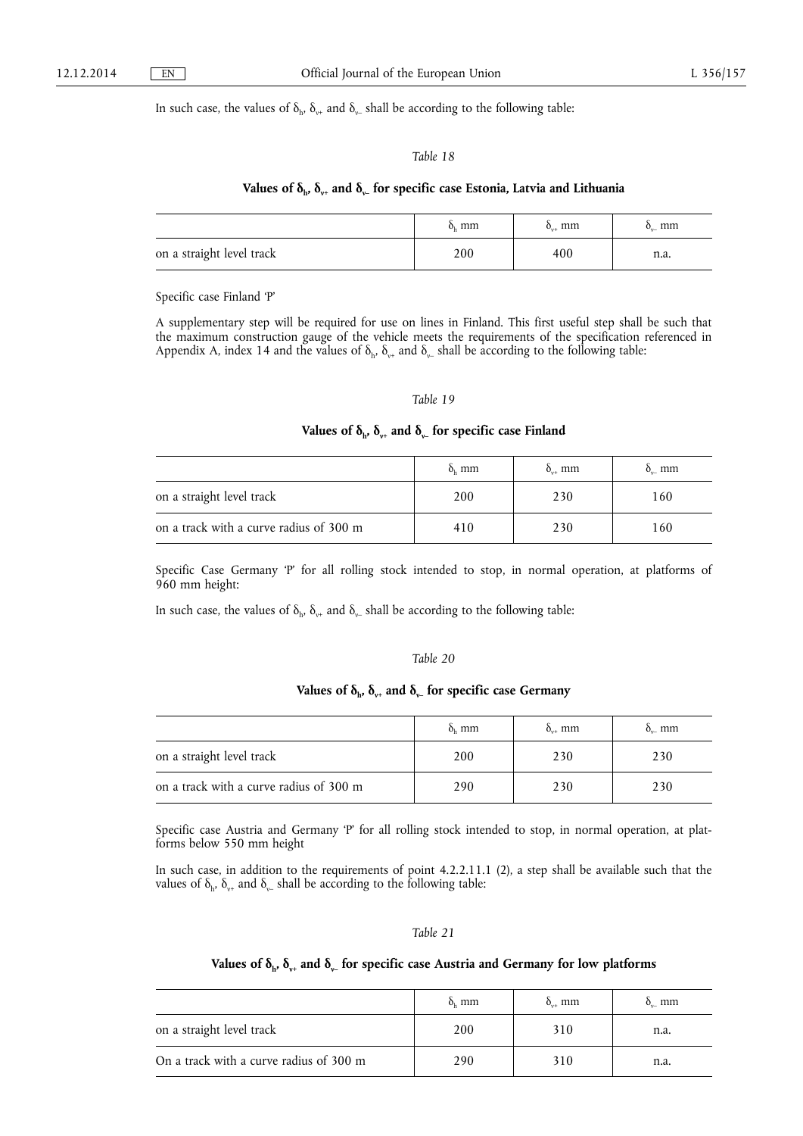#### In such case, the values of  $\delta_{h}$ ,  $\delta_{v+}$  and  $\delta_{v-}$  shall be according to the following table:

## *Table 18*

### Values of  $\delta_{h}$ ,  $\delta_{v+}$  and  $\delta_{v-}$  for specific case Estonia, Latvia and Lithuania

|                           | $\delta_{\rm h}$ mm | mm<br>$O_{\dots}$ | mm<br>$\mathbf{O}_{\mathbf{v}}$ |
|---------------------------|---------------------|-------------------|---------------------------------|
| on a straight level track | 200                 | 400               | 11.a.                           |

Specific case Finland 'P'

A supplementary step will be required for use on lines in Finland. This first useful step shall be such that the maximum construction gauge of the vehicle meets the requirements of the specification referenced in Appendix A, index 14 and the values of  $\delta_h$ ,  $\delta_{v+}$  and  $\delta_{v-}$  shall be according to the following table:

#### *Table 19*

## Values of  $\delta_{h}$ ,  $\delta_{v+}$  and  $\delta_{v-}$  for specific case Finland

|                                         | $\delta_{\rm h}$ mm | $\delta_{\nu+}$ mm | $\delta_{\rm u}$ mm |
|-----------------------------------------|---------------------|--------------------|---------------------|
| on a straight level track               | 200                 | 230                | 160                 |
| on a track with a curve radius of 300 m | 410                 | 230                | 160                 |

Specific Case Germany 'P' for all rolling stock intended to stop, in normal operation, at platforms of 960 mm height:

In such case, the values of  $\delta_h$ ,  $\delta_{v+}$  and  $\delta_{v-}$  shall be according to the following table:

#### *Table 20*

## Values of  $\delta_{h}$ ,  $\delta_{v+}$  and  $\delta_{v-}$  for specific case Germany

|                                         | $\delta_{\rm h}$ mm | $\delta_{n+}$ mm | $\delta_{n}$ mm |
|-----------------------------------------|---------------------|------------------|-----------------|
| on a straight level track               | 200                 | 230              | 230             |
| on a track with a curve radius of 300 m | 290                 | 230              | 230             |

Specific case Austria and Germany 'P' for all rolling stock intended to stop, in normal operation, at platforms below 550 mm height

In such case, in addition to the requirements of point 4.2.2.11.1 (2), a step shall be available such that the values of  $\delta_{h}$ ,  $\delta_{v+}$  and  $\delta_{v-}$  shall be according to the following table:

#### *Table 21*

## Values of  $\delta_{h}$ ,  $\delta_{v+}$  and  $\delta_{v-}$  for specific case Austria and Germany for low platforms

|                                         | $\delta_{\rm h}$ mm | $\delta_{\rm tot}$ mm | $\delta_{\rm u}$ mm |
|-----------------------------------------|---------------------|-----------------------|---------------------|
| on a straight level track               | 200                 | 310                   | n.a.                |
| On a track with a curve radius of 300 m | 290                 | 310                   | n.a.                |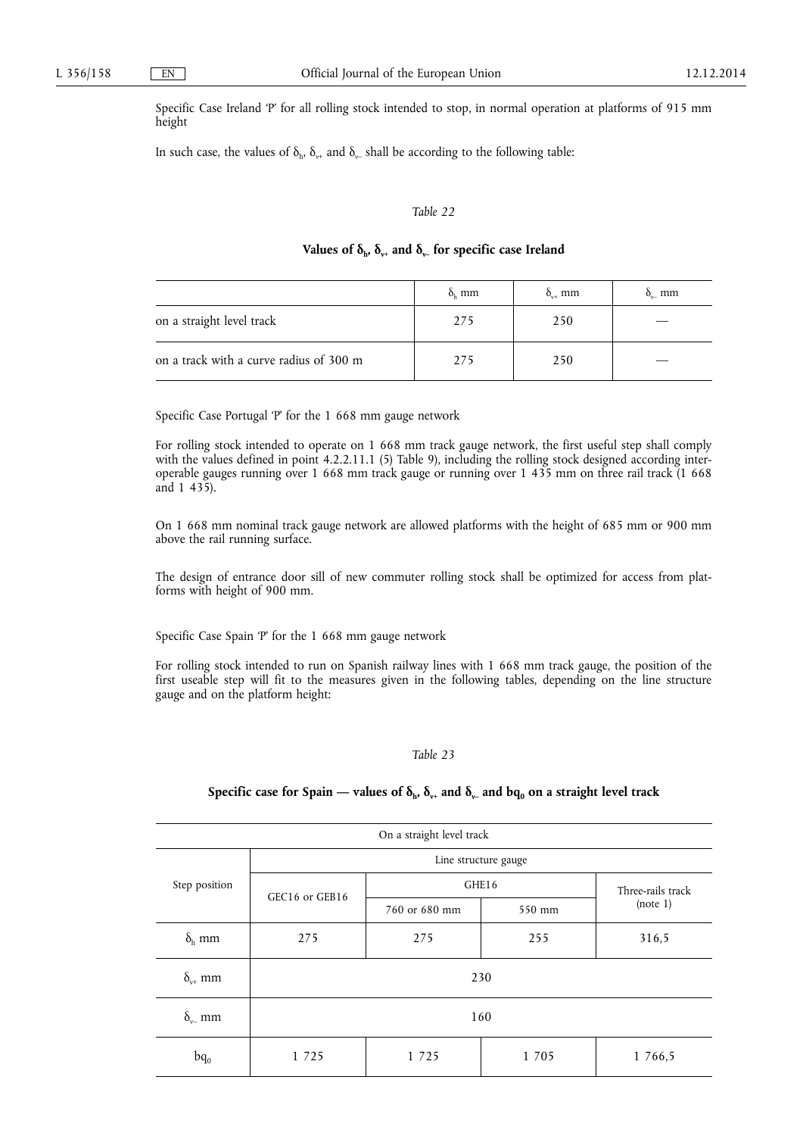Specific Case Ireland 'P' for all rolling stock intended to stop, in normal operation at platforms of 915 mm height

In such case, the values of  $\delta_{h}$ ,  $\delta_{v+}$  and  $\delta_{v-}$  shall be according to the following table:

#### *Table 22*

## Values of  $\delta_{h}$ ,  $\delta_{v+}$  and  $\delta_{v-}$  for specific case Ireland

|                                         | $\delta_{\rm h}$ mm | $\delta_{n+}$ mm | $\delta_{n}$ mm |
|-----------------------------------------|---------------------|------------------|-----------------|
| on a straight level track               | 275                 | 250              |                 |
| on a track with a curve radius of 300 m | 275                 | 250              |                 |

Specific Case Portugal 'P' for the 1 668 mm gauge network

For rolling stock intended to operate on 1 668 mm track gauge network, the first useful step shall comply with the values defined in point 4.2.2.11.1 (5) Table 9), including the rolling stock designed according interoperable gauges running over 1 668 mm track gauge or running over 1 435 mm on three rail track (1 668 and 1 435).

On 1 668 mm nominal track gauge network are allowed platforms with the height of 685 mm or 900 mm above the rail running surface.

The design of entrance door sill of new commuter rolling stock shall be optimized for access from platforms with height of 900 mm.

Specific Case Spain 'P' for the 1 668 mm gauge network

For rolling stock intended to run on Spanish railway lines with 1 668 mm track gauge, the position of the first useable step will fit to the measures given in the following tables, depending on the line structure gauge and on the platform height:

#### *Table 23*

## Specific case for Spain — values of  $\delta_{h}$ ,  $\delta_{v+}$  and  $\delta_{v-}$  and  $bq_0$  on a straight level track

| On a straight level track |                |               |        |                   |  |
|---------------------------|----------------|---------------|--------|-------------------|--|
| Line structure gauge      |                |               |        |                   |  |
| Step position             | GHE16          |               |        | Three-rails track |  |
|                           | GEC16 or GEB16 | 760 or 680 mm | 550 mm | (note 1)          |  |
| $\delta_{\rm h}$ mm       | 275            | 275           | 255    | 316,5             |  |
| $\delta_{v+}$ mm          | 230            |               |        |                   |  |
| $\delta_{v}$ mm           | 160            |               |        |                   |  |
| $bq_0$                    | 1 7 2 5        | 1 7 2 5       | 1 705  | 1 766,5           |  |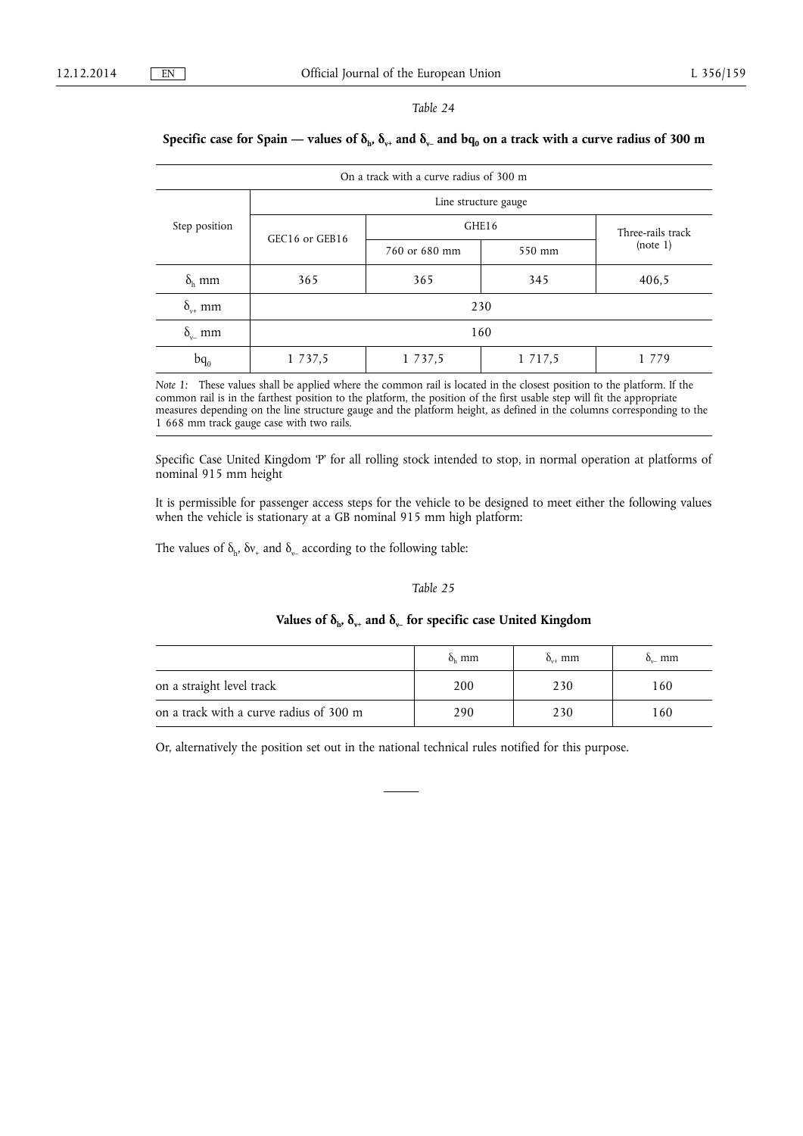#### *Table 24*

# On a track with a curve radius of 300 m Step position Line structure gauge GEC16 or GEB16 GHE16 Three-rails track<br>
Three-rails track<br>
(note 1) 760 or 680 mm 550 mm  $\delta_h$  mm  $\begin{array}{|l} \sim \end{array}$  365 365 345 406,5  $\delta_{v^+}$  mm 230  $\delta_{\scriptscriptstyle\vee}$  mm 160 bq<sub>0</sub> 1 737,5 1 737,5 1 717,5 1 779

## Specific case for Spain — values of  $\delta_{h}$ ,  $\delta_{v+}$  and  $\delta_{v-}$  and bq<sub>0</sub> on a track with a curve radius of 300 m

*Note 1:* These values shall be applied where the common rail is located in the closest position to the platform. If the common rail is in the farthest position to the platform, the position of the first usable step will fit the appropriate measures depending on the line structure gauge and the platform height, as defined in the columns corresponding to the 1 668 mm track gauge case with two rails.

Specific Case United Kingdom 'P' for all rolling stock intended to stop, in normal operation at platforms of nominal 915 mm height

It is permissible for passenger access steps for the vehicle to be designed to meet either the following values when the vehicle is stationary at a GB nominal 915 mm high platform:

The values of  $\delta_{h}$ ,  $\delta v_{+}$  and  $\delta_{v_{-}}$  according to the following table:

## *Table 25*

## Values of  $\delta_{h}$ ,  $\delta_{v+}$  and  $\delta_{v-}$  for specific case United Kingdom

|                                         | $\delta_{\rm L}$ mm | $\delta$ mm | $\delta_{n}$ mm |
|-----------------------------------------|---------------------|-------------|-----------------|
| on a straight level track               | 200                 | 230         | 160             |
| on a track with a curve radius of 300 m | 290                 | 230         | 160             |

Or, alternatively the position set out in the national technical rules notified for this purpose.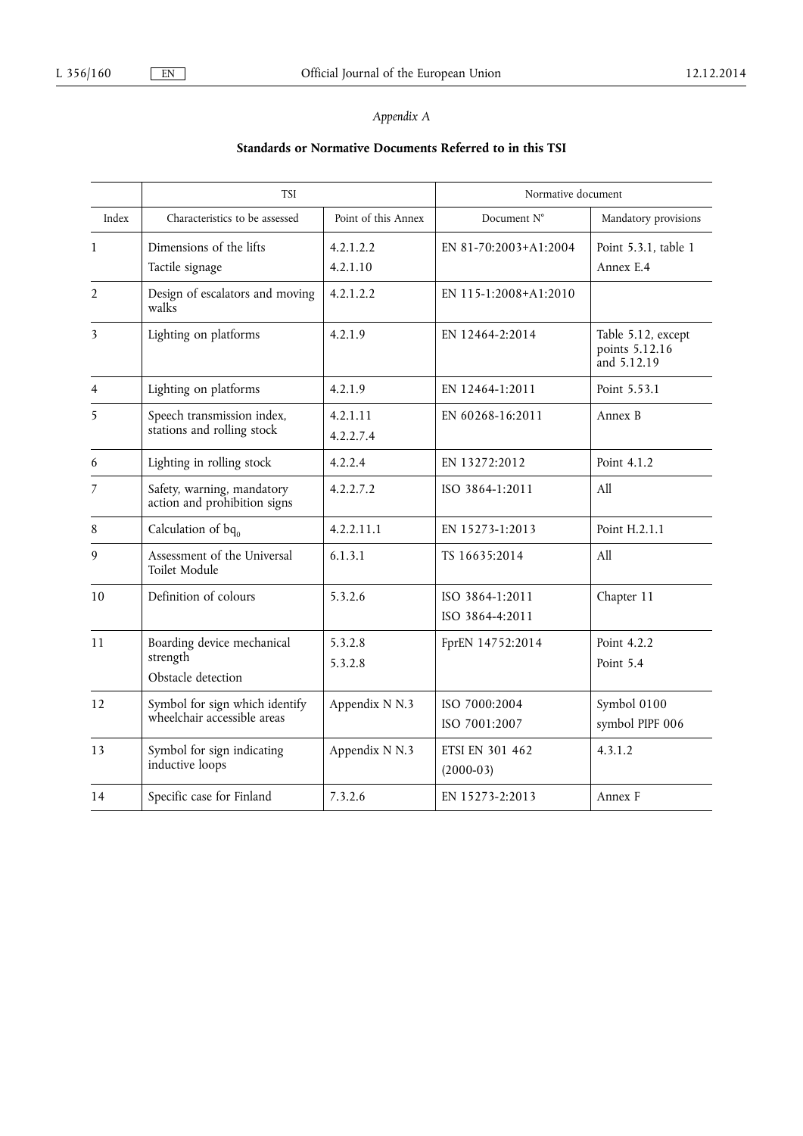## *Appendix A*

# **Standards or Normative Documents Referred to in this TSI**

|                | <b>TSI</b>                                                    |                       | Normative document                    |                                                     |
|----------------|---------------------------------------------------------------|-----------------------|---------------------------------------|-----------------------------------------------------|
| Index          | Characteristics to be assessed                                | Point of this Annex   | Document N°                           | Mandatory provisions                                |
| 1              | Dimensions of the lifts<br>Tactile signage                    | 4.2.1.2.2<br>4.2.1.10 | EN 81-70:2003+A1:2004                 | Point 5.3.1, table 1<br>Annex E.4                   |
| $\overline{2}$ | Design of escalators and moving<br>walks                      | 4.2.1.2.2             | EN 115-1:2008+A1:2010                 |                                                     |
| 3              | Lighting on platforms                                         | 4.2.1.9               | EN 12464-2:2014                       | Table 5.12, except<br>points 5.12.16<br>and 5.12.19 |
| 4              | Lighting on platforms                                         | 4.2.1.9               | EN 12464-1:2011                       | Point 5.53.1                                        |
| 5              | Speech transmission index,<br>stations and rolling stock      | 4.2.1.11<br>4.2.2.7.4 | EN 60268-16:2011                      | Annex B                                             |
| 6              | Lighting in rolling stock                                     | 4.2.2.4               | EN 13272:2012                         | Point 4.1.2                                         |
| 7              | Safety, warning, mandatory<br>action and prohibition signs    | 4.2.2.7.2             | ISO 3864-1:2011                       | A11                                                 |
| 8              | Calculation of $bq_0$                                         | 4.2.2.11.1            | EN 15273-1:2013                       | Point H.2.1.1                                       |
| 9              | Assessment of the Universal<br>Toilet Module                  | 6.1.3.1               | TS 16635:2014                         | A11                                                 |
| 10             | Definition of colours                                         | 5.3.2.6               | ISO 3864-1:2011<br>ISO 3864-4:2011    | Chapter 11                                          |
| 11             | Boarding device mechanical<br>strength<br>Obstacle detection  | 5.3.2.8<br>5.3.2.8    | FprEN 14752:2014                      | Point 4.2.2<br>Point 5.4                            |
| 12             | Symbol for sign which identify<br>wheelchair accessible areas | Appendix N N.3        | ISO 7000:2004<br>ISO 7001:2007        | Symbol 0100<br>symbol PIPF 006                      |
| 13             | Symbol for sign indicating<br>inductive loops                 | Appendix N N.3        | <b>ETSI EN 301 462</b><br>$(2000-03)$ | 4.3.1.2                                             |
| 14             | Specific case for Finland                                     | 7.3.2.6               | EN 15273-2:2013                       | Annex F                                             |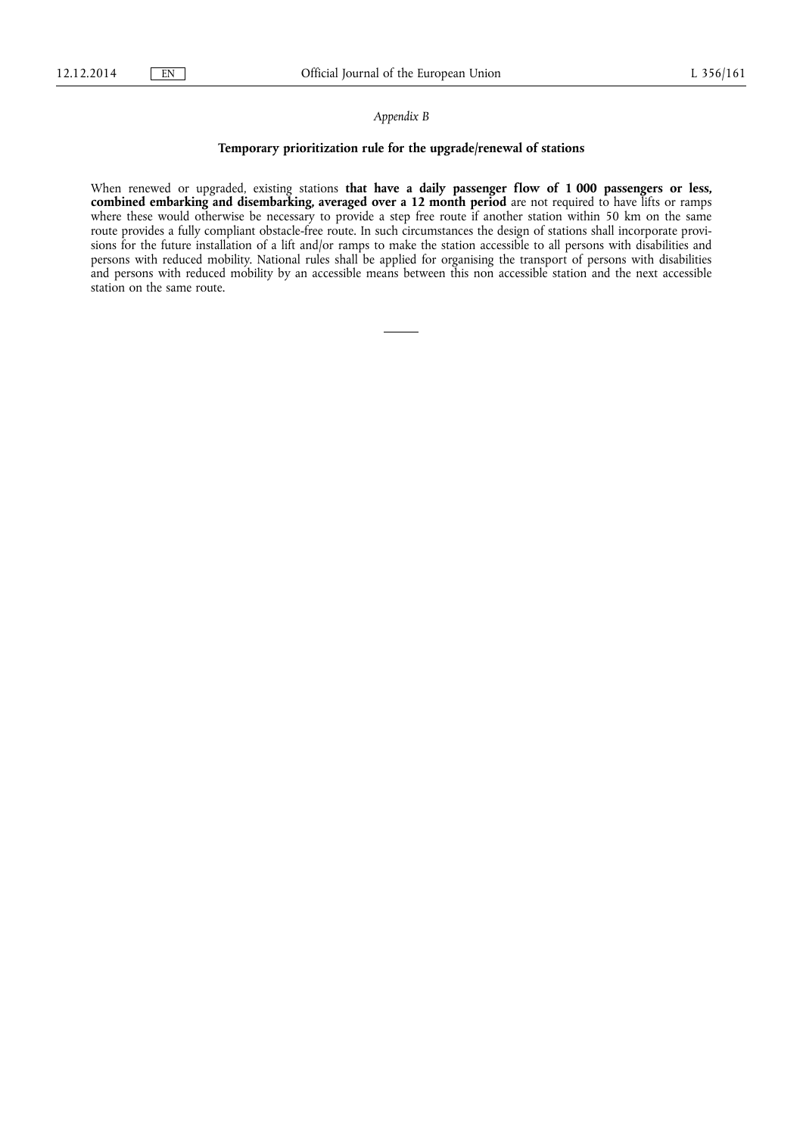#### *Appendix B*

### **Temporary prioritization rule for the upgrade/renewal of stations**

When renewed or upgraded, existing stations **that have a daily passenger flow of 1 000 passengers or less, combined embarking and disembarking, averaged over a 12 month period** are not required to have lifts or ramps where these would otherwise be necessary to provide a step free route if another station within 50 km on the same route provides a fully compliant obstacle-free route. In such circumstances the design of stations shall incorporate provisions for the future installation of a lift and/or ramps to make the station accessible to all persons with disabilities and persons with reduced mobility. National rules shall be applied for organising the transport of persons with disabilities and persons with reduced mobility by an accessible means between this non accessible station and the next accessible station on the same route.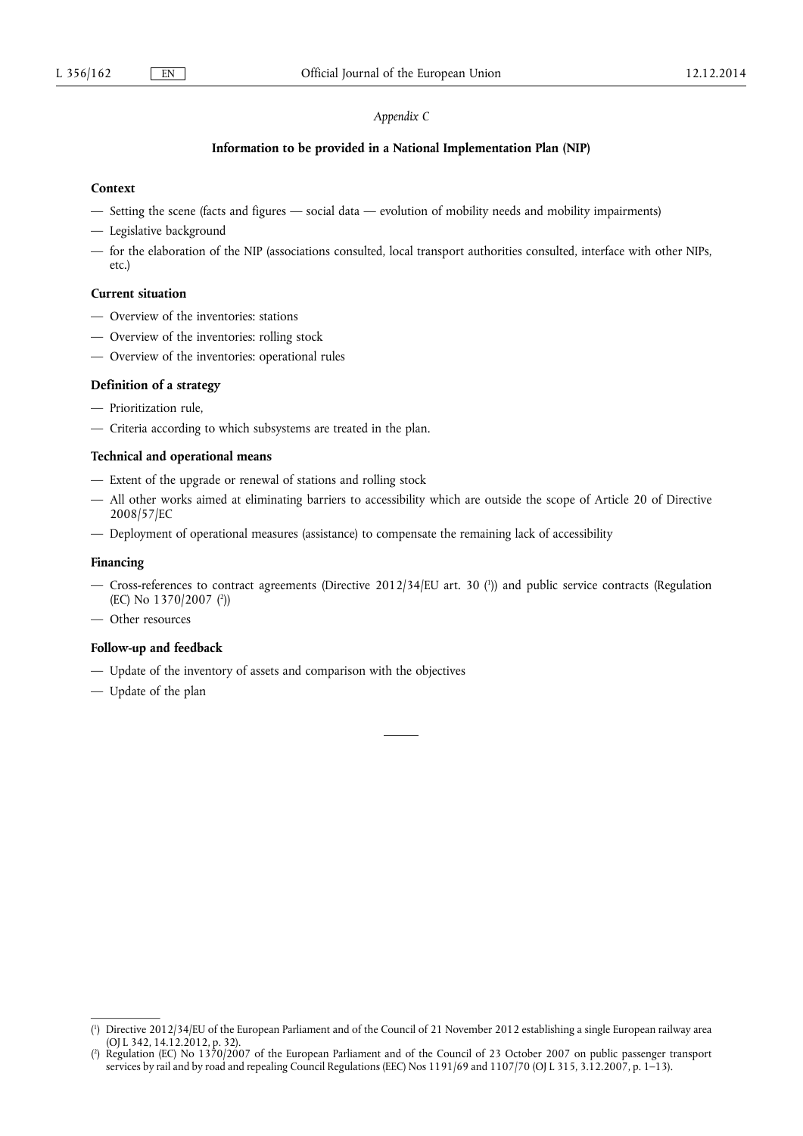## *Appendix C*

#### **Information to be provided in a National Implementation Plan (NIP)**

### **Context**

- Setting the scene (facts and figures social data evolution of mobility needs and mobility impairments)
- Legislative background
- for the elaboration of the NIP (associations consulted, local transport authorities consulted, interface with other NIPs, etc.)

### **Current situation**

- Overview of the inventories: stations
- Overview of the inventories: rolling stock
- Overview of the inventories: operational rules

### **Definition of a strategy**

- Prioritization rule,
- Criteria according to which subsystems are treated in the plan.

### **Technical and operational means**

- Extent of the upgrade or renewal of stations and rolling stock
- All other works aimed at eliminating barriers to accessibility which are outside the scope of Article 20 of Directive 2008/57/EC
- Deployment of operational measures (assistance) to compensate the remaining lack of accessibility

#### **Financing**

- Cross-references to contract agreements (Directive 2012/34/EU art. 30 ( 1 )) and public service contracts (Regulation (EC) No 1370/2007 (<sup>2</sup>))
- Other resources

## **Follow-up and feedback**

- Update of the inventory of assets and comparison with the objectives
- Update of the plan

<sup>(</sup> 1 ) Directive 2012/34/EU of the European Parliament and of the Council of 21 November 2012 establishing a single European railway area (OJ L 342, 14.12.2012, p. 32).

<sup>(</sup> 2 ) Regulation (EC) No 1370/2007 of the European Parliament and of the Council of 23 October 2007 on public passenger transport services by rail and by road and repealing Council Regulations (EEC) Nos 1191/69 and 1107/70 (OJ L 315, 3.12.2007, p. 1–13).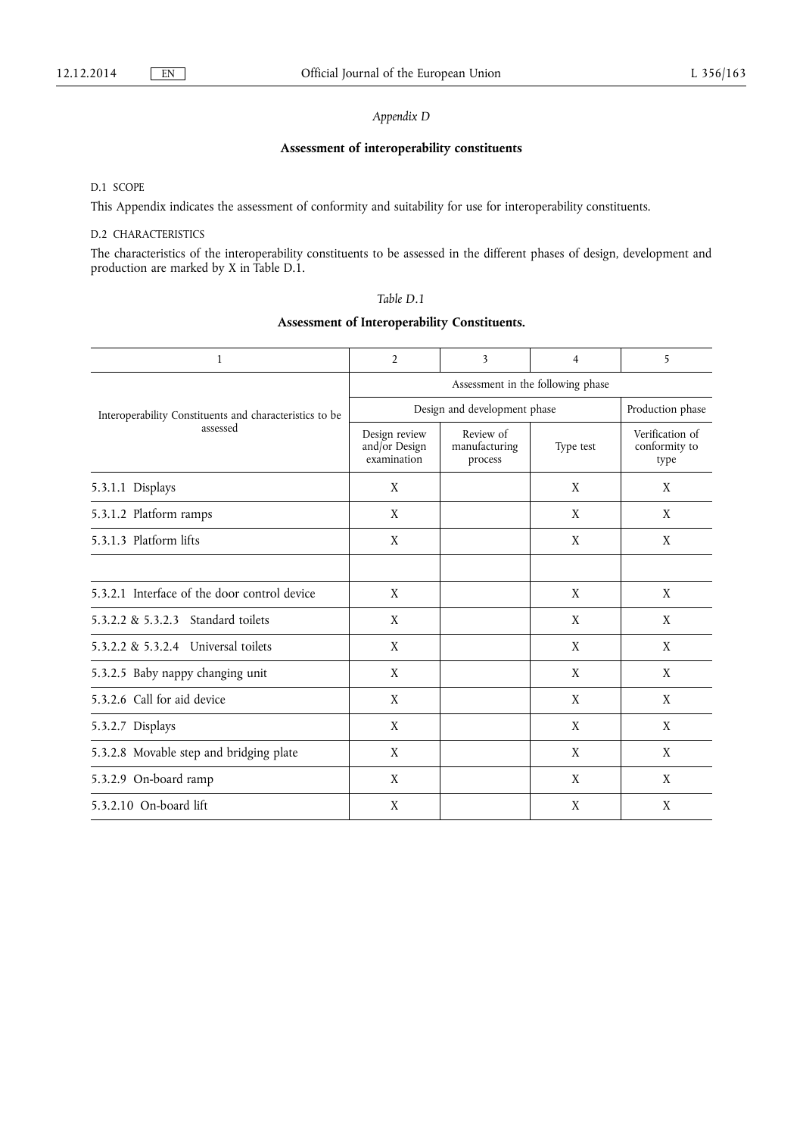## *Appendix D*

## **Assessment of interoperability constituents**

D.1 SCOPE

This Appendix indicates the assessment of conformity and suitability for use for interoperability constituents.

## D.2 CHARACTERISTICS

The characteristics of the interoperability constituents to be assessed in the different phases of design, development and production are marked by X in Table D.1.

| anie |  |
|------|--|
|------|--|

## **Assessment of Interoperability Constituents.**

| $\mathbf{1}$                                                        | $\overline{2}$                                | 3                                     | 4         | 5                                        |  |
|---------------------------------------------------------------------|-----------------------------------------------|---------------------------------------|-----------|------------------------------------------|--|
|                                                                     | Assessment in the following phase             |                                       |           |                                          |  |
| Interoperability Constituents and characteristics to be<br>assessed |                                               | Design and development phase          |           | Production phase                         |  |
|                                                                     | Design review<br>and/or Design<br>examination | Review of<br>manufacturing<br>process | Type test | Verification of<br>conformity to<br>type |  |
| 5.3.1.1 Displays                                                    | X                                             |                                       | X         | X                                        |  |
| 5.3.1.2 Platform ramps                                              | X                                             |                                       | X         | X                                        |  |
| 5.3.1.3 Platform lifts                                              | X                                             |                                       | X         | X                                        |  |
|                                                                     |                                               |                                       |           |                                          |  |
| 5.3.2.1 Interface of the door control device                        | X                                             |                                       | X         | X                                        |  |
| 5.3.2.2 & 5.3.2.3 Standard toilets                                  | X                                             |                                       | X         | X                                        |  |
| 5.3.2.2 & 5.3.2.4 Universal toilets                                 | X                                             |                                       | X         | X                                        |  |
| 5.3.2.5 Baby nappy changing unit                                    | X                                             |                                       | X         | X                                        |  |
| 5.3.2.6 Call for aid device                                         | X                                             |                                       | X         | X                                        |  |
| 5.3.2.7 Displays                                                    | X                                             |                                       | X         | X                                        |  |
| 5.3.2.8 Movable step and bridging plate                             | X                                             |                                       | X         | X                                        |  |
| 5.3.2.9 On-board ramp                                               | X                                             |                                       | X         | X                                        |  |
| 5.3.2.10 On-board lift                                              | X                                             |                                       | X         | X                                        |  |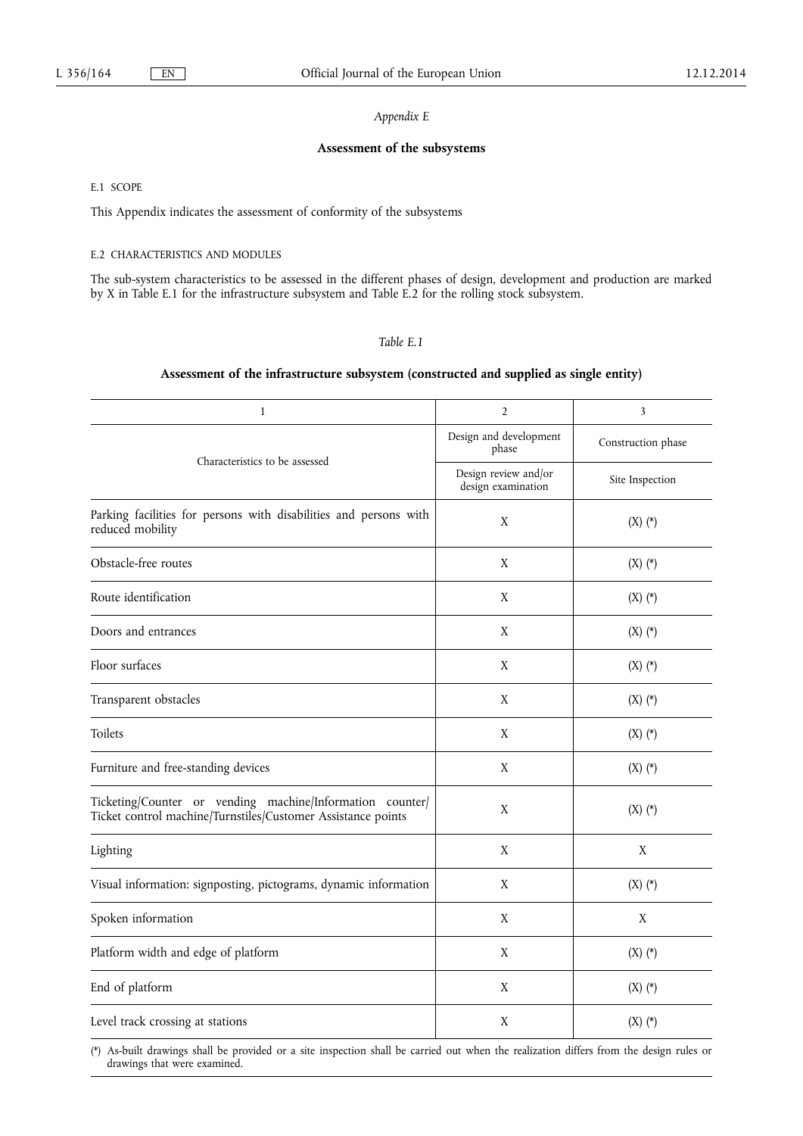## *Appendix E*

## **Assessment of the subsystems**

E.1 SCOPE

This Appendix indicates the assessment of conformity of the subsystems

#### E.2 CHARACTERISTICS AND MODULES

The sub-system characteristics to be assessed in the different phases of design, development and production are marked by X in Table E.1 for the infrastructure subsystem and Table E.2 for the rolling stock subsystem.

## *Table E.1*

### **Assessment of the infrastructure subsystem (constructed and supplied as single entity)**

| $\mathbf{1}$                                                                                                              | $\overline{2}$                             | 3                  |
|---------------------------------------------------------------------------------------------------------------------------|--------------------------------------------|--------------------|
|                                                                                                                           | Design and development<br>phase            | Construction phase |
| Characteristics to be assessed                                                                                            | Design review and/or<br>design examination | Site Inspection    |
| Parking facilities for persons with disabilities and persons with<br>reduced mobility                                     | X                                          | $(X)$ $(*)$        |
| Obstacle-free routes                                                                                                      | X                                          | $(X)$ $(*)$        |
| Route identification                                                                                                      | X                                          | $(X)$ $(*)$        |
| Doors and entrances                                                                                                       | X                                          | $(X)$ $(*)$        |
| Floor surfaces                                                                                                            | X                                          | $(X)$ $(*)$        |
| Transparent obstacles                                                                                                     | X                                          | $(X)$ $(*)$        |
| Toilets                                                                                                                   | X                                          | $(X)$ $(*)$        |
| Furniture and free-standing devices                                                                                       | X                                          | $(X)$ $(*)$        |
| Ticketing/Counter or vending machine/Information counter/<br>Ticket control machine/Turnstiles/Customer Assistance points | $\mathbf X$                                | $(X)$ $(*)$        |
| Lighting                                                                                                                  | $\mathbf X$                                | X                  |
| Visual information: signposting, pictograms, dynamic information                                                          | X                                          | $(X)$ $(*)$        |
| Spoken information                                                                                                        | X                                          | X                  |
| Platform width and edge of platform                                                                                       | X                                          | $(X)$ $(*)$        |
| End of platform                                                                                                           | X                                          | $(X)$ $(*)$        |
| Level track crossing at stations                                                                                          | X                                          | $(X)$ $(*)$        |

(\*) As-built drawings shall be provided or a site inspection shall be carried out when the realization differs from the design rules or drawings that were examined.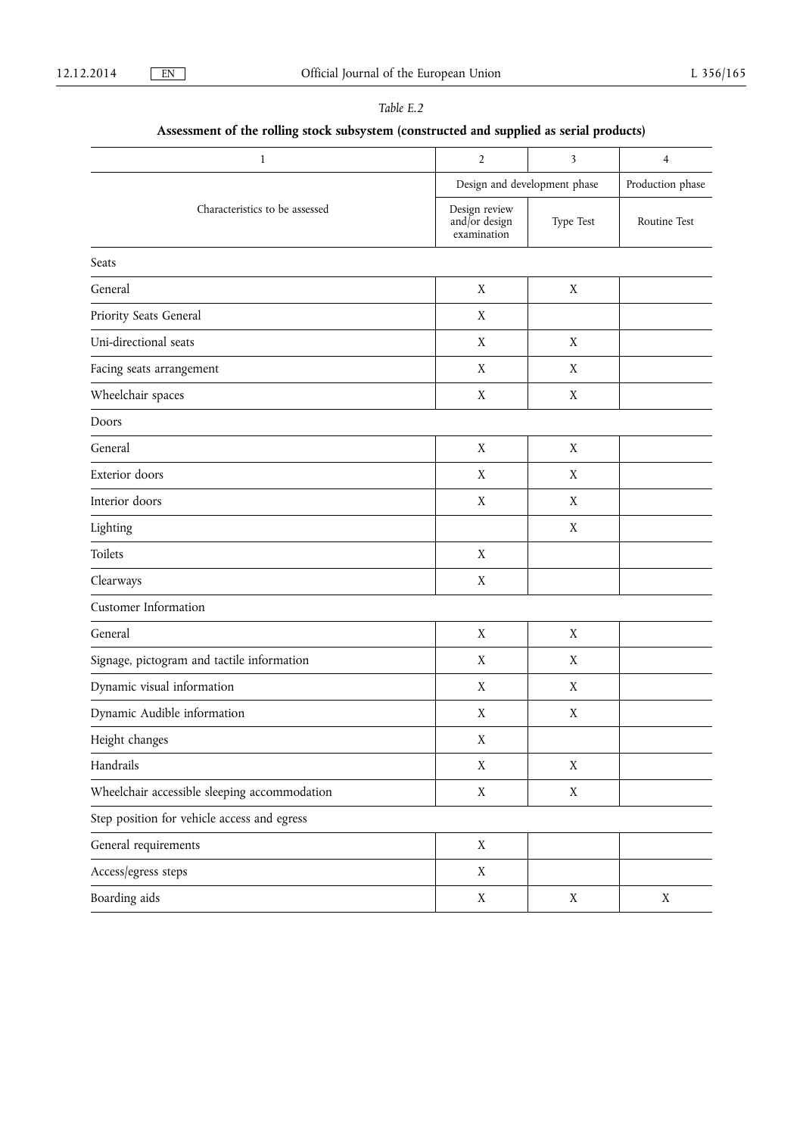| able. |  |
|-------|--|
|       |  |

# **Assessment of the rolling stock subsystem (constructed and supplied as serial products)**

| $\mathbf{1}$                                 | $\overline{2}$                                | 3                | $\overline{4}$ |
|----------------------------------------------|-----------------------------------------------|------------------|----------------|
|                                              | Design and development phase                  | Production phase |                |
| Characteristics to be assessed               | Design review<br>and/or design<br>examination | Type Test        | Routine Test   |
| Seats                                        |                                               |                  |                |
| General                                      | $\mathbf X$                                   | X                |                |
| Priority Seats General                       | X                                             |                  |                |
| Uni-directional seats                        | X                                             | X                |                |
| Facing seats arrangement                     | $\mathbf X$                                   | $\mathbf X$      |                |
| Wheelchair spaces                            | X                                             | X                |                |
| Doors                                        |                                               |                  |                |
| General                                      | $\mathbf X$                                   | X                |                |
| Exterior doors                               | X                                             | X                |                |
| Interior doors                               | $\mathbf X$                                   | X                |                |
| Lighting                                     |                                               | X                |                |
| Toilets                                      | $\mathbf X$                                   |                  |                |
| Clearways                                    | X                                             |                  |                |
| <b>Customer Information</b>                  |                                               |                  |                |
| General                                      | $\mathbf X$                                   | X                |                |
| Signage, pictogram and tactile information   | $\mathbf X$                                   | X                |                |
| Dynamic visual information                   | X                                             | X                |                |
| Dynamic Audible information                  | X                                             | X                |                |
| Height changes                               | X                                             |                  |                |
| Handrails                                    | $\mathbf X$                                   | $\mathbf X$      |                |
| Wheelchair accessible sleeping accommodation | $\mathbf X$                                   | $\mathbf X$      |                |
| Step position for vehicle access and egress  |                                               |                  |                |
| General requirements                         | $\mathbf X$                                   |                  |                |
| Access/egress steps                          | $\mathbf X$                                   |                  |                |
| Boarding aids                                | $\mathbf X$                                   | $\mathbf X$      | $\mathbf X$    |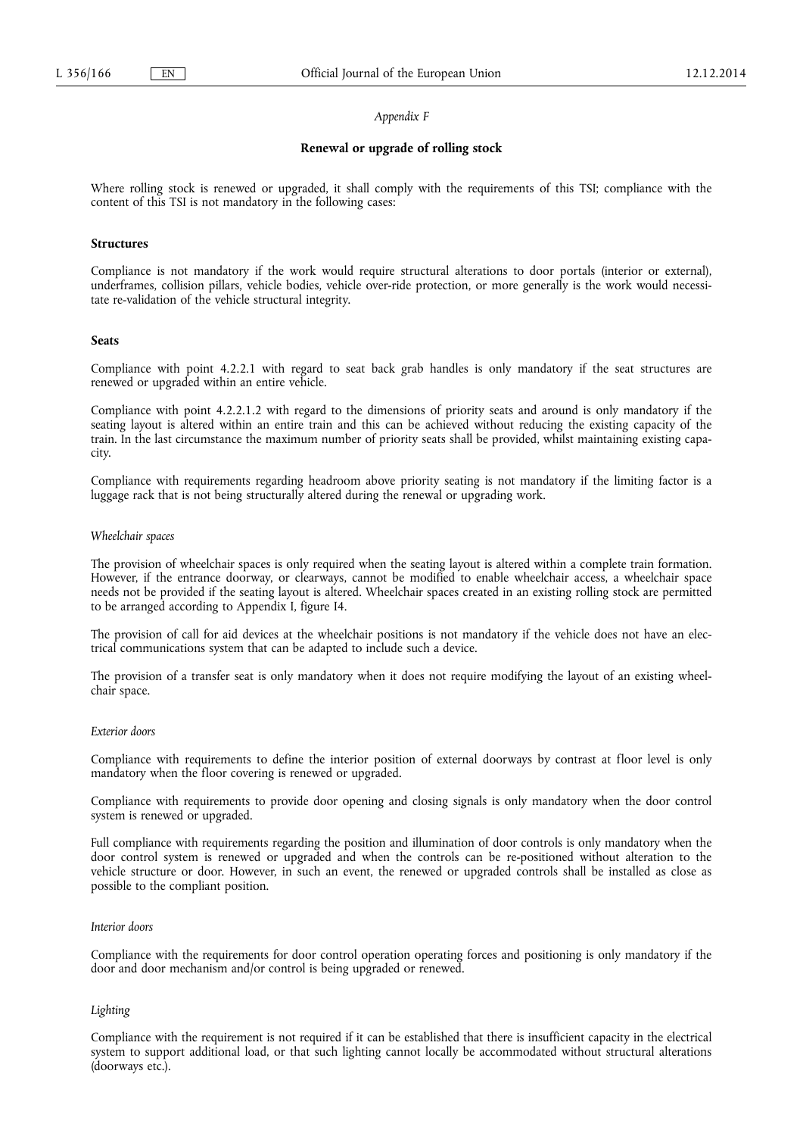#### *Appendix F*

#### **Renewal or upgrade of rolling stock**

Where rolling stock is renewed or upgraded, it shall comply with the requirements of this TSI; compliance with the content of this TSI is not mandatory in the following cases:

#### **Structures**

Compliance is not mandatory if the work would require structural alterations to door portals (interior or external), underframes, collision pillars, vehicle bodies, vehicle over-ride protection, or more generally is the work would necessitate re-validation of the vehicle structural integrity.

#### **Seats**

Compliance with point 4.2.2.1 with regard to seat back grab handles is only mandatory if the seat structures are renewed or upgraded within an entire vehicle.

Compliance with point 4.2.2.1.2 with regard to the dimensions of priority seats and around is only mandatory if the seating layout is altered within an entire train and this can be achieved without reducing the existing capacity of the train. In the last circumstance the maximum number of priority seats shall be provided, whilst maintaining existing capacity.

Compliance with requirements regarding headroom above priority seating is not mandatory if the limiting factor is a luggage rack that is not being structurally altered during the renewal or upgrading work.

#### *Wheelchair spaces*

The provision of wheelchair spaces is only required when the seating layout is altered within a complete train formation. However, if the entrance doorway, or clearways, cannot be modified to enable wheelchair access, a wheelchair space needs not be provided if the seating layout is altered. Wheelchair spaces created in an existing rolling stock are permitted to be arranged according to Appendix I, figure I4.

The provision of call for aid devices at the wheelchair positions is not mandatory if the vehicle does not have an electrical communications system that can be adapted to include such a device.

The provision of a transfer seat is only mandatory when it does not require modifying the layout of an existing wheelchair space.

## *Exterior doors*

Compliance with requirements to define the interior position of external doorways by contrast at floor level is only mandatory when the floor covering is renewed or upgraded.

Compliance with requirements to provide door opening and closing signals is only mandatory when the door control system is renewed or upgraded.

Full compliance with requirements regarding the position and illumination of door controls is only mandatory when the door control system is renewed or upgraded and when the controls can be re-positioned without alteration to the vehicle structure or door. However, in such an event, the renewed or upgraded controls shall be installed as close as possible to the compliant position.

#### *Interior doors*

Compliance with the requirements for door control operation operating forces and positioning is only mandatory if the door and door mechanism and/or control is being upgraded or renewed.

#### *Lighting*

Compliance with the requirement is not required if it can be established that there is insufficient capacity in the electrical system to support additional load, or that such lighting cannot locally be accommodated without structural alterations (doorways etc.).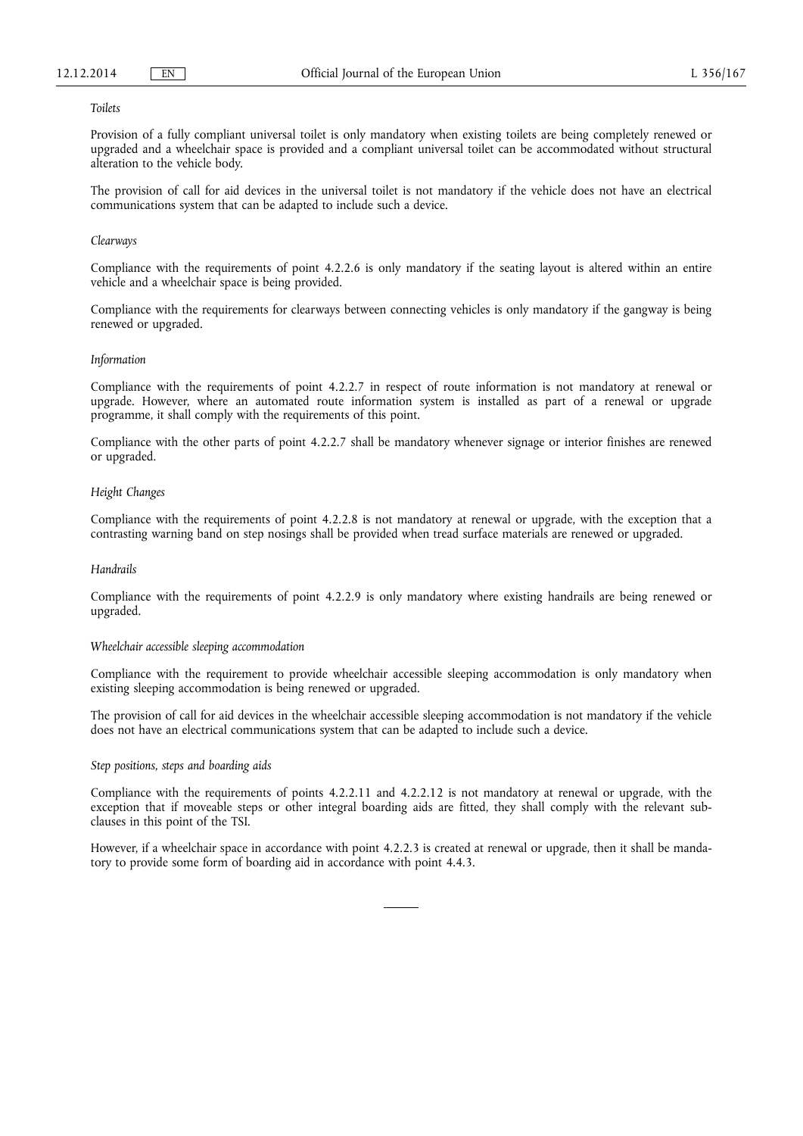#### *Toilets*

Provision of a fully compliant universal toilet is only mandatory when existing toilets are being completely renewed or upgraded and a wheelchair space is provided and a compliant universal toilet can be accommodated without structural alteration to the vehicle body.

The provision of call for aid devices in the universal toilet is not mandatory if the vehicle does not have an electrical communications system that can be adapted to include such a device.

#### *Clearways*

Compliance with the requirements of point 4.2.2.6 is only mandatory if the seating layout is altered within an entire vehicle and a wheelchair space is being provided.

Compliance with the requirements for clearways between connecting vehicles is only mandatory if the gangway is being renewed or upgraded.

#### *Information*

Compliance with the requirements of point 4.2.2.7 in respect of route information is not mandatory at renewal or upgrade. However, where an automated route information system is installed as part of a renewal or upgrade programme, it shall comply with the requirements of this point.

Compliance with the other parts of point 4.2.2.7 shall be mandatory whenever signage or interior finishes are renewed or upgraded.

#### *Height Changes*

Compliance with the requirements of point 4.2.2.8 is not mandatory at renewal or upgrade, with the exception that a contrasting warning band on step nosings shall be provided when tread surface materials are renewed or upgraded.

## *Handrails*

Compliance with the requirements of point 4.2.2.9 is only mandatory where existing handrails are being renewed or upgraded.

#### *Wheelchair accessible sleeping accommodation*

Compliance with the requirement to provide wheelchair accessible sleeping accommodation is only mandatory when existing sleeping accommodation is being renewed or upgraded.

The provision of call for aid devices in the wheelchair accessible sleeping accommodation is not mandatory if the vehicle does not have an electrical communications system that can be adapted to include such a device.

#### *Step positions, steps and boarding aids*

Compliance with the requirements of points 4.2.2.11 and 4.2.2.12 is not mandatory at renewal or upgrade, with the exception that if moveable steps or other integral boarding aids are fitted, they shall comply with the relevant subclauses in this point of the TSI.

However, if a wheelchair space in accordance with point 4.2.2.3 is created at renewal or upgrade, then it shall be mandatory to provide some form of boarding aid in accordance with point 4.4.3.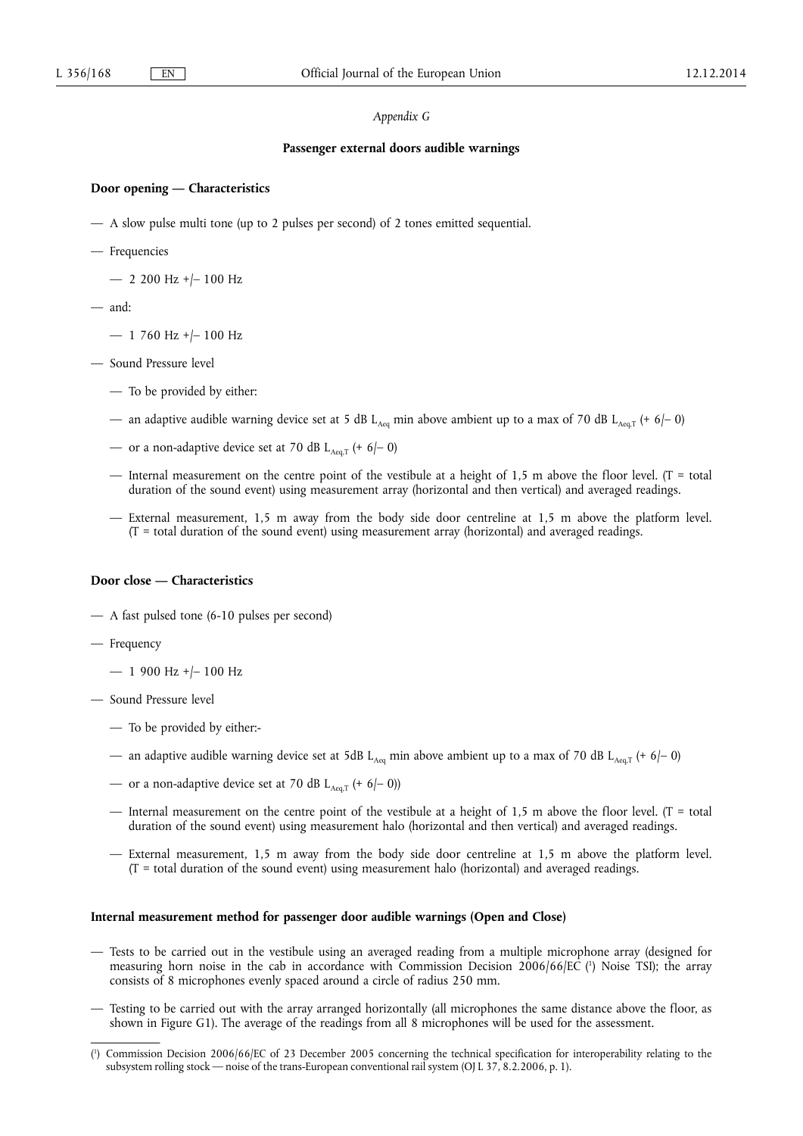#### *Appendix G*

#### **Passenger external doors audible warnings**

### **Door opening — Characteristics**

- A slow pulse multi tone (up to 2 pulses per second) of 2 tones emitted sequential.
- Frequencies
	- $-$  2 200 Hz +/- 100 Hz
- and:
	- 1 760 Hz +/– 100 Hz
- Sound Pressure level
	- To be provided by either:
	- an adaptive audible warning device set at 5 dB L<sub>Aeq</sub> min above ambient up to a max of 70 dB L<sub>Aeq</sub> (+ 6/– 0)
	- or a non-adaptive device set at 70 dB  $L_{Aeq,T}$  (+ 6/- 0)
	- Internal measurement on the centre point of the vestibule at a height of 1,5 m above the floor level. ( $T =$  total duration of the sound event) using measurement array (horizontal and then vertical) and averaged readings.
	- External measurement, 1,5 m away from the body side door centreline at 1,5 m above the platform level. (T = total duration of the sound event) using measurement array (horizontal) and averaged readings.

## **Door close — Characteristics**

- A fast pulsed tone (6-10 pulses per second)
- Frequency
	- 1 900 Hz +/– 100 Hz
- Sound Pressure level
	- To be provided by either:-
	- an adaptive audible warning device set at 5dB L<sub>Aeq</sub> min above ambient up to a max of 70 dB L<sub>Aeq,T</sub> (+ 6/- 0)
	- or a non-adaptive device set at 70 dB  $L_{Aeq,T}$  (+ 6/- 0))
	- Internal measurement on the centre point of the vestibule at a height of 1,5 m above the floor level. ( $T =$  total duration of the sound event) using measurement halo (horizontal and then vertical) and averaged readings.
	- External measurement, 1,5 m away from the body side door centreline at 1,5 m above the platform level.  $(T = total duration of the sound event) using measurement halo (horizontal) and averaged readings.$

### **Internal measurement method for passenger door audible warnings (Open and Close)**

- Tests to be carried out in the vestibule using an averaged reading from a multiple microphone array (designed for measuring horn noise in the cab in accordance with Commission Decision 2006/66/EC ( 1 ) Noise TSI); the array consists of 8 microphones evenly spaced around a circle of radius 250 mm.
- Testing to be carried out with the array arranged horizontally (all microphones the same distance above the floor, as shown in Figure G1). The average of the readings from all 8 microphones will be used for the assessment.

<sup>(</sup> 1 ) Commission Decision 2006/66/EC of 23 December 2005 concerning the technical specification for interoperability relating to the subsystem rolling stock — noise of the trans-European conventional rail system (OJ L 37, 8.2.2006, p. 1).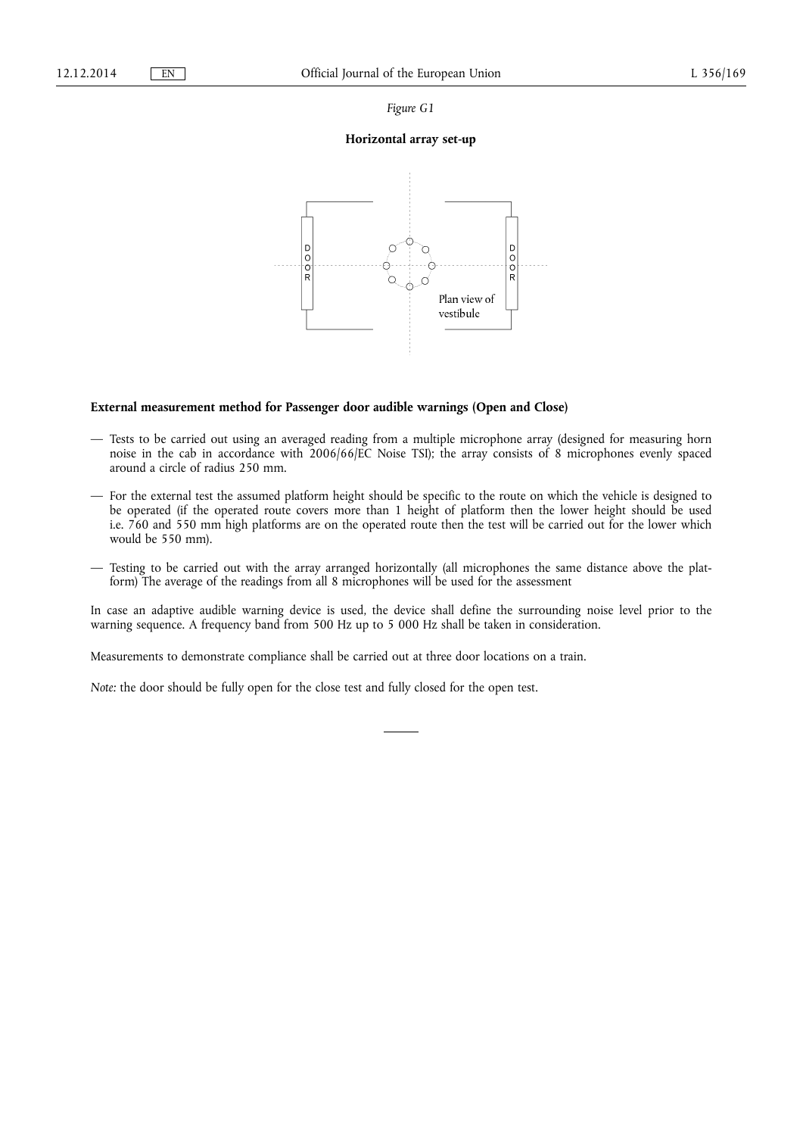*Figure G1* 

## **Horizontal array set-up**



## **External measurement method for Passenger door audible warnings (Open and Close)**

- Tests to be carried out using an averaged reading from a multiple microphone array (designed for measuring horn noise in the cab in accordance with 2006/66/EC Noise TSI); the array consists of 8 microphones evenly spaced around a circle of radius 250 mm.
- For the external test the assumed platform height should be specific to the route on which the vehicle is designed to be operated (if the operated route covers more than 1 height of platform then the lower height should be used i.e. 760 and 550 mm high platforms are on the operated route then the test will be carried out for the lower which would be 550 mm).
- Testing to be carried out with the array arranged horizontally (all microphones the same distance above the platform) The average of the readings from all 8 microphones will be used for the assessment

In case an adaptive audible warning device is used, the device shall define the surrounding noise level prior to the warning sequence. A frequency band from 500 Hz up to 5 000 Hz shall be taken in consideration.

Measurements to demonstrate compliance shall be carried out at three door locations on a train.

*Note:* the door should be fully open for the close test and fully closed for the open test.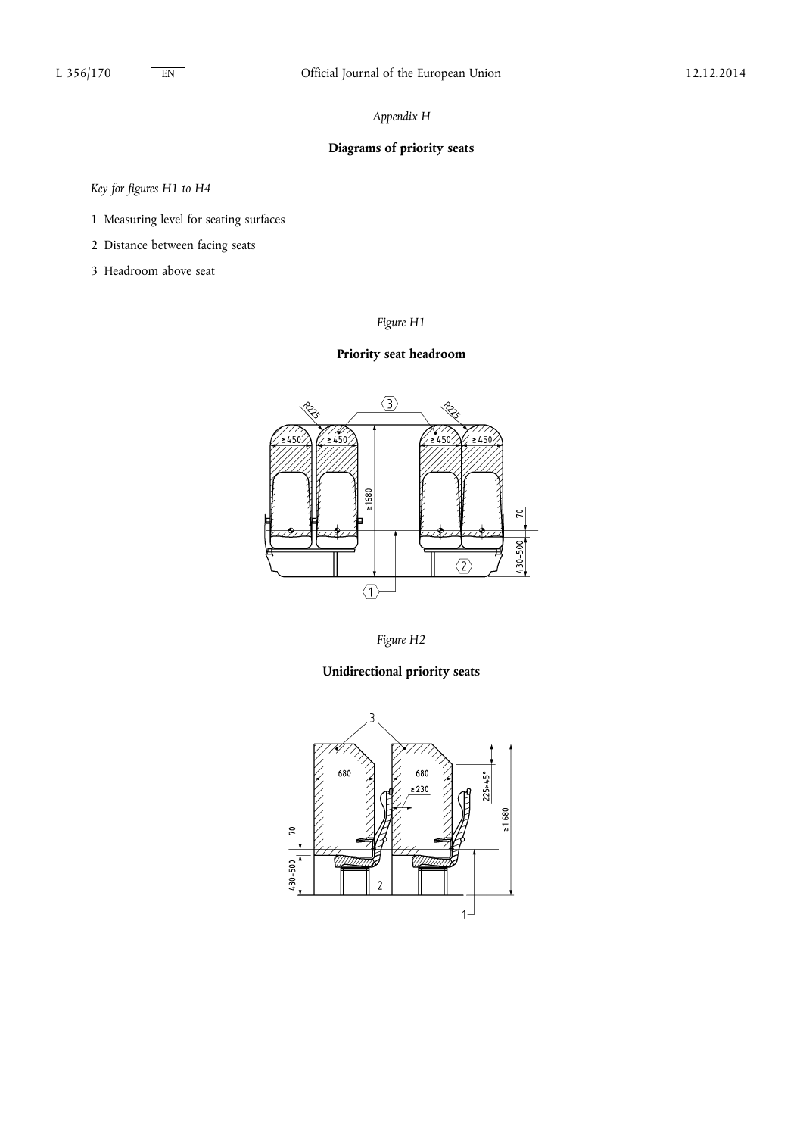## *Appendix H*

# **Diagrams of priority seats**

*Key for figures H1 to H4* 

- 1 Measuring level for seating surfaces
- 2 Distance between facing seats
- 3 Headroom above seat

## *Figure H1*

## **Priority seat headroom**





## **Unidirectional priority seats**

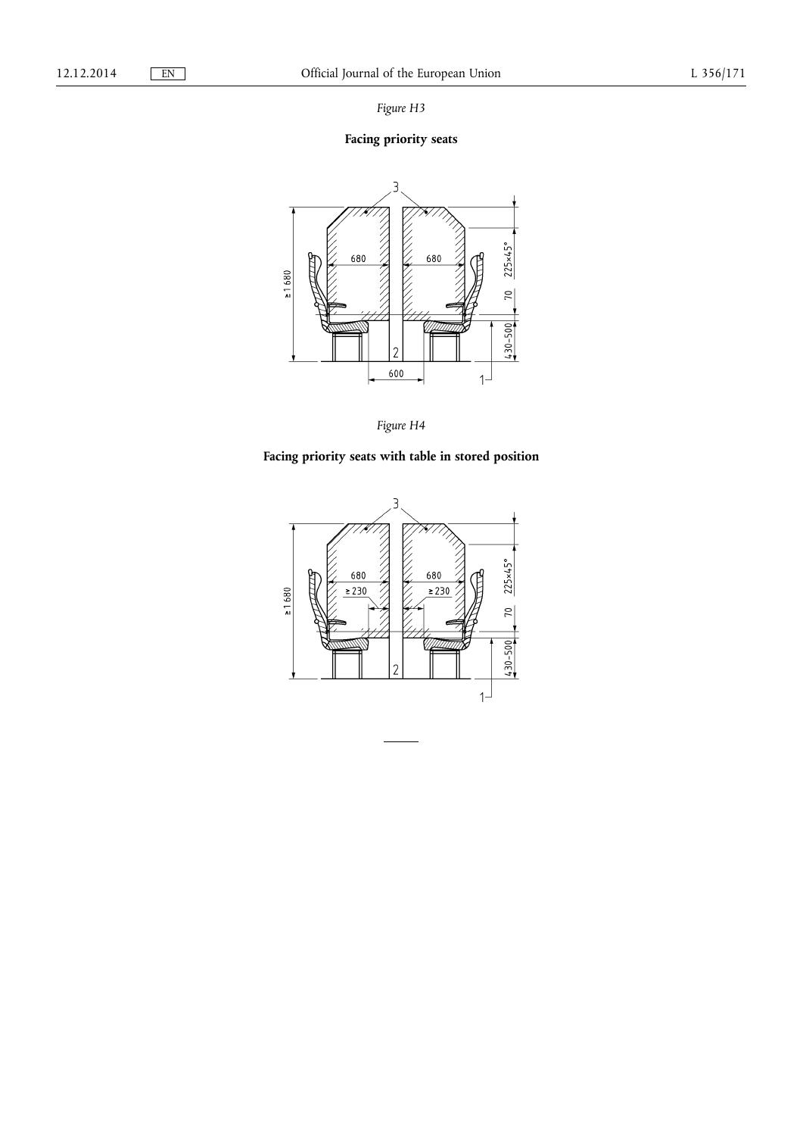*Figure H3* 

# **Facing priority seats**





# **Facing priority seats with table in stored position**

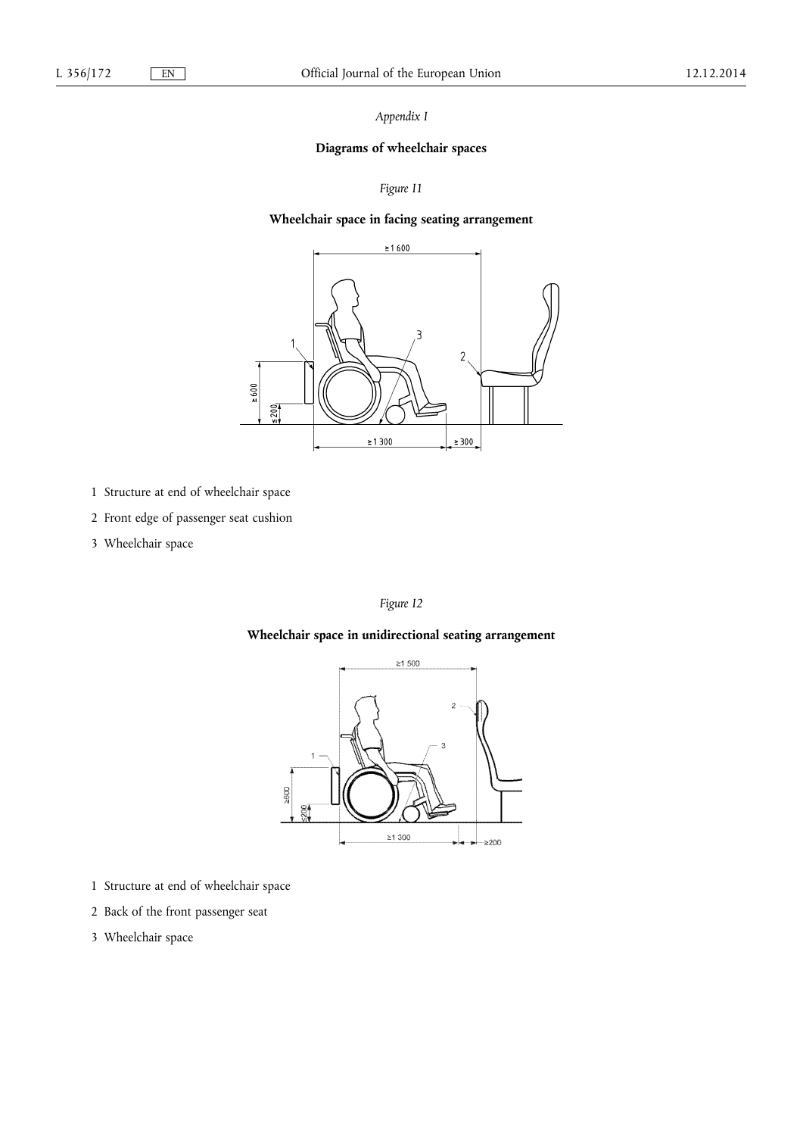*Appendix I* 

## **Diagrams of wheelchair spaces**

## *Figure I1*

## **Wheelchair space in facing seating arrangement**



- 1 Structure at end of wheelchair space
- 2 Front edge of passenger seat cushion
- 3 Wheelchair space

## *Figure I2*

## **Wheelchair space in unidirectional seating arrangement**



- 1 Structure at end of wheelchair space
- 2 Back of the front passenger seat
- 3 Wheelchair space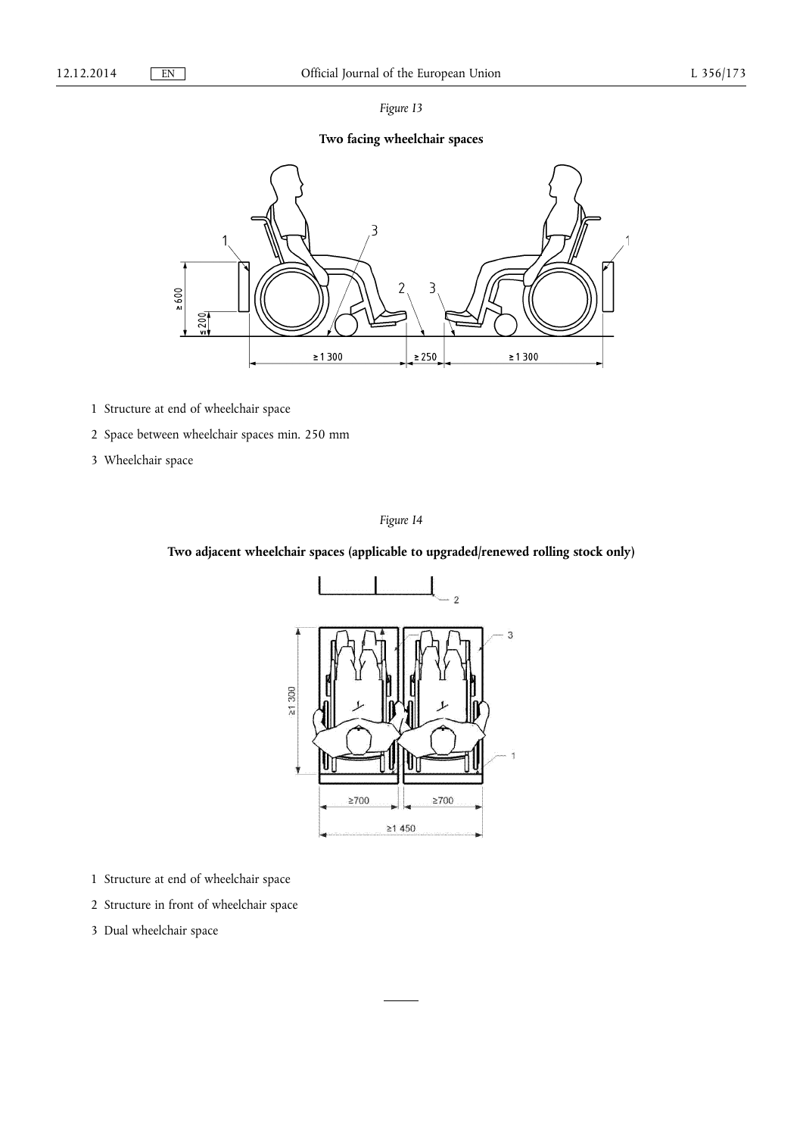|--|--|

# **Two facing wheelchair spaces**



- 1 Structure at end of wheelchair space
- 2 Space between wheelchair spaces min. 250 mm
- 3 Wheelchair space

## *Figure I4*

## **Two adjacent wheelchair spaces (applicable to upgraded/renewed rolling stock only)**



- 1 Structure at end of wheelchair space
- 2 Structure in front of wheelchair space
- 3 Dual wheelchair space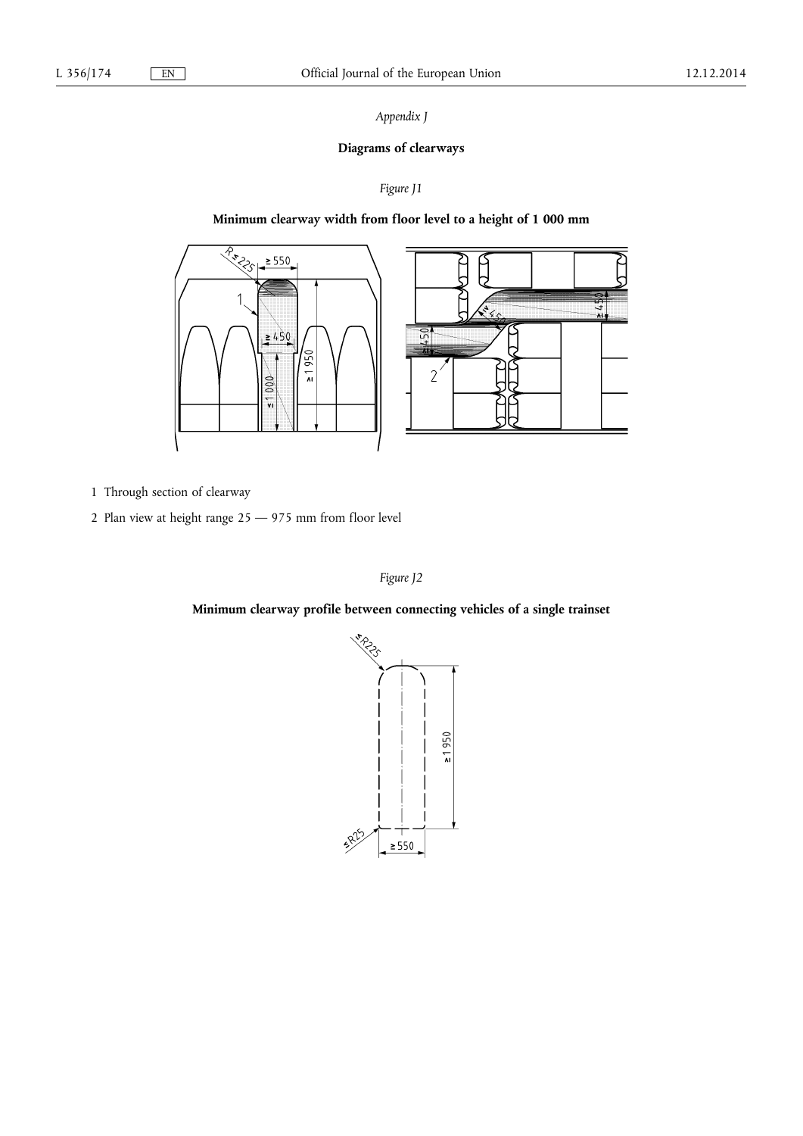## *Appendix J*

## **Diagrams of clearways**

## *Figure J1*

## **Minimum clearway width from floor level to a height of 1 000 mm**





- 1 Through section of clearway
- 2 Plan view at height range 25 975 mm from floor level

## *Figure J2*

**Minimum clearway profile between connecting vehicles of a single trainset** 

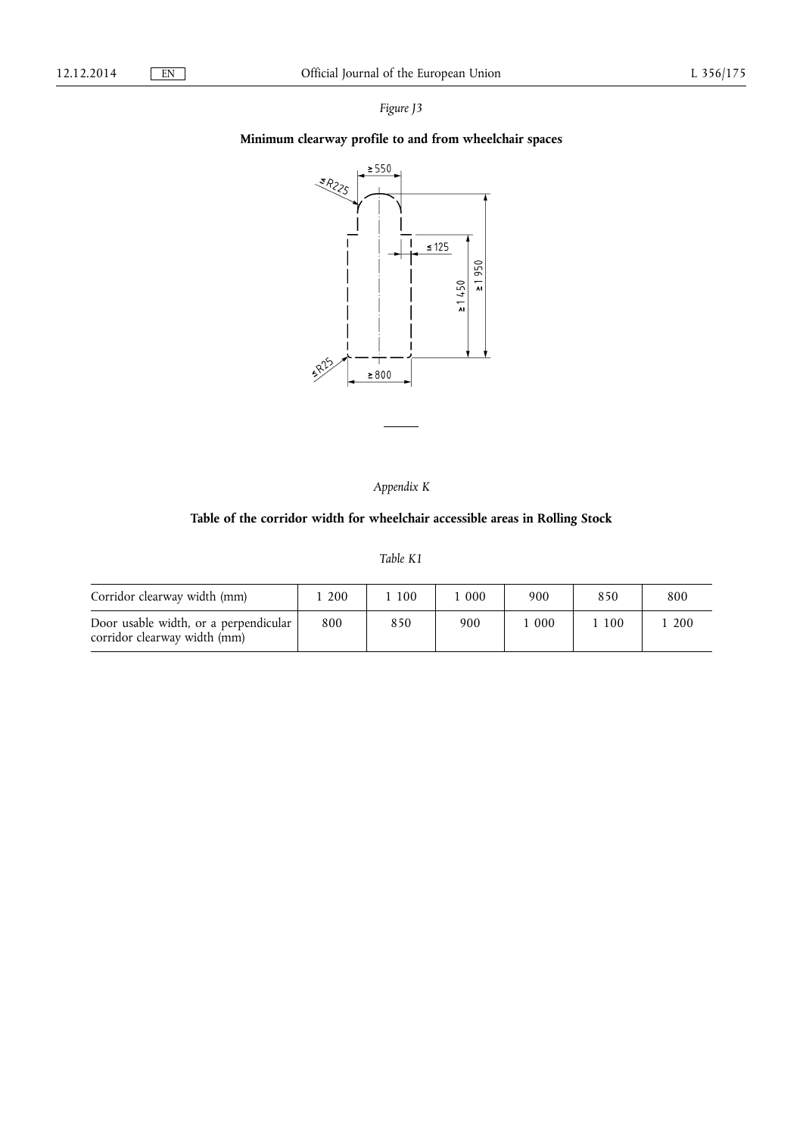## *Figure J3*

# **Minimum clearway profile to and from wheelchair spaces**



*Appendix K* 

## **Table of the corridor width for wheelchair accessible areas in Rolling Stock**

## *Table K1*

| Corridor clearway width (mm)                                          | 200 | 100 | 000 | 900 | 850 | 800 |
|-----------------------------------------------------------------------|-----|-----|-----|-----|-----|-----|
| Door usable width, or a perpendicular<br>corridor clearway width (mm) | 800 | 850 | 900 | 000 | 100 | 200 |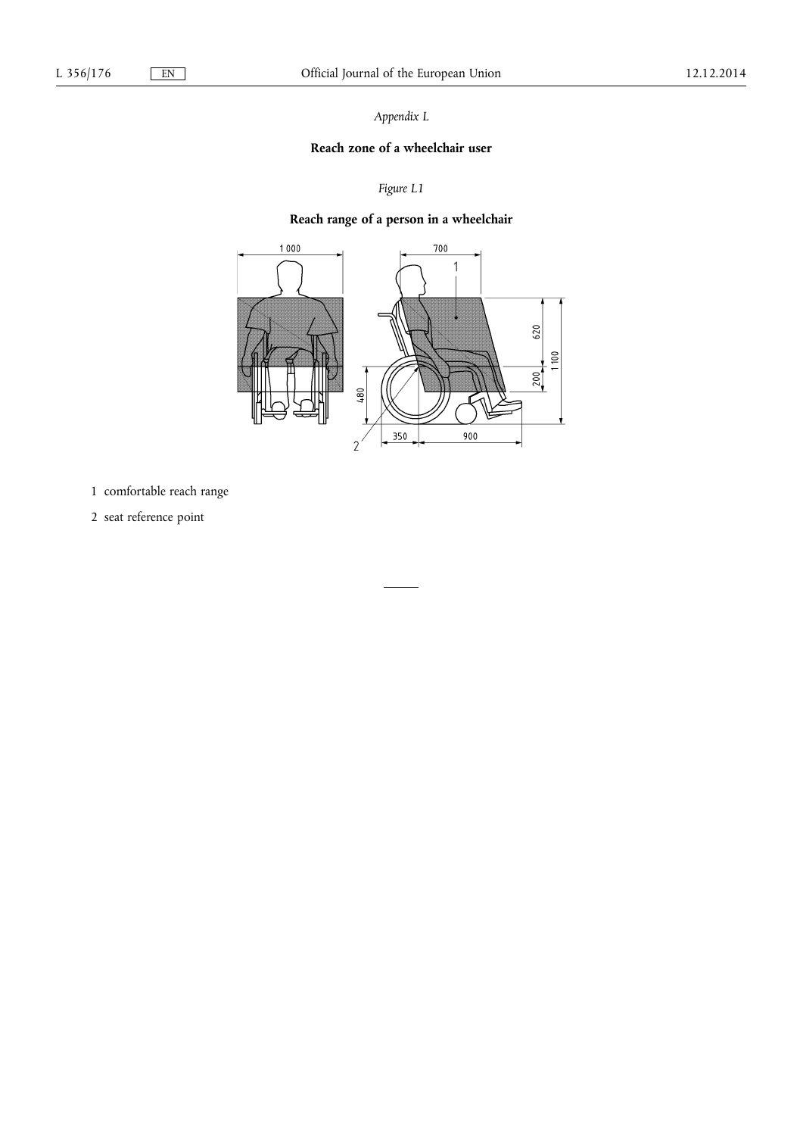*Appendix L* 

## **Reach zone of a wheelchair user**

# *Figure L1*

# **Reach range of a person in a wheelchair**



- 1 comfortable reach range
- 2 seat reference point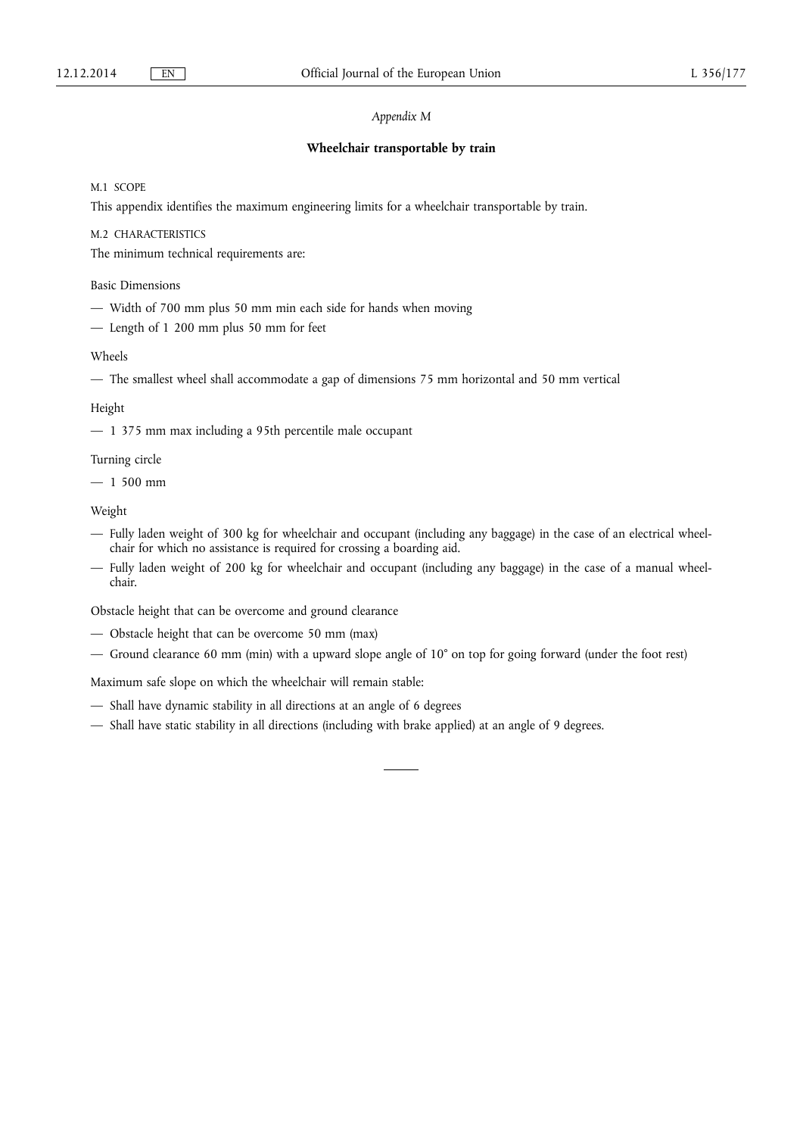## *Appendix M*

#### **Wheelchair transportable by train**

M.1 SCOPE

This appendix identifies the maximum engineering limits for a wheelchair transportable by train.

M.2 CHARACTERISTICS

The minimum technical requirements are:

Basic Dimensions

- Width of 700 mm plus 50 mm min each side for hands when moving
- Length of 1 200 mm plus 50 mm for feet

#### Wheels

— The smallest wheel shall accommodate a gap of dimensions 75 mm horizontal and 50 mm vertical

### Height

— 1 375 mm max including a 95th percentile male occupant

Turning circle

 $-1500$  mm

Weight

- Fully laden weight of 300 kg for wheelchair and occupant (including any baggage) in the case of an electrical wheelchair for which no assistance is required for crossing a boarding aid.
- Fully laden weight of 200 kg for wheelchair and occupant (including any baggage) in the case of a manual wheelchair.

Obstacle height that can be overcome and ground clearance

- Obstacle height that can be overcome 50 mm (max)
- Ground clearance 60 mm (min) with a upward slope angle of 10° on top for going forward (under the foot rest)

Maximum safe slope on which the wheelchair will remain stable:

- Shall have dynamic stability in all directions at an angle of 6 degrees
- Shall have static stability in all directions (including with brake applied) at an angle of 9 degrees.